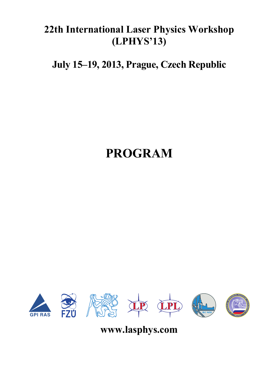## **22th International Laser Physics Workshop (LPHYS'13)**

**July 15–19, 2013, Prague, Czech Republic** 

# **PROGRAM**



**www.lasphys.com**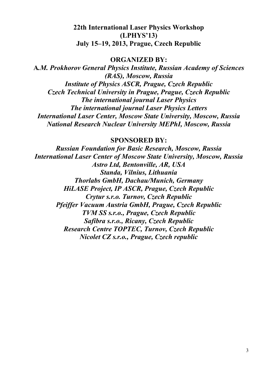## **22th International Laser Physics Workshop (LPHYS'13) July 15–19, 2013, Prague, Czech Republic**

#### **ORGANIZED BY:**

**A***.M. Prokhorov General Physics Institute, Russian Academy of Sciences (RAS), Moscow, Russia Institute of Physics ASCR, Prague, Czech Republic Czech Technical University in Prague, Prague, Czech Republic The international journal Laser Physics The international journal Laser Physics Letters International Laser Center, Moscow State University, Moscow, Russia National Research Nuclear University MEPhI, Moscow, Russia* 

**SPONSORED BY:** 

*Russian Foundation for Basic Research, Moscow, Russia International Laser Center of Moscow State University, Moscow, Russia Astro Ltd, Bentonville, AR, USA Standa, Vilnius, Lithuania Thorlabs GmbH, Dachau/Munich, Germany HiLASE Project, IP ASCR, Prague, Czech Republic Crytur s.r.o. Turnov, Czech Republic Pfeiffer Vacuum Austria GmbH, Prague, Czech Republic TVM SS s.r.o., Prague, Czech Republic Safibra s.r.o., Ricany, Czech Republic Research Centre TOPTEC, Turnov, Czech Republic Nicolet CZ s.r.o., Prague, Czech republic*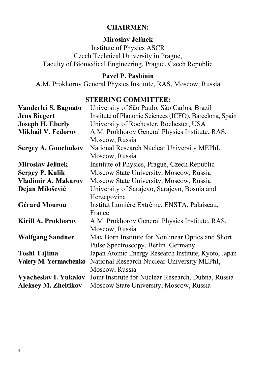## **CHAIRMEN:**

## **Miroslav Jelínek**

Institute of Physics ASCR Czech Technical University in Prague, Faculty of Biomedical Engineering, Prague, Czech Republic

## **Pavel P. Pashinin**

A.M. Prokhorov General Physics Institute, RAS, Moscow, Russia

## **STEERING COMMITTEE:**

| Institute of Photonic Sciences (ICFO), Barcelona, Spain<br><b>Jens Biegert</b><br><b>Joseph H. Eberly</b><br>University of Rochester, Rochester, USA<br><b>Mikhail V. Fedorov</b><br>A.M. Prokhorov General Physics Institute, RAS,<br>Moscow, Russia<br>National Research Nuclear University MEPhI,<br><b>Sergey A. Gonchukov</b><br>Moscow, Russia<br><b>Miroslav Jelínek</b><br>Institute of Physics, Prague, Czech Republic<br>Moscow State University, Moscow, Russia<br><b>Sergey P. Kulik</b><br>Vladimir A. Makarov<br>Moscow State University, Moscow, Russia<br>Dejan Milošević<br>University of Sarajevo, Sarajevo, Bosnia and<br>Herzegovina<br><b>Gérard Mourou</b><br>Institut Lumière Extrême, ENSTA, Palaiseau,<br>France<br>Kirill A. Prokhorov<br>A.M. Prokhorov General Physics Institute, RAS,<br>Moscow, Russia |
|--------------------------------------------------------------------------------------------------------------------------------------------------------------------------------------------------------------------------------------------------------------------------------------------------------------------------------------------------------------------------------------------------------------------------------------------------------------------------------------------------------------------------------------------------------------------------------------------------------------------------------------------------------------------------------------------------------------------------------------------------------------------------------------------------------------------------------------|
|                                                                                                                                                                                                                                                                                                                                                                                                                                                                                                                                                                                                                                                                                                                                                                                                                                      |
|                                                                                                                                                                                                                                                                                                                                                                                                                                                                                                                                                                                                                                                                                                                                                                                                                                      |
|                                                                                                                                                                                                                                                                                                                                                                                                                                                                                                                                                                                                                                                                                                                                                                                                                                      |
|                                                                                                                                                                                                                                                                                                                                                                                                                                                                                                                                                                                                                                                                                                                                                                                                                                      |
|                                                                                                                                                                                                                                                                                                                                                                                                                                                                                                                                                                                                                                                                                                                                                                                                                                      |
|                                                                                                                                                                                                                                                                                                                                                                                                                                                                                                                                                                                                                                                                                                                                                                                                                                      |
|                                                                                                                                                                                                                                                                                                                                                                                                                                                                                                                                                                                                                                                                                                                                                                                                                                      |
|                                                                                                                                                                                                                                                                                                                                                                                                                                                                                                                                                                                                                                                                                                                                                                                                                                      |
|                                                                                                                                                                                                                                                                                                                                                                                                                                                                                                                                                                                                                                                                                                                                                                                                                                      |
|                                                                                                                                                                                                                                                                                                                                                                                                                                                                                                                                                                                                                                                                                                                                                                                                                                      |
|                                                                                                                                                                                                                                                                                                                                                                                                                                                                                                                                                                                                                                                                                                                                                                                                                                      |
|                                                                                                                                                                                                                                                                                                                                                                                                                                                                                                                                                                                                                                                                                                                                                                                                                                      |
|                                                                                                                                                                                                                                                                                                                                                                                                                                                                                                                                                                                                                                                                                                                                                                                                                                      |
|                                                                                                                                                                                                                                                                                                                                                                                                                                                                                                                                                                                                                                                                                                                                                                                                                                      |
|                                                                                                                                                                                                                                                                                                                                                                                                                                                                                                                                                                                                                                                                                                                                                                                                                                      |
| Max Born Institute for Nonlinear Optics and Short<br><b>Wolfgang Sandner</b>                                                                                                                                                                                                                                                                                                                                                                                                                                                                                                                                                                                                                                                                                                                                                         |
| Pulse Spectroscopy, Berlin, Germany                                                                                                                                                                                                                                                                                                                                                                                                                                                                                                                                                                                                                                                                                                                                                                                                  |
| Japan Atomic Energy Research Institute, Kyoto, Japan<br>Toshi Tajima                                                                                                                                                                                                                                                                                                                                                                                                                                                                                                                                                                                                                                                                                                                                                                 |
| National Research Nuclear University MEPhI,<br>Valery M. Yermachenko                                                                                                                                                                                                                                                                                                                                                                                                                                                                                                                                                                                                                                                                                                                                                                 |
| Moscow, Russia                                                                                                                                                                                                                                                                                                                                                                                                                                                                                                                                                                                                                                                                                                                                                                                                                       |
|                                                                                                                                                                                                                                                                                                                                                                                                                                                                                                                                                                                                                                                                                                                                                                                                                                      |
| Vyacheslav I. Yukalov<br>Joint Institute for Nuclear Research, Dubna, Russia                                                                                                                                                                                                                                                                                                                                                                                                                                                                                                                                                                                                                                                                                                                                                         |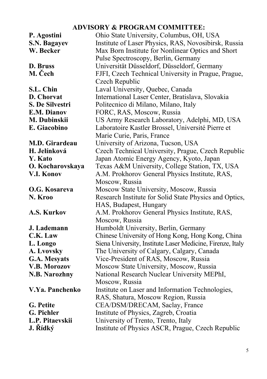## **ADVISORY & PROGRAM COMMITTEE:**

| P. Agostini          | Ohio State University, Columbus, OH, USA                   |
|----------------------|------------------------------------------------------------|
| S.N. Bagayev         | Institute of Laser Physics, RAS, Novosibirsk, Russia       |
| W. Becker            | Max Born Institute for Nonlinear Optics and Short          |
|                      | Pulse Spectroscopy, Berlin, Germany                        |
| D. Bruss             | Universität Düsseldorf, Düsseldorf, Germany                |
| M. Čech              | FJFI, Czech Technical University in Prague, Prague,        |
|                      | Czech Republic                                             |
| S.L. Chin            | Laval University, Quebec, Canada                           |
| D. Chorvat           | International Laser Center, Bratislava, Slovakia           |
| S. De Silvestri      | Politecnico di Milano, Milano, Italy                       |
| E.M. Dianov          | FORC, RAS, Moscow, Russia                                  |
| M. Dubinskii         | US Army Research Laboratory, Adelphi, MD, USA              |
| E. Giacobino         | Laboratoire Kastler Brossel, Université Pierre et          |
|                      | Marie Curie, Paris, France                                 |
| M.D. Girardeau       | University of Arizona, Tucson, USA                         |
| H. Jelínková         | Czech Technical University, Prague, Czech Republic         |
| Y. Kato              | Japan Atomic Energy Agency, Kyoto, Japan                   |
| O. Kocharovskaya     | Texas A&M University, College Station, TX, USA             |
| V.I. Konov           | A.M. Prokhorov General Physics Institute, RAS,             |
|                      | Moscow, Russia                                             |
| O.G. Kosareva        | Moscow State University, Moscow, Russia                    |
| N. Kroo              | Research Institute for Solid State Physics and Optics,     |
|                      | HAS, Budapest, Hungary                                     |
| A.S. Kurkov          | A.M. Prokhorov General Physics Institute, RAS,             |
|                      | Moscow, Russia                                             |
| J. Lademann          | Humboldt University, Berlin, Germany                       |
| C.K. Law             | Chinese University of Hong Kong, Hong Kong, China          |
| L. Longo             | Siena University, Institute Laser Medicine, Firenze, Italy |
| A. Lvovsky           | The University of Calgary, Calgary, Canada                 |
| G.A. Mesyats         | Vice-President of RAS, Moscow, Russia                      |
| V.B. Morozov         | Moscow State University, Moscow, Russia                    |
| <b>N.B. Narozhny</b> | National Research Nuclear University MEPhI,                |
|                      | Moscow, Russia                                             |
| V.Ya. Panchenko      | Institute on Laser and Information Technologies,           |
|                      | RAS, Shatura, Moscow Region, Russia                        |
| G. Petite            | CEA/DSM/DRECAM, Saclay, France                             |
| G. Pichler           | Institute of Physics, Zagreb, Croatia                      |
| L.P. Pitaevskii      | University of Trento, Trento, Italy                        |
| J. Řídký             | Institute of Physics ASCR, Prague, Czech Republic          |
|                      |                                                            |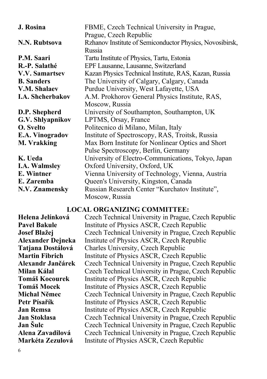| FBME, Czech Technical University in Prague,              |
|----------------------------------------------------------|
| Prague, Czech Republic                                   |
| Rzhanov Institute of Semiconductor Physics, Novosibirsk, |
| Russia                                                   |
| Tartu Institute of Physics, Tartu, Estonia               |
| EPF Lausanne, Lausanne, Switzerland                      |
| Kazan Physics Technical Institute, RAS, Kazan, Russia    |
| The University of Calgary, Calgary, Canada               |
| Purdue University, West Lafayette, USA                   |
| A.M. Prokhorov General Physics Institute, RAS,           |
| Moscow, Russia                                           |
| University of Southampton, Southampton, UK               |
| LPTMS, Orsay, France                                     |
| Politecnico di Milano, Milan, Italy                      |
| Institute of Spectroscopy, RAS, Troitsk, Russia          |
| Max Born Institute for Nonlinear Optics and Short        |
| Pulse Spectroscopy, Berlin, Germany                      |
| University of Electro-Communications, Tokyo, Japan       |
| Oxford University, Oxford, UK                            |
| Vienna University of Technology, Vienna, Austria         |
| Queen's University, Kingston, Canada                     |
| Russian Research Center "Kurchatov Institute",           |
| Moscow, Russia                                           |
|                                                          |

#### **LOCAL ORGANIZING COMMITTEE:**

**Helena Jelínková** Czech Technical University in Prague, Czech Republic **Pavel Bakule Institute of Physics ASCR, Czech Republic Josef Blažej** Czech Technical University in Prague, Czech Republic **Alexander Dejneka** Institute of Physics ASCR, Czech Republic **Tatjana Dostálová** Charles University, Czech Republic **Martin Fibrich** *Institute of Physics ASCR*, Czech Republic **Alexandr Jančárek** Czech Technical University in Prague, Czech Republic **Milan Kálal** Czech Technical University in Prague, Czech Republic **Tomáš Kocourek** Institute of Physics ASCR, Czech Republic **Tomáš Mocek** Institute of Physics ASCR, Czech Republic **Michal Němec** Czech Technical University in Prague, Czech Republic **Petr Písařík** Institute of Physics ASCR, Czech Republic **Jan Remsa Institute of Physics ASCR, Czech Republic Jan Stoklasa** Czech Technical University in Prague, Czech Republic **Jan Šulc Czech Technical University in Prague, Czech Republic Alena Zavadilová** Czech Technical University in Prague, Czech Republic **Markéta Zezulová** Institute of Physics ASCR, Czech Republic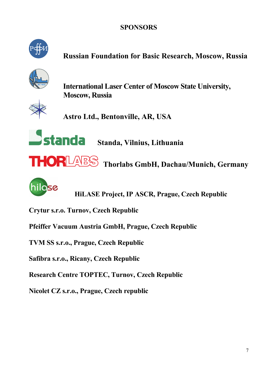## **SPONSORS**



## **Russian Foundation for Basic Research, Moscow, Russia**



**International Laser Center of Moscow State University, Moscow, Russia** 

**Astro Ltd., Bentonville, AR, USA** 

**Standa** Standa, Vilnius, Lithuania





**HiLASE Project, IP ASCR, Prague, Czech Republic** 

**Crytur s.r.o. Turnov, Czech Republic** 

**Pfeiffer Vacuum Austria GmbH, Prague, Czech Republic** 

**TVM SS s.r.o., Prague, Czech Republic** 

**Safibra s.r.o., Ricany, Czech Republic** 

**Research Centre TOPTEC, Turnov, Czech Republic** 

**Nicolet CZ s.r.o., Prague, Czech republic**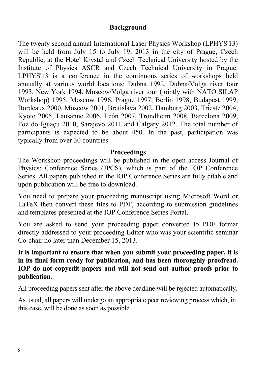## **Background**

The twenty second annual International Laser Physics Workshop (LPHYS'13) will be held from July 15 to July 19, 2013 in the city of Prague, Czech Republic, at the Hotel Krystal and Czech Technical University hosted by the Institute of Physics ASCR and Czech Technical University in Prague. LPHYS'13 is a conference in the continuous series of workshops held annually at various world locations: Dubna 1992, Dubna/Volga river tour 1993, New York 1994, Moscow/Volga river tour (jointly with NATO SILAP Workshop) 1995, Moscow 1996, Prague 1997, Berlin 1998, Budapest 1999, Bordeaux 2000, Moscow 2001, Bratislava 2002, Hamburg 2003, Trieste 2004, Kyoto 2005, Lausanne 2006, León 2007, Trondheim 2008, Barcelona 2009, Foz do Iguaçu 2010, Sarajevo 2011 and Calgary 2012. The total number of participants is expected to be about 450. In the past, participation was typically from over 30 countries.

#### **Proceedings**

The Workshop proceedings will be published in the open access Journal of Physics: Conference Series (JPCS), which is part of the IOP Conference Series. All papers published in the IOP Conference Series are fully citable and upon publication will be free to download.

You need to prepare your proceeding manuscript using Microsoft Word or LaTeX then convert these files to PDF, according to submission guidelines and templates presented at the IOP Conference Series Portal.

You are asked to send your proceeding paper converted to PDF format directly addressed to your proceeding Editor who was your scientific seminar Co-chair no later than December 15, 2013.

## **It is important to ensure that when you submit your proceeding paper, it is in its final form ready for publication, and has been thoroughly proofread. IOP do not copyedit papers and will not send out author proofs prior to publication.**

All proceeding papers sent after the above deadline will be rejected automatically.

As usual, all papers will undergo an appropriate peer reviewing process which, in this case, will be done as soon as possible.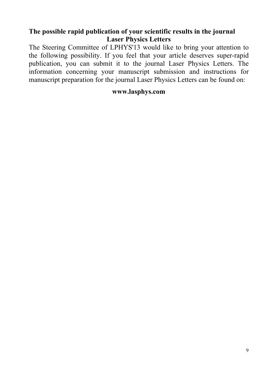## **The possible rapid publication of your scientific results in the journal Laser Physics Letters**

The Steering Committee of LPHYS'13 would like to bring your attention to the following possibility. If you feel that your article deserves super-rapid publication, you can submit it to the journal Laser Physics Letters. The information concerning your manuscript submission and instructions for manuscript preparation for the journal Laser Physics Letters can be found on:

## **www.lasphys.com**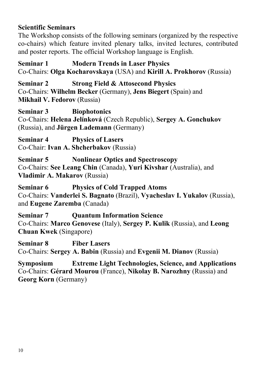## **Scientific Seminars**

The Workshop consists of the following seminars (organized by the respective co-chairs) which feature invited plenary talks, invited lectures, contributed and poster reports. The official Workshop language is English.

**Seminar 1 Modern Trends in Laser Physics**  Co-Chairs: **Olga Kocharovskaya** (USA) and **Kirill A. Prokhorov** (Russia)

**Seminar 2 Strong Field & Attosecond Physics**  Co-Chairs: **Wilhelm Becker** (Germany), **Jens Biegert** (Spain) and **Mikhail V. Fedorov** (Russia)

**Seminar 3 Biophotonics**  Co-Chairs: **Helena Jelínková** (Czech Republic), **Sergey A. Gonchukov**  (Russia), and **Jürgen Lademann** (Germany)

**Seminar 4 Physics of Lasers**  Co-Chair: **Ivan A. Shcherbakov** (Russia)

**Seminar 5 Nonlinear Optics and Spectroscopy**  Co-Chairs: **See Leang Chin** (Canada), **Yuri Kivshar** (Australia), and **Vladimir A. Makarov** (Russia)

**Seminar 6 Physics of Cold Trapped Atoms**  Co-Chairs: **Vanderlei S. Bagnato** (Brazil), **Vyacheslav I. Yukalov** (Russia), and **Eugene Zaremba** (Canada)

**Seminar 7 Quantum Information Science**  Co-Chairs: **Marco Genovese** (Italy), **Sergey P. Kulik** (Russia), and **Leong Chuan Kwek** (Singapore)

**Seminar 8 Fiber Lasers**  Co-Chairs: **Sergey A. Babin** (Russia) and **Evgenii M. Dianov** (Russia)

**Symposium Extreme Light Technologies, Science, and Applications**  Co-Chairs: **Gérard Mourou** (France), **Nikolay B. Narozhny** (Russia) and **Georg Korn** (Germany)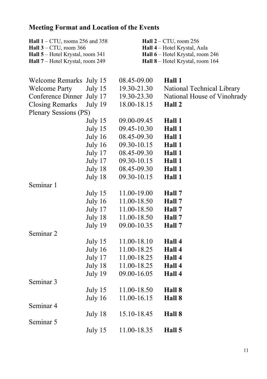## **Meeting Format and Location of the Events**

| Hall $1 - CTU$ , rooms 256 and 358<br>Hall $3 - CTU$ , room 366<br>Hall 5 - Hotel Krystal, room 341<br>Hall 7 - Hotel Krystal, room 249 |         |             | Hall $2 - CTU$ , room 256<br>Hall 4 - Hotel Krystal, Aula<br>Hall 6 - Hotel Krystal, room 246<br>Hall 8 - Hotel Krystal, room 164 |
|-----------------------------------------------------------------------------------------------------------------------------------------|---------|-------------|-----------------------------------------------------------------------------------------------------------------------------------|
| Welcome Remarks July 15                                                                                                                 |         | 08.45-09.00 | Hall 1                                                                                                                            |
| <b>Welcome Party</b>                                                                                                                    | July 15 | 19.30-21.30 | National Technical Library                                                                                                        |
| Conference Dinner                                                                                                                       | July 17 | 19.30-23.30 | National House of Vinohrady                                                                                                       |
| <b>Closing Remarks</b>                                                                                                                  | July 19 | 18.00-18.15 | Hall 2                                                                                                                            |
| Plenary Sessions (PS)                                                                                                                   |         |             |                                                                                                                                   |
|                                                                                                                                         | July 15 | 09.00-09.45 | Hall 1                                                                                                                            |
|                                                                                                                                         | July 15 | 09.45-10.30 | Hall 1                                                                                                                            |
|                                                                                                                                         | July 16 | 08.45-09.30 | Hall 1                                                                                                                            |
|                                                                                                                                         | July 16 | 09.30-10.15 | Hall 1                                                                                                                            |
|                                                                                                                                         | July 17 | 08.45-09.30 | Hall 1                                                                                                                            |
|                                                                                                                                         | July 17 | 09.30-10.15 | Hall 1                                                                                                                            |
|                                                                                                                                         | July 18 | 08.45-09.30 | Hall 1                                                                                                                            |
|                                                                                                                                         | July 18 | 09.30-10.15 | Hall 1                                                                                                                            |
| Seminar 1                                                                                                                               |         |             |                                                                                                                                   |
|                                                                                                                                         | July 15 | 11.00-19.00 | Hall 7                                                                                                                            |
|                                                                                                                                         | July 16 | 11.00-18.50 | Hall 7                                                                                                                            |
|                                                                                                                                         | July 17 | 11.00-18.50 | Hall 7                                                                                                                            |
|                                                                                                                                         | July 18 | 11.00-18.50 | Hall 7                                                                                                                            |
|                                                                                                                                         | July 19 | 09.00-10.35 | Hall 7                                                                                                                            |
| Seminar 2                                                                                                                               |         |             |                                                                                                                                   |
|                                                                                                                                         | July 15 | 11.00-18.10 | Hall 4                                                                                                                            |
|                                                                                                                                         | July 16 | 11.00-18.25 | Hall 4                                                                                                                            |
|                                                                                                                                         | July 17 | 11.00-18.25 | Hall 4                                                                                                                            |
|                                                                                                                                         | July 18 | 11.00-18.25 | Hall 4                                                                                                                            |
|                                                                                                                                         | July 19 | 09.00-16.05 | Hall 4                                                                                                                            |
| Seminar 3                                                                                                                               |         |             |                                                                                                                                   |
|                                                                                                                                         | July 15 | 11.00-18.50 | Hall 8                                                                                                                            |
|                                                                                                                                         | July 16 | 11.00-16.15 | Hall 8                                                                                                                            |
| Seminar 4                                                                                                                               |         |             |                                                                                                                                   |
|                                                                                                                                         | July 18 | 15.10-18.45 | Hall 8                                                                                                                            |
| Seminar 5                                                                                                                               |         |             |                                                                                                                                   |
|                                                                                                                                         | July 15 | 11.00-18.35 | Hall 5                                                                                                                            |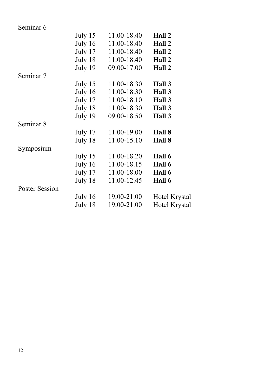| Seminar <sub>6</sub> |           |                     |               |
|----------------------|-----------|---------------------|---------------|
|                      | July $15$ | 11.00-18.40         | Hall 2        |
|                      |           | July 16 11.00-18.40 | Hall 2        |
|                      |           | July 17 11.00-18.40 | Hall 2        |
|                      |           | July 18 11.00-18.40 | Hall 2        |
|                      | July 19   | 09.00-17.00         | Hall 2        |
| Seminar 7            |           |                     |               |
|                      | July $15$ | 11.00-18.30         | Hall 3        |
|                      |           | July 16 11.00-18.30 | Hall 3        |
|                      |           | July 17 11.00-18.10 | Hall 3        |
|                      |           | July 18 11.00-18.30 | Hall 3        |
|                      | July 19   | 09.00-18.50         | Hall 3        |
| Seminar 8            |           |                     |               |
|                      |           | July 17 11.00-19.00 | Hall 8        |
|                      | July 18   | 11.00-15.10         | Hall 8        |
| Symposium            |           |                     |               |
|                      |           | July 15 11.00-18.20 | Hall 6        |
|                      |           | July 16 11.00-18.15 | Hall 6        |
|                      |           | July 17 11.00-18.00 | Hall 6        |
|                      | July 18   | 11.00-12.45         | Hall 6        |
| Poster Session       |           |                     |               |
|                      |           | July 16 19.00-21.00 | Hotel Krystal |
|                      | July 18   | 19.00-21.00         | Hotel Krystal |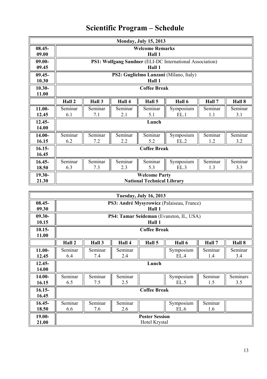|           |                                                |         |         | <b>Monday, July 15, 2013</b>      |                                                                 |         |         |
|-----------|------------------------------------------------|---------|---------|-----------------------------------|-----------------------------------------------------------------|---------|---------|
| $08.45 -$ |                                                |         |         | <b>Welcome Remarks</b>            |                                                                 |         |         |
| 09.00     |                                                |         |         | Hall 1                            |                                                                 |         |         |
| $09.00 -$ |                                                |         |         |                                   | <b>PS1: Wolfgang Sandner</b> (ELI-DC International Association) |         |         |
| 09.45     |                                                |         |         | Hall 1                            |                                                                 |         |         |
| $09.45 -$ |                                                |         |         |                                   | PS2: Guglielmo Lanzani (Milano, Italy)                          |         |         |
| 10.30     |                                                |         |         | Hall 1                            |                                                                 |         |         |
| $10.30 -$ | <b>Coffee Break</b>                            |         |         |                                   |                                                                 |         |         |
| 11.00     |                                                |         |         |                                   |                                                                 |         |         |
|           | Hall 2                                         | Hall 3  | Hall 4  | Hall 5                            | Hall 6                                                          | Hall 7  | Hall 8  |
| $11.00 -$ | Seminar                                        | Seminar | Seminar | Seminar                           | Symposium                                                       | Seminar | Seminar |
| 12.45     | EL.1<br>5.1<br>3.1<br>6.1<br>7.1<br>2.1<br>1.1 |         |         |                                   |                                                                 |         |         |
| $12.45 -$ | Lunch                                          |         |         |                                   |                                                                 |         |         |
| 14.00     |                                                |         |         |                                   |                                                                 |         |         |
| 14.00-    | Seminar                                        | Seminar | Seminar | Seminar                           | Symposium                                                       | Seminar | Seminar |
| 16.15     | 6.2                                            | 7.2     | 2.2     | 5.2                               | EL.2                                                            | 1.2     | 3.2     |
| $16.15-$  | <b>Coffee Break</b>                            |         |         |                                   |                                                                 |         |         |
| 16.45     |                                                |         |         |                                   |                                                                 |         |         |
| $16.45 -$ | Seminar                                        | Seminar | Seminar | Seminar                           | Symposium                                                       | Seminar | Seminar |
| 18.50     | 6.3                                            | 7.3     | 2.3     | 5.3                               | EL.3                                                            | 1.3     | 3.3     |
| 19.30-    |                                                |         |         | <b>Welcome Party</b>              |                                                                 |         |         |
| 21.30     |                                                |         |         | <b>National Technical Library</b> |                                                                 |         |         |

## **Scientific Program – Schedule**

| <b>Tuesday, July 16, 2013</b> |                                           |         |         |                       |                                         |         |          |
|-------------------------------|-------------------------------------------|---------|---------|-----------------------|-----------------------------------------|---------|----------|
| $08.45 -$                     | PS3: André Mysyrowicz (Palaiseau, France) |         |         |                       |                                         |         |          |
| 09.30                         |                                           |         |         | Hall 1                |                                         |         |          |
| $09.30 -$                     |                                           |         |         |                       | PS4: Tamar Seideman (Evanston, IL, USA) |         |          |
| 10.15                         |                                           |         |         | Hall 1                |                                         |         |          |
| $10.15 -$                     |                                           |         |         | <b>Coffee Break</b>   |                                         |         |          |
| 11.00                         |                                           |         |         |                       |                                         |         |          |
|                               | Hall 2                                    | Hall 3  | Hall 4  | Hall 5                | Hall 6                                  | Hall 7  | Hall 8   |
| $11.00 -$                     | Seminar                                   | Seminar | Seminar |                       | Symposium                               | Seminar | Seminar  |
| 12.45                         | 6.4                                       | 7.4     | 2.4     |                       | EL.4                                    | 1.4     | 3.4      |
| $12.45 -$                     | Lunch                                     |         |         |                       |                                         |         |          |
| 14.00                         |                                           |         |         |                       |                                         |         |          |
| $14.00 -$                     | Seminar                                   | Seminar | Seminar |                       | Symposium                               | Seminar | Seminars |
| 16.15                         | 6.5                                       | 7.5     | 2.5     |                       | EL.5                                    | 1.5     | 3.5      |
| $16.15-$                      | <b>Coffee Break</b>                       |         |         |                       |                                         |         |          |
| 16.45                         |                                           |         |         |                       |                                         |         |          |
| $16.45 -$                     | Seminar                                   | Seminar | Seminar |                       | Symposium                               | Seminar |          |
| 18.50                         | 6.6                                       | 7.6     | 2.6     |                       | EL.6                                    | 1.6     |          |
| 19.00-                        |                                           |         |         | <b>Poster Session</b> |                                         |         |          |
| 21.00                         |                                           |         |         | Hotel Krystal         |                                         |         |          |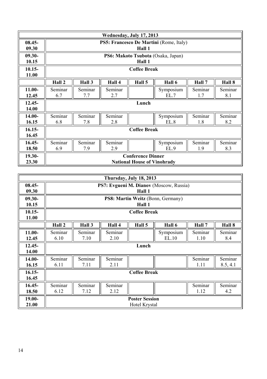| Wednesday, July 17, 2013 |                     |                                         |         |                                    |                                    |         |         |
|--------------------------|---------------------|-----------------------------------------|---------|------------------------------------|------------------------------------|---------|---------|
| $08.45 -$                |                     | PS5: Francesco De Martini (Rome, Italy) |         |                                    |                                    |         |         |
| 09.30                    |                     |                                         |         | Hall 1                             |                                    |         |         |
| $09.30 -$                |                     |                                         |         |                                    | PS6: Makoto Tsubota (Osaka, Japan) |         |         |
| 10.15                    |                     |                                         |         | Hall 1                             |                                    |         |         |
| $10.15 -$                |                     | <b>Coffee Break</b>                     |         |                                    |                                    |         |         |
| 11.00                    |                     |                                         |         |                                    |                                    |         |         |
|                          | Hall 2              | Hall 3                                  | Hall 4  | Hall 5                             | Hall 6                             | Hall 7  | Hall 8  |
| $11.00 -$                | Seminar             | Seminar                                 | Seminar |                                    | Symposium                          | Seminar | Seminar |
| 12.45                    | 6.7                 | 7.7                                     | 2.7     |                                    | EL.7                               | 1.7     | 8.1     |
| $12.45 -$                | Lunch               |                                         |         |                                    |                                    |         |         |
| 14.00                    |                     |                                         |         |                                    |                                    |         |         |
| $14.00 -$                | Seminar             | Seminar                                 | Seminar |                                    | Symposium                          | Seminar | Seminar |
| 16.15                    | 6.8                 | 7.8                                     | 2.8     |                                    | EL.8                               | 1.8     | 8.2     |
| $16.15-$                 | <b>Coffee Break</b> |                                         |         |                                    |                                    |         |         |
| 16.45                    |                     |                                         |         |                                    |                                    |         |         |
| $16.45 -$                | Seminar             | Seminar                                 | Seminar |                                    | Symposium                          | Seminar | Seminar |
| 18.50                    | 6.9                 | 7.9                                     | 2.9     |                                    | EL.9                               | 1.9     | 8.3     |
| 19.30-                   |                     |                                         |         | <b>Conference Dinner</b>           |                                    |         |         |
| 23.30                    |                     |                                         |         | <b>National House of Vinohrady</b> |                                    |         |         |

| Thursday, July 18, 2013 |                     |                                         |         |                       |                                   |         |          |
|-------------------------|---------------------|-----------------------------------------|---------|-----------------------|-----------------------------------|---------|----------|
| $08.45 -$               |                     | PS7: Evgueni M. Dianov (Moscow, Russia) |         |                       |                                   |         |          |
| 09.30                   |                     |                                         |         | Hall 1                |                                   |         |          |
| $09.30 -$               |                     |                                         |         |                       | PS8: Martin Weitz (Bonn, Germany) |         |          |
| 10.15                   |                     |                                         |         | Hall 1                |                                   |         |          |
| $10.15 -$               |                     | <b>Coffee Break</b>                     |         |                       |                                   |         |          |
| 11.00                   |                     |                                         |         |                       |                                   |         |          |
|                         | Hall 2              | Hall 3                                  | Hall 4  | Hall 5                | Hall 6                            | Hall 7  | Hall 8   |
| $11.00 -$               | Seminar             | Seminar                                 | Seminar |                       | Symposium                         | Seminar | Seminar  |
| 12.45                   | 6.10                | 7.10                                    | 2.10    |                       | EL.10                             | 1.10    | 8.4      |
| $12.45 -$               | Lunch               |                                         |         |                       |                                   |         |          |
| 14.00                   |                     |                                         |         |                       |                                   |         |          |
| $14.00 -$               | Seminar             | Seminar                                 | Seminar |                       |                                   | Seminar | Seminar  |
| 16.15                   | 6.11                | 7.11                                    | 2.11    |                       |                                   | 1.11    | 8.5, 4.1 |
| $16.15-$                | <b>Coffee Break</b> |                                         |         |                       |                                   |         |          |
| 16.45                   |                     |                                         |         |                       |                                   |         |          |
| $16.45 -$               | Seminar             | Seminar                                 | Seminar |                       |                                   | Seminar | Seminar  |
| 18.50                   | 6.12                | 7.12                                    | 2.12    |                       |                                   | 1.12    | 4.2      |
| $19.00 -$               |                     |                                         |         | <b>Poster Session</b> |                                   |         |          |
| 21.00                   |                     |                                         |         | Hotel Krystal         |                                   |         |          |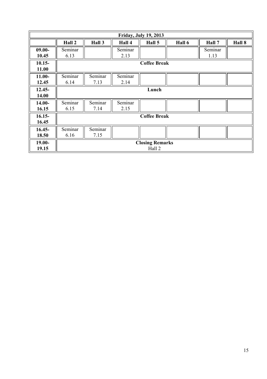|                    |                     |                 |                 | <b>Friday, July 19, 2013</b>     |        |                 |        |
|--------------------|---------------------|-----------------|-----------------|----------------------------------|--------|-----------------|--------|
|                    | Hall 2              | Hall 3          | Hall 4          | Hall 5                           | Hall 6 | Hall 7          | Hall 8 |
| $09.00 -$<br>10.45 | Seminar<br>6.13     |                 | Seminar<br>2.13 |                                  |        | Seminar<br>1.13 |        |
| $10.15 -$<br>11.00 | <b>Coffee Break</b> |                 |                 |                                  |        |                 |        |
| $11.00 -$<br>12.45 | Seminar<br>6.14     | Seminar<br>7.13 | Seminar<br>2.14 |                                  |        |                 |        |
| $12.45 -$<br>14.00 |                     |                 |                 | Lunch                            |        |                 |        |
| $14.00 -$<br>16.15 | Seminar<br>6.15     | Seminar<br>7.14 | Seminar<br>2.15 |                                  |        |                 |        |
| $16.15-$<br>16.45  | <b>Coffee Break</b> |                 |                 |                                  |        |                 |        |
| $16.45 -$<br>18.50 | Seminar<br>6.16     | Seminar<br>7.15 |                 |                                  |        |                 |        |
| $19.00 -$<br>19.15 |                     |                 |                 | <b>Closing Remarks</b><br>Hall 2 |        |                 |        |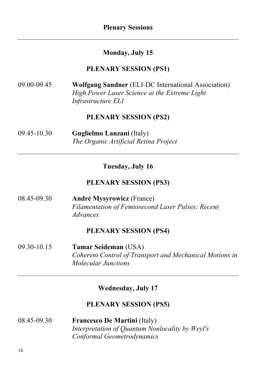## **Monday, July 15**

#### **PLENARY SESSION (PS1)**

| 09.00-09.45 | <b>Wolfgang Sandner</b> (ELI-DC International Association) |
|-------------|------------------------------------------------------------|
|             | High Power Laser Science at the Extreme Light              |
|             | <i>Infrastructure ELI</i>                                  |

## **PLENARY SESSION (PS2)**

| 09.45-10.30 | <b>Guglielmo Lanzani</b> (Italy)      |
|-------------|---------------------------------------|
|             | The Organic Artificial Retina Project |

#### **Tuesday, July 16**

## **PLENARY SESSION (PS3)**

08.45-09.30 **André Mysyrowicz** (France) *Filamentation of Femtosecond Laser Pulses: Recent Advances* 

#### **PLENARY SESSION (PS4)**

09.30-10.15 **Tamar Seideman** (USA) *Coherent Control of Transport and Mechanical Motions in Molecular Junctions* 

#### **Wednesday, July 17**

## **PLENARY SESSION (PS5)**

| 08.45-09.30 | <b>Francesco De Martini</b> (Italy)             |
|-------------|-------------------------------------------------|
|             | Interpretation of Quantum Nonlocality by Weyl's |
|             | Conformal Geometrodynamics                      |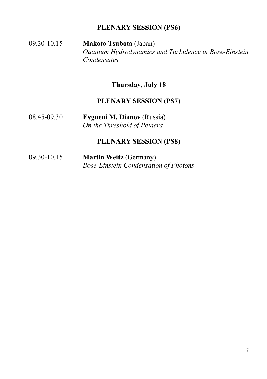## **PLENARY SESSION (PS6)**

## 09.30-10.15 **Makoto Tsubota** (Japan) *Quantum Hydrodynamics and Turbulence in Bose-Einstein Condensates*

## **Thursday, July 18**

## **PLENARY SESSION (PS7)**

08.45-09.30 **Evgueni M. Dianov** (Russia) *On the Threshold of Petaera* 

### **PLENARY SESSION (PS8)**

09.30-10.15 **Martin Weitz** (Germany) *Bose-Einstein Condensation of Photons*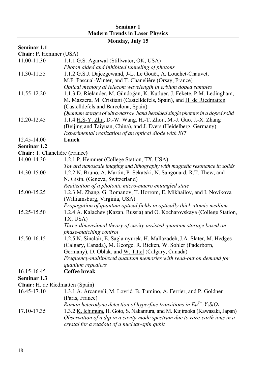### **Seminar 1 Modern Trends in Laser Physics**

## **Monday, July 15**

## **Seminar 1.1**

**Chair:** P. Hemmer (USA)

| 11.00-11.30                     | 1.1.1 G.S. Agarwal (Stillwater, OK, USA)                                      |
|---------------------------------|-------------------------------------------------------------------------------|
|                                 | Photon aided and inhibited tunneling of photons                               |
| 11.30-11.55                     | 1.1.2 G.S.J. Dajczgewand, J-L. Le Gouët, A. Louchet-Chauvet,                  |
|                                 | M.F. Pascual-Winter, and T. Chanelière (Orsay, France)                        |
|                                 | Optical memory at telecom wavelength in erbium doped samples                  |
| 11.55-12.20                     | 1.1.3 D. Rieländer, M. Gündoğan, K. Kutluer, J. Fekete, P.M. Ledingham,       |
|                                 | M. Mazzera, M. Cristiani (Castelldefels, Spain), and H. de Riedmatten         |
|                                 | (Castelldefels and Barcelona, Spain)                                          |
|                                 | Quantum storage of ultra-narrow band heralded single photons in a doped solid |
| 12.20-12.45                     | 1.1.4 H.S-Y. Zhu, D.-W. Wang, H.-T. Zhou, M.-J. Guo, J.-X. Zhang              |
|                                 | (Beijing and Taiyuan, China), and J. Evers (Heidelberg, Germany)              |
|                                 | Experimental realization of an optical diode with EIT                         |
| 12.45-14.00                     | Lunch                                                                         |
| Seminar 1.2                     |                                                                               |
| Chair: T. Chanelière (France)   |                                                                               |
| 14.00-14.30                     | 1.2.1 P. Hemmer (College Station, TX, USA)                                    |
|                                 | Toward nanoscale imaging and lithography with magnetic resonance in solids    |
| 14.30-15.00                     | 1.2.2 N. Bruno, A. Martin, P. Sekatski, N. Sangouard, R.T. Thew, and          |
|                                 | N. Gisin, (Geneva, Switzerland)                                               |
|                                 | Realization of a photonic micro-macro entangled state                         |
| 15.00-15.25                     | 1.2.3 M. Zhang, G. Romanov, T. Horrom, E. Mikhailov, and <i>I. Novikova</i>   |
|                                 | (Williamsburg, Virginia, USA)                                                 |
|                                 | Propagation of quantum optical fields in optically thick atomic medium        |
| 15.25-15.50                     | 1.2.4 A. Kalachev (Kazan, Russia) and O. Kocharovskaya (College Station,      |
|                                 | TX, USA)                                                                      |
|                                 | Three-dimensional theory of cavity-assisted quantum storage based on          |
|                                 | phase-matching control                                                        |
| 15.50-16.15                     | 1.2.5 N. Sinclair, E. Saglamyurek, H. Mallazadeh, J.A. Slater, M. Hedges      |
|                                 | (Calgary, Canada), M. George, R. Ricken, W. Sohler (Paderborn,                |
|                                 | Germany), D. Oblak, and W. Tittel (Calgary, Canada)                           |
|                                 | Frequency-multiplexed quantum memories with read-out on demand for            |
|                                 | quantum repeaters                                                             |
| 16.15-16.45                     | Coffee break                                                                  |
| Seminar 1.3                     |                                                                               |
| Chair: H. de Riedmatten (Spain) |                                                                               |
| 16.45-17.10                     | 1.3.1 A. Arcangeli, M. Lovrić, B. Tumino, A. Ferrier, and P. Goldner          |
|                                 | (Paris, France)                                                               |
|                                 | Raman heterodyne detection of hyperfine transitions in $Eu^{3+}$ : $Y_2SiO_5$ |
| 17.10-17.35                     | 1.3.2 K. Ichimura, H. Goto, S. Nakamura, and M. Kujiraoka (Kawasaki, Japan)   |
|                                 | Observation of a dip in a cavity-mode spectrum due to rare-earth ions in a    |
|                                 | crystal for a readout of a nuclear-spin qubit                                 |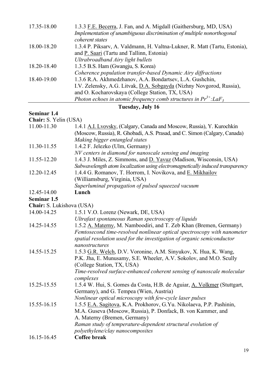| Implementation of unambiguous discrimination of multiple nonorthogonal<br>coherent states<br>18.00-18.20<br>1.3.4 P. Piksary, A. Valdmann, H. Valtna-Lukner, R. Matt (Tartu, Estonia),<br>and P. Saari (Tartu and Tallinn, Estonia) |
|-------------------------------------------------------------------------------------------------------------------------------------------------------------------------------------------------------------------------------------|
|                                                                                                                                                                                                                                     |
|                                                                                                                                                                                                                                     |
|                                                                                                                                                                                                                                     |
|                                                                                                                                                                                                                                     |
| Ultrabroadband Airy light bullets                                                                                                                                                                                                   |
| 1.3.5 B.S. Ham (Gwangju, S. Korea)<br>18.20-18.40                                                                                                                                                                                   |
| Coherence population transfer-based Dynamic Airy diffractions                                                                                                                                                                       |
| 1.3.6 R.A. Akhmedzhanov, A.A. Bondartsev, L.A. Gushchin,<br>18.40-19.00                                                                                                                                                             |
| I.V. Zelensky, A.G. Litvak, D.A. Sobgayda (Nizhny Novgorod, Russia),                                                                                                                                                                |
| and O. Kocharovskaya (College Station, TX, USA)                                                                                                                                                                                     |
| Photon echoes in atomic frequency comb structures in $Pr^{3+}$ : LaF <sub>3</sub>                                                                                                                                                   |

## **Tuesday, July 16**

## **Seminar 1.4**

**Chair:** S. Yelin (USA)

| 11.00-11.30               | 1.4.1 A.I. Lvovsky, (Calgary, Canada and Moscow, Russia), Y. Kurochkin<br>(Moscow, Russia), R. Ghobadi, A.S. Prasad, and C. Simon (Calgary, Canada)  |
|---------------------------|------------------------------------------------------------------------------------------------------------------------------------------------------|
|                           | Making bigger entangled states                                                                                                                       |
| 11.30-11.55               | 1.4.2 F. Jelezko (Ulm, Germany)                                                                                                                      |
|                           | NV centers in diamond for nanoscale sensing and imaging                                                                                              |
| 11.55-12.20               | 1.4.3 J. Miles, Z. Simmons, and D. Yavuz (Madison, Wisconsin, USA)<br>Subwavelength atom localization using electromagnetically induced transparency |
| 12.20-12.45               | 1.4.4 G. Romanov, T. Horrom, I. Novikova, and E. Mikhailov                                                                                           |
|                           | (Williamsburg, Virginia, USA)                                                                                                                        |
|                           | Superluminal propagation of pulsed squeezed vacuum                                                                                                   |
| 12.45-14.00               | Lunch                                                                                                                                                |
| Seminar 1.5               |                                                                                                                                                      |
| Chair: S. Lukishova (USA) |                                                                                                                                                      |
| 14.00-14.25               | 1.5.1 V.O. Lorenz (Newark, DE, USA)                                                                                                                  |
|                           | Ultrafast spontaneous Raman spectroscopy of liquids                                                                                                  |
| 14.25-14.55               | 1.5.2 A. Materny, M. Namboodiri, and T. Zeb Khan (Bremen, Germany)                                                                                   |
|                           | Femtosecond time-resolved nonlinear optical spectroscopy with nanometer                                                                              |
|                           | spatial resolution used for the investigation of organic semiconductor                                                                               |
|                           | nanostructures                                                                                                                                       |
| 14.55-15.25               | 1.5.3 G.R. Welch, D.V. Voronine, A.M. Sinyukov, X. Hua, K. Wang,                                                                                     |
|                           | P.K. Jha, E. Munusamy, S.E. Wheeler, A.V. Sokolov, and M.O. Scully                                                                                   |
|                           | (College Station, TX, USA)                                                                                                                           |
|                           | Time-resolved surface-enhanced coherent sensing of nanoscale molecular                                                                               |
|                           | complexes                                                                                                                                            |
| 15.25-15.55               | 1.5.4 W. Hui, S. Gomes da Costa, H.B. de Aguiar, A. Volkmer (Stuttgart,                                                                              |
|                           | Germany), and G. Tempea (Wien, Austria)                                                                                                              |
|                           | Nonlinear optical microscopy with few-cycle laser pulses                                                                                             |
| 15.55-16.15               | 1.5.5 E.A. Sagitova, K.A. Prokhorov, G.Yu. Nikolaeva, P.P. Pashinin,                                                                                 |
|                           | M.A. Guseva (Moscow, Russia), P. Donfack, B. von Kammer, and                                                                                         |
|                           | A. Materny (Bremen, Germany)                                                                                                                         |
|                           | Raman study of temperature-dependent structural evolution of                                                                                         |
|                           | polyethylene/clay nanocomposites                                                                                                                     |
| 16.15-16.45               | Coffee break                                                                                                                                         |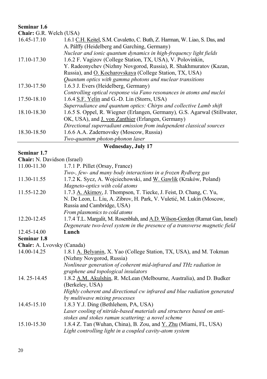#### **Seminar 1.6**

| <b>Chair:</b> G.R. Welch (USA) |  |  |
|--------------------------------|--|--|
|--------------------------------|--|--|

| 16.45-17.10 | 1.6.1 C.H. Keitel, S.M. Cavaletto, C. Buth, Z. Harman, W. Liao, S. Das, and |
|-------------|-----------------------------------------------------------------------------|
|             | A. Pálffy (Heidelberg and Garching, Germany)                                |
|             | Nuclear and ionic quantum dynamics in high-frequency light fields           |
| 17.10-17.30 | 1.6.2 F. Vagizov (College Station, TX, USA), V. Polovinkin,                 |
|             | Y. Radeonychev (Nizhny Novgorod, Russia), R. Shakhmuratov (Kazan,           |
|             | Russia), and O. Kocharovskaya (College Station, TX, USA)                    |
|             | Quantum optics with gamma photons and nuclear transitions                   |
| 17.30-17.50 | 1.6.3 J. Evers (Heidelberg, Germany)                                        |
|             | Controlling optical response via Fano resonances in atoms and nuclei        |
| 17.50-18.10 | 1.6.4 S.F. Yelin and G.-D. Lin (Storrs, USA)                                |
|             | Superradiance and quantum optics: Chirps and collective Lamb shift          |
| 18.10-18.30 | 1.6.5 S. Oppel, R. Wiegner (Erlangen, Germany), G.S. Agarwal (Stillwater,   |
|             | OK, USA), and <i>J. von Zanthier</i> (Erlangen, Germany)                    |
|             | Directional superradiant emission from independent classical sources        |
| 18.30-18.50 | 1.6.6 A.A. Zadernovsky (Moscow, Russia)                                     |
|             | Two-quantum photon-phonon laser                                             |

#### **Seminar 1.7**

## **Wednesday, July 17**

| <b>Chair:</b> N. Davidson (Israel)                                            |
|-------------------------------------------------------------------------------|
| 1.7.1 P. Pillet (Orsay, France)                                               |
| Two-, few- and many body interactions in a frozen Rydberg gas                 |
| 1.7.2 K. Sycz, A. Wojciechowski, and W. Gawlik (Kraków, Poland)               |
| Magneto-optics with cold atoms                                                |
| 1.7.3 A. Akimov, J. Thompson, T. Tiecke, J. Feist, D. Chang, C. Yu,           |
| N. De Leon, L. Liu, A. Zibrov, H. Park, V. Vuletić, M. Lukin (Moscow,         |
| Russia and Cambridge, USA)                                                    |
| From plasmonics to cold atoms                                                 |
| 1.7.4 T.L. Margalit, M. Rosenbluh, and A.D. Wilson-Gordon (Ramat Gan, Israel) |
| Degenerate two-level system in the presence of a transverse magnetic field    |
| Lunch                                                                         |
|                                                                               |
| Chair: A. Lvovsky (Canada)                                                    |
| 1.8.1 A. Belyanin, X. Yao (College Station, TX, USA), and M. Tokman           |
| (Nizhny Novgorod, Russia)                                                     |
| Nonlinear generation of coherent mid-infrared and THz radiation in            |
| graphene and topological insulators                                           |
| 1.8.2 A.M. Akulshin, R. McLean (Melbourne, Australia), and D. Budker          |
| (Berkeley, USA)                                                               |
| Highly coherent and directional cw infrared and blue radiation generated      |
| by multiwave mixing processes                                                 |
| 1.8.3 Y.J. Ding (Bethlehem, PA, USA)                                          |
| Laser cooling of nitride-based materials and structures based on anti-        |
| stokes and stokes raman scattering: a novel scheme                            |
| 1.8.4 Z. Tan (Wuhan, China), B. Zou, and Y. Zhu (Miami, FL, USA)              |
| Light controlling light in a coupled cavity-atom system                       |
|                                                                               |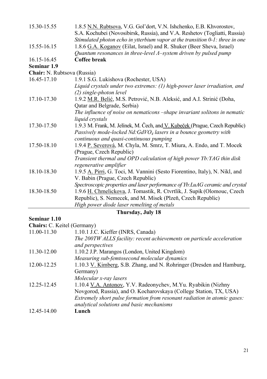| 15.30-15.55                 | 1.8.5 N.N. Rubtsova, V.G. Gol'dort, V.N. Ishchenko, E.B. Khvorostov,<br>S.A. Kochubei (Novosibirsk, Russia), and V.A. Reshetov (Togliatti, Russia) |
|-----------------------------|----------------------------------------------------------------------------------------------------------------------------------------------------|
|                             | Stimulated photon echo in ytterbium vapor at the transition 0-1: three in one                                                                      |
| 15.55-16.15                 | 1.8.6 G.A. Koganov (Eilat, Israel) and R. Shuker (Beer Sheva, Israel)                                                                              |
|                             | Quantum resonances in three-level $\Lambda$ -system driven by pulsed pump                                                                          |
| 16.15-16.45                 | Coffee break                                                                                                                                       |
| Seminar 1.9                 |                                                                                                                                                    |
| Chair: N. Rubtsova (Russia) |                                                                                                                                                    |
| 16.45-17.10                 | 1.9.1 S.G. Lukishova (Rochester, USA)                                                                                                              |
|                             | Liquid crystals under two extremes: (1) high-power laser irradiation, and                                                                          |
|                             | (2) single-photon level                                                                                                                            |
| 17.10-17.30                 | 1.9.2 M.R. Belić, M.S. Petrović, N.B. Aleksić, and A.I. Strinić (Doha,                                                                             |
|                             | Qatar and Belgrade, Serbia)                                                                                                                        |
|                             | The influence of noise on nematicons -shape invariant solitons in nematic                                                                          |
|                             | liquid crystals                                                                                                                                    |
| 17.30-17.50                 | 1.9.3 M. Frank, M. Jelínek, M. Čech, and V. Kubeček (Prague, Czech Republic)                                                                       |
|                             | Passively mode-locked Nd:GdVO <sub>4</sub> lasers in a bounce geometry with                                                                        |
|                             | continuous and quasi-continuous pumping                                                                                                            |
| 17.50-18.10                 | 1.9.4 P. Severová, M. Chyla, M. Smrz, T. Miura, A. Endo, and T. Mocek                                                                              |
|                             | (Prague, Czech Republic)                                                                                                                           |
|                             | Transient thermal and OPD calculation of high power Yb: YAG thin disk                                                                              |
|                             | regenerative amplifier                                                                                                                             |
| 18.10-18.30                 | 1.9.5 A. Pirri, G. Toci, M. Vannini (Sesto Fiorentino, Italy), N. Nikl, and                                                                        |
|                             | V. Babin (Prague, Czech Republic)                                                                                                                  |
|                             | Spectroscopic properties and laser performance of Yb:LuAG ceramic and crystal                                                                      |
| 18.30-18.50                 | 1.9.6 H. Chmelickova, J. Tomastik, R. Ctvrtlik, J. Supik (Olomouc, Czech                                                                           |
|                             | Republic), S. Nemecek, and M. Misek (Plzeň, Czech Republic)                                                                                        |
|                             | High power diode laser remelting of metals                                                                                                         |
| Thursday, July 18           |                                                                                                                                                    |

#### **Seminar 1.10**

| Chairs: C. Keitel (Germany) |                                                                          |
|-----------------------------|--------------------------------------------------------------------------|
| 11.00-11.30                 | 1.10.1 J.C. Kieffer (INRS, Canada)                                       |
|                             | The 200TW ALLS facility: recent achievements on particule acceleration   |
|                             | and perspectives                                                         |
| 11.30-12.00                 | 1.10.2 J.P. Marangos (London, United Kingdom)                            |
|                             | Measuring sub-femtosecond molecular dynamics                             |
| 12.00-12.25                 | 1.10.3 V. Kimberg, S.B. Zhang, and N. Rohringer (Dresden and Hamburg,    |
|                             | Germany)                                                                 |
|                             | Molecular x-ray lasers                                                   |
| 12.25-12.45                 | 1.10.4 V.A. Antonov, Y.V. Radeonychev, M.Yu. Ryabikin (Nizhny            |
|                             | Novgorod, Russia), and O. Kocharovskaya (College Station, TX, USA)       |
|                             | Extremely short pulse formation from resonant radiation in atomic gases: |
|                             | analytical solutions and basic mechanisms                                |
| 12.45-14.00                 | Lunch                                                                    |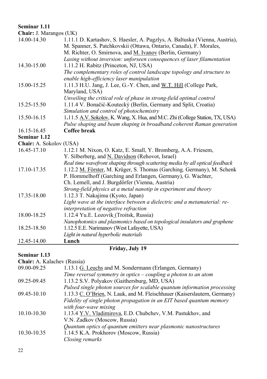#### **Seminar 1.11**

**Chair:** J. Marangos (UK)

| M. Spanner, S. Patchkovskii (Ottawa, Ontario, Canada), F. Morales,<br>M. Richter, O. Smirnova, and M. Ivanov (Berlin, Germany)<br>Lasing without inversion: unforseen consequences of laser filamentation<br>14.30-15.00<br>1.11.2 H. Rabitz (Princeton, NJ, USA)<br>The complementary roles of control landscape topology and structure to<br>enable high-efficiency laser manipulation<br>15.00-15.25<br>1.11.3 H.U. Jang, J. Lee, G.-Y. Chen, and W.T. Hill (College Park,<br>Maryland, USA)<br>Unveiling the critical role of phase in strong-field optimal control<br>15.25-15.50<br>1.11.4 V. Bonačić-Koutecký (Berlin, Germany and Split, Croatia)<br>Simulation and control of photochemistry<br>1.11.5 A.V. Sokolov, K. Wang, X. Hua, and M.C. Zhi (College Station, TX, USA)<br>15.50-16.15<br>Pulse shaping and beam shaping in broadband coherent Raman generation<br>Coffee break<br>16.15-16.45<br><b>Chair:</b> A. Sokolov (USA)<br>16.45-17.10<br>1.12.1 M. Nixon, O. Katz, E. Small, Y. Bromberg, A.A. Friesem,<br>Y. Silberberg, and N. Davidson (Rehovot, Israel)<br>Real time wavefront shaping through scattering media by all optical feedback<br>1.12.2 M. Förster, M. Krüger, S. Thomas (Garching, Germany), M. Schenk<br>17.10-17.35<br>P. Hommelhoff (Garching and Erlangen, Germany), G. Wachter,<br>Ch. Lemell, and J. Burgdörfer (Vienna, Austria)<br>Strong-field physics at a metal nanotip in experiment and theory<br>17.35-18.00<br>1.12.3 T. Nakajima (Kyoto, Japan)<br>Light wave at the interface between a dielectric and a metamaterial: re-<br>interpretation of negative refraction<br>18.00-18.25<br>1.12.4 Yu.E. Lozovik (Troitsk, Russia)<br>Nanophotonics and plasmonics based on topological insulators and graphene<br>1.12.5 E.E. Narimanov (West Lafayette, USA)<br>18.25-18.50<br>Light in natural hyperbolic materials<br>Lunch |                     |                                                                             |
|------------------------------------------------------------------------------------------------------------------------------------------------------------------------------------------------------------------------------------------------------------------------------------------------------------------------------------------------------------------------------------------------------------------------------------------------------------------------------------------------------------------------------------------------------------------------------------------------------------------------------------------------------------------------------------------------------------------------------------------------------------------------------------------------------------------------------------------------------------------------------------------------------------------------------------------------------------------------------------------------------------------------------------------------------------------------------------------------------------------------------------------------------------------------------------------------------------------------------------------------------------------------------------------------------------------------------------------------------------------------------------------------------------------------------------------------------------------------------------------------------------------------------------------------------------------------------------------------------------------------------------------------------------------------------------------------------------------------------------------------------------------------------------------------------------------------------------------------------------------------------------|---------------------|-----------------------------------------------------------------------------|
|                                                                                                                                                                                                                                                                                                                                                                                                                                                                                                                                                                                                                                                                                                                                                                                                                                                                                                                                                                                                                                                                                                                                                                                                                                                                                                                                                                                                                                                                                                                                                                                                                                                                                                                                                                                                                                                                                    | 14.00-14.30         | 1.11.1 D. Kartashov, S. Haesler, A. Pugzlys, A. Baltuska (Vienna, Austria), |
|                                                                                                                                                                                                                                                                                                                                                                                                                                                                                                                                                                                                                                                                                                                                                                                                                                                                                                                                                                                                                                                                                                                                                                                                                                                                                                                                                                                                                                                                                                                                                                                                                                                                                                                                                                                                                                                                                    |                     |                                                                             |
|                                                                                                                                                                                                                                                                                                                                                                                                                                                                                                                                                                                                                                                                                                                                                                                                                                                                                                                                                                                                                                                                                                                                                                                                                                                                                                                                                                                                                                                                                                                                                                                                                                                                                                                                                                                                                                                                                    |                     |                                                                             |
|                                                                                                                                                                                                                                                                                                                                                                                                                                                                                                                                                                                                                                                                                                                                                                                                                                                                                                                                                                                                                                                                                                                                                                                                                                                                                                                                                                                                                                                                                                                                                                                                                                                                                                                                                                                                                                                                                    |                     |                                                                             |
|                                                                                                                                                                                                                                                                                                                                                                                                                                                                                                                                                                                                                                                                                                                                                                                                                                                                                                                                                                                                                                                                                                                                                                                                                                                                                                                                                                                                                                                                                                                                                                                                                                                                                                                                                                                                                                                                                    |                     |                                                                             |
|                                                                                                                                                                                                                                                                                                                                                                                                                                                                                                                                                                                                                                                                                                                                                                                                                                                                                                                                                                                                                                                                                                                                                                                                                                                                                                                                                                                                                                                                                                                                                                                                                                                                                                                                                                                                                                                                                    |                     |                                                                             |
|                                                                                                                                                                                                                                                                                                                                                                                                                                                                                                                                                                                                                                                                                                                                                                                                                                                                                                                                                                                                                                                                                                                                                                                                                                                                                                                                                                                                                                                                                                                                                                                                                                                                                                                                                                                                                                                                                    |                     |                                                                             |
|                                                                                                                                                                                                                                                                                                                                                                                                                                                                                                                                                                                                                                                                                                                                                                                                                                                                                                                                                                                                                                                                                                                                                                                                                                                                                                                                                                                                                                                                                                                                                                                                                                                                                                                                                                                                                                                                                    |                     |                                                                             |
|                                                                                                                                                                                                                                                                                                                                                                                                                                                                                                                                                                                                                                                                                                                                                                                                                                                                                                                                                                                                                                                                                                                                                                                                                                                                                                                                                                                                                                                                                                                                                                                                                                                                                                                                                                                                                                                                                    |                     |                                                                             |
|                                                                                                                                                                                                                                                                                                                                                                                                                                                                                                                                                                                                                                                                                                                                                                                                                                                                                                                                                                                                                                                                                                                                                                                                                                                                                                                                                                                                                                                                                                                                                                                                                                                                                                                                                                                                                                                                                    |                     |                                                                             |
|                                                                                                                                                                                                                                                                                                                                                                                                                                                                                                                                                                                                                                                                                                                                                                                                                                                                                                                                                                                                                                                                                                                                                                                                                                                                                                                                                                                                                                                                                                                                                                                                                                                                                                                                                                                                                                                                                    |                     |                                                                             |
|                                                                                                                                                                                                                                                                                                                                                                                                                                                                                                                                                                                                                                                                                                                                                                                                                                                                                                                                                                                                                                                                                                                                                                                                                                                                                                                                                                                                                                                                                                                                                                                                                                                                                                                                                                                                                                                                                    |                     |                                                                             |
|                                                                                                                                                                                                                                                                                                                                                                                                                                                                                                                                                                                                                                                                                                                                                                                                                                                                                                                                                                                                                                                                                                                                                                                                                                                                                                                                                                                                                                                                                                                                                                                                                                                                                                                                                                                                                                                                                    |                     |                                                                             |
|                                                                                                                                                                                                                                                                                                                                                                                                                                                                                                                                                                                                                                                                                                                                                                                                                                                                                                                                                                                                                                                                                                                                                                                                                                                                                                                                                                                                                                                                                                                                                                                                                                                                                                                                                                                                                                                                                    |                     |                                                                             |
|                                                                                                                                                                                                                                                                                                                                                                                                                                                                                                                                                                                                                                                                                                                                                                                                                                                                                                                                                                                                                                                                                                                                                                                                                                                                                                                                                                                                                                                                                                                                                                                                                                                                                                                                                                                                                                                                                    |                     |                                                                             |
|                                                                                                                                                                                                                                                                                                                                                                                                                                                                                                                                                                                                                                                                                                                                                                                                                                                                                                                                                                                                                                                                                                                                                                                                                                                                                                                                                                                                                                                                                                                                                                                                                                                                                                                                                                                                                                                                                    | <b>Seminar 1.12</b> |                                                                             |
|                                                                                                                                                                                                                                                                                                                                                                                                                                                                                                                                                                                                                                                                                                                                                                                                                                                                                                                                                                                                                                                                                                                                                                                                                                                                                                                                                                                                                                                                                                                                                                                                                                                                                                                                                                                                                                                                                    |                     |                                                                             |
|                                                                                                                                                                                                                                                                                                                                                                                                                                                                                                                                                                                                                                                                                                                                                                                                                                                                                                                                                                                                                                                                                                                                                                                                                                                                                                                                                                                                                                                                                                                                                                                                                                                                                                                                                                                                                                                                                    |                     |                                                                             |
|                                                                                                                                                                                                                                                                                                                                                                                                                                                                                                                                                                                                                                                                                                                                                                                                                                                                                                                                                                                                                                                                                                                                                                                                                                                                                                                                                                                                                                                                                                                                                                                                                                                                                                                                                                                                                                                                                    |                     |                                                                             |
|                                                                                                                                                                                                                                                                                                                                                                                                                                                                                                                                                                                                                                                                                                                                                                                                                                                                                                                                                                                                                                                                                                                                                                                                                                                                                                                                                                                                                                                                                                                                                                                                                                                                                                                                                                                                                                                                                    |                     |                                                                             |
|                                                                                                                                                                                                                                                                                                                                                                                                                                                                                                                                                                                                                                                                                                                                                                                                                                                                                                                                                                                                                                                                                                                                                                                                                                                                                                                                                                                                                                                                                                                                                                                                                                                                                                                                                                                                                                                                                    |                     |                                                                             |
|                                                                                                                                                                                                                                                                                                                                                                                                                                                                                                                                                                                                                                                                                                                                                                                                                                                                                                                                                                                                                                                                                                                                                                                                                                                                                                                                                                                                                                                                                                                                                                                                                                                                                                                                                                                                                                                                                    |                     |                                                                             |
|                                                                                                                                                                                                                                                                                                                                                                                                                                                                                                                                                                                                                                                                                                                                                                                                                                                                                                                                                                                                                                                                                                                                                                                                                                                                                                                                                                                                                                                                                                                                                                                                                                                                                                                                                                                                                                                                                    |                     |                                                                             |
|                                                                                                                                                                                                                                                                                                                                                                                                                                                                                                                                                                                                                                                                                                                                                                                                                                                                                                                                                                                                                                                                                                                                                                                                                                                                                                                                                                                                                                                                                                                                                                                                                                                                                                                                                                                                                                                                                    |                     |                                                                             |
|                                                                                                                                                                                                                                                                                                                                                                                                                                                                                                                                                                                                                                                                                                                                                                                                                                                                                                                                                                                                                                                                                                                                                                                                                                                                                                                                                                                                                                                                                                                                                                                                                                                                                                                                                                                                                                                                                    |                     |                                                                             |
|                                                                                                                                                                                                                                                                                                                                                                                                                                                                                                                                                                                                                                                                                                                                                                                                                                                                                                                                                                                                                                                                                                                                                                                                                                                                                                                                                                                                                                                                                                                                                                                                                                                                                                                                                                                                                                                                                    |                     |                                                                             |
|                                                                                                                                                                                                                                                                                                                                                                                                                                                                                                                                                                                                                                                                                                                                                                                                                                                                                                                                                                                                                                                                                                                                                                                                                                                                                                                                                                                                                                                                                                                                                                                                                                                                                                                                                                                                                                                                                    |                     |                                                                             |
|                                                                                                                                                                                                                                                                                                                                                                                                                                                                                                                                                                                                                                                                                                                                                                                                                                                                                                                                                                                                                                                                                                                                                                                                                                                                                                                                                                                                                                                                                                                                                                                                                                                                                                                                                                                                                                                                                    |                     |                                                                             |
|                                                                                                                                                                                                                                                                                                                                                                                                                                                                                                                                                                                                                                                                                                                                                                                                                                                                                                                                                                                                                                                                                                                                                                                                                                                                                                                                                                                                                                                                                                                                                                                                                                                                                                                                                                                                                                                                                    |                     |                                                                             |
|                                                                                                                                                                                                                                                                                                                                                                                                                                                                                                                                                                                                                                                                                                                                                                                                                                                                                                                                                                                                                                                                                                                                                                                                                                                                                                                                                                                                                                                                                                                                                                                                                                                                                                                                                                                                                                                                                    |                     |                                                                             |
|                                                                                                                                                                                                                                                                                                                                                                                                                                                                                                                                                                                                                                                                                                                                                                                                                                                                                                                                                                                                                                                                                                                                                                                                                                                                                                                                                                                                                                                                                                                                                                                                                                                                                                                                                                                                                                                                                    |                     |                                                                             |
|                                                                                                                                                                                                                                                                                                                                                                                                                                                                                                                                                                                                                                                                                                                                                                                                                                                                                                                                                                                                                                                                                                                                                                                                                                                                                                                                                                                                                                                                                                                                                                                                                                                                                                                                                                                                                                                                                    | 12.45-14.00         |                                                                             |

## **Friday, July 19**

#### **Seminar 1.13**

| Chair: A. Kalachev (Russia)                                               |  |  |
|---------------------------------------------------------------------------|--|--|
|                                                                           |  |  |
|                                                                           |  |  |
|                                                                           |  |  |
| Pulsed single photon sources for scalable quantum information processing  |  |  |
| 1.13.3 C. O'Brien, N. Lauk, and M. Fleischhauer (Kaiserslautern, Germany) |  |  |
| Fidelity of single photon propagation in an EIT based quantum memory      |  |  |
|                                                                           |  |  |
|                                                                           |  |  |
|                                                                           |  |  |
|                                                                           |  |  |
|                                                                           |  |  |
|                                                                           |  |  |
|                                                                           |  |  |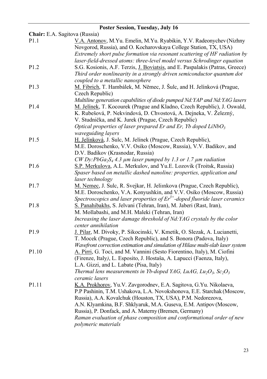| Poster Session, Tuesday, July 16 |                                                                                                                                                                                                                                                                                                                                                                                                                                             |  |
|----------------------------------|---------------------------------------------------------------------------------------------------------------------------------------------------------------------------------------------------------------------------------------------------------------------------------------------------------------------------------------------------------------------------------------------------------------------------------------------|--|
| Chair: E.A. Sagitova (Russia)    |                                                                                                                                                                                                                                                                                                                                                                                                                                             |  |
| P <sub>1.1</sub>                 | V.A. Antonov, M.Yu. Emelin, M.Yu. Ryabikin, Y.V. Radeonychev (Nizhny<br>Novgorod, Russia), and O. Kocharovskaya College Station, TX, USA)<br>Extremely short pulse formation via resonant scattering of HF radiation by<br>laser-field-dressed atoms: three-level model versus Schrodinger equation                                                                                                                                         |  |
| P <sub>1.2</sub>                 | S.G. Kosionis, A.F. Terzis, J. Boviatsis, and E. Paspalakis (Patras, Greece)<br>Third order nonlinearity in a strongly driven semiconductor quantum dot<br>coupled to a metallic nanosphere                                                                                                                                                                                                                                                 |  |
| P <sub>1.3</sub>                 | M. Fibrich, T. Hambálek, M. Němec, J. Šulc, and H. Jelínková (Prague,<br>Czech Republic)<br>Multiline generation capabilities of diode pumped Nd: YAP and Nd: YAG lasers                                                                                                                                                                                                                                                                    |  |
| P <sub>1.4</sub>                 | M. Jelínek, T. Kocourek (Prague and Kladno, Czech Republic), J. Oswald,<br>K. Rubešová, P. Nekvindová, D. Chvostová, A. Dejneka, V. Železný,<br>V. Studnička, and K. Jurek (Prague, Czech Republic)<br>Optical properties of laser prepared Er and Er, Yb doped $LiNbO3$<br>waveguiding layers                                                                                                                                              |  |
| P <sub>1.5</sub>                 | H. Jelínková, J. Sulc, M. Jelínek (Prague, Czech Republic),<br>M.E. Doroschenko, V.V. Osiko (Moscow, Russia), V.V. Badikov, and<br>D.V. Badikov (Krasnodar, Russia)<br>CW Dy:PbGa <sub>2</sub> S <sub>4</sub> 4.3 $\mu$ m laser pumped by 1.3 or 1.7 $\mu$ m radiation                                                                                                                                                                      |  |
| P <sub>1.6</sub>                 | S.P. Merkulova, A.L. Merkulov, and Yu.E. Lozovik (Troitsk, Russia)<br>Spaser based on metallic dashed nanoline: properties, application and<br>laser technology                                                                                                                                                                                                                                                                             |  |
| P <sub>1.7</sub>                 | M. Nemec, J. Sulc, R. Svejkar, H. Jelinkova (Prague, Czech Republic),<br>M.E. Doroschenko, V.A. Konyushkin, and V.V. Osiko (Moscow, Russia)<br>Spectroscopics and laser properties of $Er^{3+}$ -doped fluoride laser ceramics                                                                                                                                                                                                              |  |
| P <sub>1.8</sub>                 | S. Panahibakhs, S. Jelvani (Tehran, Iran), M. Jaberi (Rast, Iran),<br>M. Mollabashi, and M.H. Maleki (Tehran, Iran)<br>Increasing the laser damage threshold of Nd:YAG crystals by the color<br>center annihilation                                                                                                                                                                                                                         |  |
| P <sub>1.9</sub>                 | J. Pilar, M. Divoky, P. Sikocinski, V. Kmetik, O. Slezak, A. Lucianetti,<br>T. Mocek (Prague, Czech Republic), and S. Bonora (Padova, Italy)<br>Wavefront correction estimation and simulation of Hilase multi-slab laser system                                                                                                                                                                                                            |  |
| P <sub>1.10</sub>                | A. Pirri, G. Toci, and M. Vannini (Sesto Fiorentino, Italy), M. Ciofini<br>(Firenze, Italy), L. Esposito, J. Hostaša, A. Lapucci (Faenza, Italy),<br>L.A. Gizzi, and L. Labate (Pisa, Italy)<br>Thermal lens measurements in Yb-doped YAG, LuAG, Lu <sub>2</sub> O <sub>3</sub> , Sc <sub>2</sub> O <sub>3</sub><br>ceramic lasers                                                                                                          |  |
| P <sub>1.11</sub>                | K.A. Prokhorov, Yu.V. Zavgorodnev, E.A. Sagitova, G.Yu. Nikolaeva,<br>P.P Pashinin, T.M. Ushakova, L.A. Novokshonova, E.E. Starchak (Moscow,<br>Russia), A.A. Kovalchuk (Houston, TX, USA), P.M. Nedorezova,<br>A.N. Klyamkina, B.F. Shklyaruk, M.A. Guseva, E.M. Antipov (Moscow,<br>Russia), P. Donfack, and A. Materny (Bremen, Germany)<br>Raman evaluation of phase composition and conformational order of new<br>polymeric materials |  |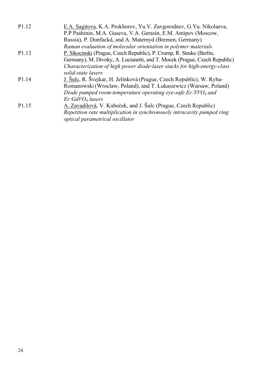| P <sub>1</sub> 1 <sub>2</sub> | E.A. Sagitova, K.A. Prokhorov, Yu.V. Zavgorodnev, G.Yu. Nikolaeva,        |
|-------------------------------|---------------------------------------------------------------------------|
|                               | P.P Pashinin, M.A. Guseva, V.A. Gerasin, E.M. Antipov (Moscow,            |
|                               | Russia), P. Donfackd, and A. Maternyd (Bremen, Germany)                   |
|                               | Raman evaluation of molecular orientation in polymer materials            |
| P <sub>1.13</sub>             | P. Sikocinski (Prague, Czech Republic), P. Crump, R. Staske (Berlin,      |
|                               | Germany), M. Divoky, A. Lucianetti, and T. Mocek (Prague, Czech Republic) |
|                               | Characterization of high power diode-laser stacks for high-energy-class   |
|                               | solid-state lasers                                                        |
| P <sub>1.14</sub>             | J. Šulc, R. Švejkar, H. Jelínková (Prague, Czech Republic), W. Ryba-      |
|                               | Romanowski (Wroclaw, Poland), and T. Łukasiewicz (Warsaw, Poland)         |
|                               | Diode pumped room-temperature operating eye-safe $Er: YVO_4$ and          |
|                               | Er:GdVO <sub>4</sub> lasers                                               |
| P <sub>1.15</sub>             | A. Zavadilová, V. Kubeček, and J. Šulc (Prague, Czech Republic)           |
|                               | Repetition rate multiplication in synchronously intracavity pumped ring   |
|                               | optical parametrical oscillator                                           |
|                               |                                                                           |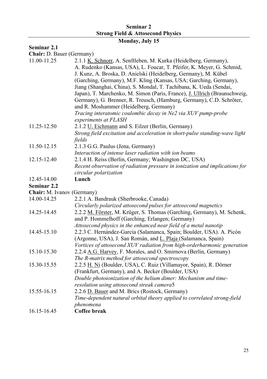### **Seminar 2 Strong Field & Attosecond Physics**

## **Monday, July 15**

## **Seminar 2.1**

**Chair:** D. Bauer (Germany)

| 11.00-11.25                       | 2.1.1 K. Schnorr, A. Senftleben, M. Kurka (Heidelberg, Germany),<br>A. Rudenko (Kansas, USA), L. Foucar, T. Pfeifer, K. Meyer, G. Schmid, |
|-----------------------------------|-------------------------------------------------------------------------------------------------------------------------------------------|
|                                   | J. Kunz, A. Broska, D. Anielski (Heidelberg, Germany), M. Kübel                                                                           |
|                                   | (Garching, Germany), M.F. Kling (Kansas, USA; Garching, Germany),                                                                         |
|                                   | Jiang (Shanghai, China), S. Mondal, T. Tachibana, K. Ueda (Sendai,                                                                        |
|                                   | Japan), T. Marchenko, M. Simon (Paris, France), J. Ullrich (Braunschweig,                                                                 |
|                                   | Germany), G. Brenner, R. Treusch, (Hamburg, Germany), C.D. Schröter,                                                                      |
|                                   | and R. Moshammer (Heidelberg, Germany)                                                                                                    |
|                                   | Tracing interatomic coulombic decay in Ne2 via XUV pump-probe                                                                             |
|                                   | experiments at FLASH                                                                                                                      |
| 11.25-12.50                       | 2.1.2 U. Eichmann and S. Eilzer (Berlin, Germany)                                                                                         |
|                                   | Strong field excitation and acceleration in short-pulse standing-wave light                                                               |
|                                   | fields                                                                                                                                    |
| 11.50-12.15                       | 2.1.3 G.G. Paulus (Jena, Germany)                                                                                                         |
|                                   | Interaction of intense laser radiation with ion beams                                                                                     |
| 12.15-12.40                       | 2.1.4 H. Reiss (Berlin, Germany; Washington DC, USA)                                                                                      |
|                                   | Recent observation of radiation pressure in ionization and implications for                                                               |
|                                   | circular polarization                                                                                                                     |
| 12.45-14.00                       | Lunch                                                                                                                                     |
| Seminar 2.2                       |                                                                                                                                           |
| <b>Chair:</b> M. Ivanov (Germany) |                                                                                                                                           |
| 14.00-14.25                       | 2.2.1 A. Bandrauk (Sherbrooke, Canada)                                                                                                    |
|                                   | Circularly polarized attosecond pulses for attosecond magnetics                                                                           |
| 14.25-14.45                       | 2.2.2 M. Förster, M. Krüger, S. Thomas (Garching, Germany), M. Schenk,                                                                    |
|                                   | and P. Hommelhoff (Garching, Erlangen; Germany)                                                                                           |
|                                   | Attosecond physics in the enhanced near field of a metal nanotip                                                                          |
| 14.45-15.10                       | 2.2.3 C. Hernández-García (Salamanca, Spain; Boulder, USA). A. Picón                                                                      |
|                                   | (Argonne, USA), J. San Román, and L. Plaja (Salamanca, Spain)                                                                             |
|                                   | Vortices of attosecond XUV radiation from high-orderharmonic generation                                                                   |
| 15.10-15.30                       | 2.2.4 A.G. Harvey, F. Morales, and O. Smirnova (Berlin, Germany)                                                                          |
|                                   | The R-matrix method for attosecond spectroscopy                                                                                           |
| 15.30-15.55                       | 2.2.5 H. Ni (Boulder, USA), C. Ruiz (Villamayor, Spain), R. Dörner                                                                        |
|                                   | (Frankfurt, Germany), and A. Becker (Boulder, USA)                                                                                        |
|                                   | Double photoionization of the helium dimer: Mechanism and time-                                                                           |
|                                   | resolution using attosecond streak camera5                                                                                                |
| 15.55-16.15                       | 2.2.6 D. Bauer and M. Brics (Rostock, Germany)                                                                                            |
|                                   | Time-dependent natural orbital theory applied to correlated strong-field                                                                  |
|                                   | phenomena                                                                                                                                 |
| 16.15-16.45                       | Coffee break                                                                                                                              |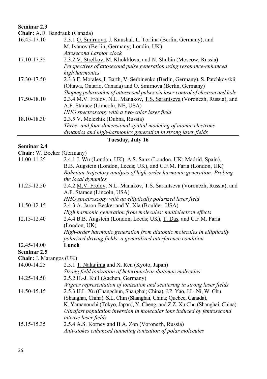## **Seminar 2.3**

**Chair:** A.D. Bandrauk (Canada)

| 16.45-17.10 | 2.3.1 O. Smirnova, J. Kaushal, L. Torlina (Berlin, Germany), and                 |
|-------------|----------------------------------------------------------------------------------|
|             | M. Ivanov (Berlin, Germany; Londin, UK)                                          |
|             | Attosecond Larmor clock                                                          |
| 17.10-17.35 | 2.3.2 V. Strelkov, M. Khokhlova, and N. Shubin (Moscow, Russia)                  |
|             | Perspectives of attosecond pulse generation using resonance-enhanced             |
|             | high harmonics                                                                   |
| 17.30-17.50 | 2.3.3 F. Morales, I. Barth, V. Serbinenko (Berlin, Germany), S. Patchkovskii     |
|             | (Ottawa, Ontario, Canada) and O. Smirnova (Berlin, Germany)                      |
|             | Shaping polarization of attosecond pulses via laser control of electron and hole |
| 17.50-18.10 | 2.3.4 M.V. Frolov, N.L. Manakov, T.S. Sarantseva (Voronezh, Russia), and         |
|             | A.F. Starace (Limcoln, NE, USA)                                                  |
|             | HHG spectroscopy with a two-color laser field                                    |
| 18.10-18.30 | 2.3.5 V. Melezhik (Dubna, Russia)                                                |
|             | Three- and four-dimensional spatial modeling of atomic electrons                 |
|             | dynamics and high-harmonics generation in strong laser fields                    |

## **Tuesday, July 16**

#### **Seminar 2.4**

| <b>Chair:</b> W. Becker (Germany) |                                                                           |
|-----------------------------------|---------------------------------------------------------------------------|
| 11.00-11.25                       | 2.4.1 J. Wu (London, UK), A.S. Sanz (London, UK; Madrid, Spain),          |
|                                   | B.B. Augstein (London, Leeds; UK), and C.F.M. Faria (London, UK)          |
|                                   | Bohmian-trajectory analysis of high-order harmonic generation: Probing    |
|                                   | the local dynamics                                                        |
| 11.25-12.50                       | 2.4.2 M.V. Frolov, N.L. Manakov, T.S. Sarantseva (Voronezh, Russia), and  |
|                                   | A.F. Starace (Lincoln, USA)                                               |
|                                   | HHG spectroscopy with an elliptically polarized laser field               |
| 11.50-12.15                       | 2.4.3 A. Jaron-Becker and Y. Xia (Boulder, USA)                           |
|                                   | High harmonic generation from molecules: multielectron effects            |
| 12.15-12.40                       | 2.4.4 B.B. Augstein (London, Leeds; UK), T. Das, and C.F.M. Faria         |
|                                   | (London, UK)                                                              |
|                                   | High-order harmonic generation from diatomic molecules in elliptically    |
|                                   | polarized driving fields: a generalized interference condition            |
|                                   |                                                                           |
| 12.45-14.00                       | Lunch                                                                     |
| Seminar 2.5                       |                                                                           |
| Chair: J. Marangos (UK)           |                                                                           |
| 14.00-14.25                       | 2.5.1 T. Nakajima and X. Ren (Kyoto, Japan)                               |
|                                   | Strong field ionization of heteronuclear diatomic molecules               |
| 14.25-14.50                       | 2.5.2 H.-J. Kull (Aachen, Germany)                                        |
|                                   | Wigner representation of ionization and scattering in strong laser fields |
| 14.50-15.15                       | 2.5.3 H.L. Xu (Changchun, Shanghai; China), J.P. Yao, J.L. Ni, W. Chu     |
|                                   | (Shanghai, China), S.L. Chin (Shanghai, China; Quebec, Canada),           |
|                                   | K. Yamanouchi (Tokyo, Japan), Y. Cheng, and Z.Z. Xu Chu (Shanghai, China) |
|                                   | Ultrafast population inversion in molecular ions induced by femtosecond   |
|                                   | intense laser fields                                                      |
| 15.15-15.35                       | 2.5.4 A.S. Korney and B.A. Zon (Voronezh, Russia)                         |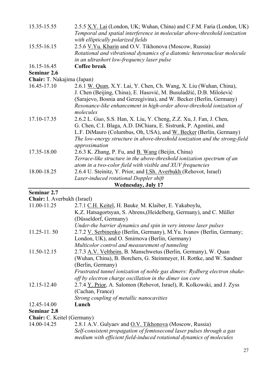| 15.35-15.55                | 2.5.5 X.Y. Lai (London, UK; Wuhan, China) and C.F.M. Faria (London, UK)                                         |
|----------------------------|-----------------------------------------------------------------------------------------------------------------|
|                            | Temporal and spatial interference in molecular above-threshold ionization<br>with elliptically polarized fields |
| 15.55-16.15                | 2.5.6 V.Yu. Kharin and O.V. Tikhonova (Moscow, Russia)                                                          |
|                            | Rotational and vibrational dynamics of a diatomic heteronuclear molecule                                        |
|                            | in an ultrashort low-frequency laser pulse                                                                      |
| 16.15-16.45                | Coffee break                                                                                                    |
| Seminar 2.6                |                                                                                                                 |
| Chair: T. Nakajima (Japan) |                                                                                                                 |
| 16.45-17.10                | 2.6.1 W. Quan, X.Y. Lai, Y. Chen, Ch. Wang, X. Liu (Wuhan, China),                                              |
|                            | J. Chen (Beijing, China), E. Hasović, M. Busuladžić, D.B. Milošević                                             |
|                            | (Sarajevo, Bosnia and Gerzegivina), and W. Becker (Berlin, Germany)                                             |
|                            | Resonance-like enhancement in high-order above-threshold ionization of<br>molecules                             |
| 17.10-17.35                | 2.6.2 L. Guo, S.S. Han, X. Liu, Y. Cheng, Z.Z. Xu, J. Fan, J. Chen,                                             |
|                            | G. Chen, C.I. Blaga, A.D. DiChiara, E. Sistrunk, P. Agostini, and                                               |
|                            | L.F. DiMauro (Columbus, Oh, USA), and W. Becker (Berlin, Germany)                                               |
|                            | The low-energy structure in above-threshold ionization and the strong-field                                     |
|                            | approximation                                                                                                   |
| 17.35-18.00                | 2.6.3 K. Zhang, P. Fu, and <u>B. Wang</u> (Beijin, China)                                                       |
|                            | Terrace-like structure in the above-threshold ionization spectrum of an                                         |
|                            | atom in a two-color field with visible and XUV frequencies                                                      |
| 18.00-18.25                | 2.6.4 U. Steinitz, Y. Prior, and <i>I.Sh. Averbukh</i> (Rehovot, Israel)                                        |
|                            | Laser-induced rotational Doppler shift                                                                          |
|                            | <b>Wednesday, July 17</b>                                                                                       |

#### **Seminar 2.7**

**Chair:** I. Averbukh (Israel)

| 11.00-11.25                       | 2.7.1 C.H. Keitel, H. Bauke M. Klaiber, E. Yakaboylu,                     |
|-----------------------------------|---------------------------------------------------------------------------|
|                                   | K.Z. Hatsagortsyan, S. Ahrens, (Heidelberg, Germany), and C. Müller       |
|                                   | (Düsseldorf, Germany)                                                     |
|                                   | Under-the barrier dynamics and spin in very intense laser pulses          |
| 11.25-11.50                       | 2.7.2 V. Serbinenko (Berlin, Germany), M.Yu. Ivanov (Berlin, Germany;     |
|                                   | London, UK), and O. Smirnova (Berlin, Germany)                            |
|                                   | Multicolor control and measurement of tunneling                           |
| 11.50-12.15                       | 2.7.3 A.V. Veltheim, B. Manschwetus (Berlin, Germany), W. Quan            |
|                                   | (Wuhan, China), B. Borchers, G. Steinmeyer, H. Rottke, and W. Sandner     |
|                                   | (Berlin, Germany)                                                         |
|                                   | Frustrated tunnel ionization of noble gas dimers: Rydberg electron shake- |
|                                   | off by electron charge oscillation in the dimer ion core                  |
| 12.15-12.40                       | 2.7.4 Y. Prior, A. Salomon (Rehovot, Israel), R. Kolkowski, and J. Zyss   |
|                                   | (Cachan, France)                                                          |
|                                   | Strong coupling of metallic nanocavities                                  |
| 12.45-14.00                       | Lunch                                                                     |
| Seminar 2.8                       |                                                                           |
| <b>Chair:</b> C. Keitel (Germany) |                                                                           |
| 14.00-14.25                       | 2.8.1 A.V. Gulyaev and O.V. Tikhonova (Moscow, Russia)                    |

| 1.VV-14. <i>LJ</i> | 2.0.1 A.V. OUIVACY AND O.V. TIKININVA (IVIOSCOW, KUSSIA)              |
|--------------------|-----------------------------------------------------------------------|
|                    | Self-consistent propagation of femtosecond laser pulses through a gas |
|                    | medium with efficient field-induced rotational dynamics of molecules  |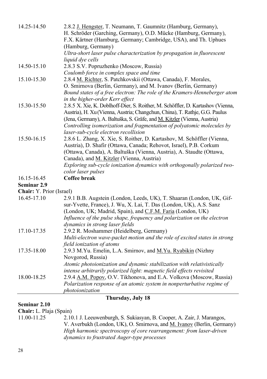| 14.25-14.50              | 2.8.2 J. Hengster, T. Neumann, T. Gaumnitz (Hamburg, Germany),                  |
|--------------------------|---------------------------------------------------------------------------------|
|                          | H. Schröder (Garching, Germany), O.D. Mücke (Hamburg, Germany),                 |
|                          | F.X. Kärtner (Hamburg, Germany; Cambridge, USA), and Th. Uphues                 |
|                          | (Hamburg, Germany)                                                              |
|                          | Ultra-short laser pulse characterization by propagation in fluorescent          |
|                          | liquid dye cells                                                                |
| 14.50-15.10              | 2.8.3 S.V. Popruzhenko (Moscow, Russia)                                         |
|                          | Coulomb force in complex space and time                                         |
| 15.10-15.30              | 2.8.4 M. Richter, S. Patchkovskii (Ottawa, Canada), F. Morales,                 |
|                          | O. Smirnova (Berlin, Germany), and M. Ivanov (Berlin, Germany)                  |
|                          | Bound states of a free electron: The role of the Kramers-Henneberger atom       |
|                          | in the higher-order Kerr effect                                                 |
| 15.30-15.50              | 2.8.5 X. Xie, K. Doblhoff-Dier, S. Roither, M. Schöffler, D. Kartashov (Vienna, |
|                          | Austria), H. Xu (Vienna, Austria; Changchun, China), T. Rathje, G.G. Paulus     |
|                          | (Jena, Germany), A. Baltuška, S. Gräfe, and M. Kitzler (Vienna, Austria)        |
|                          | Controlling isomerization and fragmentation of polyatomic molecules by          |
|                          | laser-sub-cycle electron recollision                                            |
| 15.50-16.15              | 2.8.6 L. Zhang, X. Xie, S. Roither, D. Kartashov, M. Schöffler (Vienna,         |
|                          | Austria), D. Shafir (Ottawa, Canada; Rehovot, Israel), P.B. Corkum              |
|                          | (Ottawa, Canada), A. Baltuška (Vienna, Austria), A. Staudte (Ottawa,            |
|                          | Canada), and M. Kitzler (Vienna, Austria)                                       |
|                          | Exploring sub-cycle ionization dynamics with orthogonally polarized two-        |
|                          | color laser pulses                                                              |
| 16.15-16.45              | Coffee break                                                                    |
| <b>Seminar 2.9</b>       |                                                                                 |
| Chair: Y. Prior (Israel) |                                                                                 |
| 16.45-17.10              | 2.9.1 B.B. Augstein (London, Leeds, UK), T. Shaaran (London, UK, Gif-           |
|                          | sur-Yvette, France), J. Wu, X. Lai, T. Das (London, UK), A.S. Sanz              |
|                          | (London, UK; Madrid, Spain), and C.F.M. Faria (London, UK)                      |
|                          | Influence of the pulse shape, frequency and polarization on the electron        |
|                          | dynamics in strong laser fields                                                 |
| 17.10-17.35              | 2.9.2 R. Moshammer (Heidelberg, Germany)                                        |
|                          | Multi-electron wave-packet motion and the role of excited states in strong      |
|                          | field ionization of atoms                                                       |
| 17.35-18.00              | 2.9.3 M.Yu. Emelin, L.A. Smirnov, and M.Yu. Ryabikin (Nizhny                    |
|                          | Novgorod, Russia)                                                               |
|                          | Atomic photoionization and dynamic stabilization with relativistically          |
|                          | intense arbitrarily polarized light: magnetic field effects revisited           |
| 18.00-18.25              | 2.9.4 A.M. Popov, O.V. Tikhonova, and E.A. Volkova (Moscow, Russia)             |
|                          | Polarization response of an atomic system in nonperturbative regime of          |
|                          | photoionization                                                                 |
|                          | Thursday, July 18                                                               |

#### **Seminar 2.10**

**Chair:** L. Plaja (Spain)

11.00-11.25 2.10.1 J. Leeuwenburgh, S. Sukiasyan, B. Cooper, A. Zair, J. Marangos, V. Averbukh (London, UK), O. Smirnova, and M. Ivanov (Berlin, Germany) *High harmonic spectroscopy of core rearrangement: from laser-driven dynamics to frustrated Auger-type processes*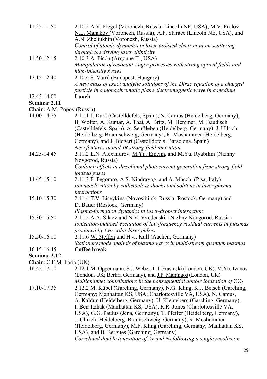| 11.25-11.50                | 2.10.2 A.V. Flegel (Voronezh, Russia; Lincoln NE, USA), M.V. Frolov,<br>N.L. Manakov (Voronezh, Russia), A.F. Starace (Lincoln NE, USA), and<br>A.N. Zheltukhin (Voronezh, Russia)                                                                                                                                                                                                                                              |
|----------------------------|---------------------------------------------------------------------------------------------------------------------------------------------------------------------------------------------------------------------------------------------------------------------------------------------------------------------------------------------------------------------------------------------------------------------------------|
|                            | Control of atomic dynamics in laser-assisted electron-atom scattering<br>through the driving laser ellipticity                                                                                                                                                                                                                                                                                                                  |
| 11.50-12.15                | 2.10.3 A. Picón (Argonne IL, USA)<br>Manipulation of resonant Auger processes with strong optical fields and<br>high-intensity x rays                                                                                                                                                                                                                                                                                           |
| 12.15-12.40                | 2.10.4 S. Varró (Budapest, Hungary)<br>A new class of exact analytic solutions of the Dirac equation of a charged                                                                                                                                                                                                                                                                                                               |
| 12.45-14.00                | particle in a monochromatic plane electromagnetic wave in a medium<br>Lunch                                                                                                                                                                                                                                                                                                                                                     |
| Seminar 2.11               |                                                                                                                                                                                                                                                                                                                                                                                                                                 |
| Chair: A.M. Popov (Russia) |                                                                                                                                                                                                                                                                                                                                                                                                                                 |
| 14.00-14.25                | 2.11.1 J. Durá (Castelldefels, Spain), N. Camus (Heidelberg, Germany),<br>B. Wolter, A. Kumar, A. Thai, A. Britz, M. Hemmer, M. Baudisch<br>(Castelldefels, Spain), A. Senftleben (Heidelberg, Germany), J. Ullrich<br>(Heidelberg, Braunschweig, Germany), R. Moshammer (Heidelberg,<br>Germany), and J. Biegert (Castelldefels, Barselona, Spain)<br>New features in mid-IR strong-field ionization                           |
| 14.25-14.45                | 2.11.2 L.N. Alexandrov, M.Yu. Emelin, and M.Yu. Ryabikin (Nizhny<br>Novgorod, Russia)<br>Coulomb effects in directional photocurrent generation from strong-field<br>ionized gases                                                                                                                                                                                                                                              |
| 14.45-15.10                | 2.11.3 F. Pegoraro, A.S. Nindrayog, and A. Macchi (Pisa, Italy)<br>Ion acceleration by collisionless shocks and solitons in laser plasma<br><i>interactions</i>                                                                                                                                                                                                                                                                 |
| 15.10-15.30                | 2.11.4 T.V. Liseykina (Novosibirsk, Russia; Rostock, Germany) and<br>D. Bauer (Rostock, Germany)<br>Plasma-formation dynamics in laser-droplet interaction                                                                                                                                                                                                                                                                      |
| 15.30-15.50                | 2.11.5 A.A. Silaev and N.V. Vvedenskii (Nizhny Novgorod, Russia)<br>Ionization-induced excitation of low-frequency residual currents in plasmas<br>produced by two-color laser pulses                                                                                                                                                                                                                                           |
| 15.50-16.10                | 2.11.6 W. Steffen and H.-J. Kull (Aachen, Germany)<br>Stationary mode analysis of plasma waves in multi-stream quantum plasmas                                                                                                                                                                                                                                                                                                  |
| 16.15-16.45                | Coffee break                                                                                                                                                                                                                                                                                                                                                                                                                    |
| Seminar 2.12               |                                                                                                                                                                                                                                                                                                                                                                                                                                 |
| Chair: C.F.M. Faria (UK)   |                                                                                                                                                                                                                                                                                                                                                                                                                                 |
| 16.45-17.10                |                                                                                                                                                                                                                                                                                                                                                                                                                                 |
|                            | 2.12.1 M. Oppermann, S.J. Weber, L.J. Frasinski (London, UK), M.Yu. Ivanov<br>(London, UK; Berlin, Germany), and J.P. Marangos (London, UK)<br>Multichannel contributions in the nonsequential double ionization of $CO2$                                                                                                                                                                                                       |
| 17.10-17.35                | 2.12.2 M. Kübel (Garching, Germany), N.G. Kling, K.J. Betsch (Garching,<br>Germany; Manhattan KS, USA; Charlottesville VA, USA), N. Camus,<br>A. Kaldun (Heidelberg, Germany), U. Kleineberg (Garching, Germany),<br>I. Ben-Itzhak (Manhattan KS, USA), R.R. Jones (Charlottesville VA,<br>USA), G.G. Paulus (Jena, Germany), T. Pfeifer (Heidelberg, Germany),<br>J. Ullrich (Heidelberg, Braunschweig, Germany), R. Moshammer |

(Heidelberg, Germany), M.F. Kling (Garching, Germany; Manhattan KS, USA), and B. Bergues (Garching, Germany)

*Correlated double ionization of Ar and N*2 *following a single recollision*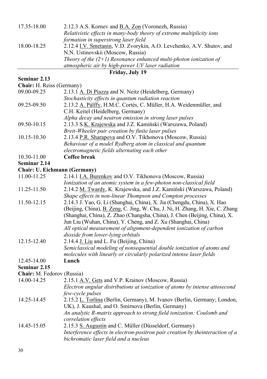| 17.35-18.00 | 2.12.3 A.S. Korney and B.A. Zon (Voronezh, Russia)                    |
|-------------|-----------------------------------------------------------------------|
|             | Relativistic effects in many-body theory of extreme multiplicity ions |
|             | formation in superstrong laser field                                  |
| 18.00-18.25 | 2.12.4 I.V. Smetanin, V.D. Zvorykin, A.O. Levchenko, A.V. Shutov, and |
|             | N.N. Ustinovskii (Moscow, Russia)                                     |
|             | Theory of the $(2+1)$ Resonance enhanced multi-photon ionization of   |
|             | atmospheric air by high-power UV laser radiation                      |
|             |                                                                       |

## **Friday, July 19**

| Chair: H. Reiss (Germany)    |                                                                                |
|------------------------------|--------------------------------------------------------------------------------|
| 09.00-09.25                  | 2.13.1 A. Di Piazza and N. Neitz (Heidelberg, Germany)                         |
|                              | Stochasticity effects in quantum radiation reaction                            |
| 09.25-09.50                  | 2.13.2 A. Pálffy, H.M.C. Cortés, C. Müller, H.A. Weidenmüller, and             |
|                              | C.H. Keitel (Heidelberg, Germany)                                              |
|                              | Alpha decay and neutron emission in strong laser pulses                        |
| 09.50-10.15                  | 2.13.3 S.K. Krajewska and J.Z. Kamiński (Warszawa, Poland)                     |
|                              | Breit-Wheeler pair creation by finite laser pulses                             |
| 10.15-10.30                  | 2.13.4 P.R. Sharapova and O.V. Tikhonova (Moscow, Russia)                      |
|                              | Behaviour of a model Rydberg atom in classical and quantum                     |
|                              | electromagnetic fields alternating each other                                  |
| 10.30-11.00                  | Coffee break                                                                   |
| Seminar 2.14                 |                                                                                |
| Chair: U. Eichmann (Germany) |                                                                                |
| 11.00-11.25                  | 2.14.1 I.A. Burenkov and O.V. Tikhonova (Moscow, Russia)                       |
|                              | Ionization of an atomic system in a few-photon non-classical field             |
| 11.25-11.50                  | 2.14.2 M. Twardy, K. Krajewska, and J.Z. Kamiński (Warszawa, Poland)           |
|                              | Shape effects in non-linear Thompson and Compton processes                     |
| 11.50-12.15                  | 2.14.3 J. Yao, G. Li (Shanghai, China), X. Jia (Chengdu, China), X. Hao        |
|                              | (Beijing, China), B. Zeng, C. Jing, W. Chu, J. Ni, H. Zhang, H. Xie, C. Zhang  |
|                              | (Shanghai, China), Z. Zhao (Changsha, China), J. Chen (Beijing, China), X.     |
|                              | Jun Liu (Wuhan, China), Y. Cheng, and Z. Xu (Shanghai, China)                  |
|                              | All optical measurement of alignment-dependent ionization of carbon            |
|                              | dioxide from lower-lying orbitals                                              |
| 12.15-12.40                  | 2.14.4 J. Liu and L. Fu (Beijing, China)                                       |
|                              | Semiclassical modeling of nonsequential double ionization of atoms and         |
|                              | molecules with linearly or circularly polarized intense laser fields           |
| 12.45-14.00                  | Lunch                                                                          |
| Seminar 2.15                 |                                                                                |
| Chair: M. Fedorov (Russia)   |                                                                                |
| 14.00-14.25                  | 2.15.1 A.V. Gets and V.P. Krainov (Moscow, Russia)                             |
|                              | Electron angular distributions at ionization of atoms by intense attosecond    |
|                              | few-cycle pulses                                                               |
| 14.25-14.45                  | 2.15.2 L. Torlina (Berlin, Germany), M. Ivanov (Berlin, Germany; London,       |
|                              | UK), J. Kaushal, and O. Smirnova (Berlin, Germany)                             |
|                              | An analytic R-matrix approach to strong field ionization: Coulomb and          |
|                              | correlation effects                                                            |
| 14.45-15.05                  | 2.15.3 S. Augustin and C. Müller (Düsseldorf, Germany)                         |
|                              | Interference effects in electron-positron pair creation by theinteraction of a |
|                              | bichromatic laser field and a nucleus                                          |

**Seminar 2.13**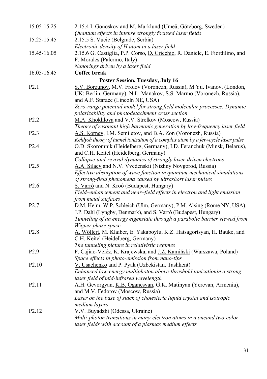| 15.05-15.25       | 2.15.4 I. Gonoskov and M. Marklund (Umeå, Göteborg, Sweden)                                     |
|-------------------|-------------------------------------------------------------------------------------------------|
|                   | Quantum effects in intense strongly focused laser fields                                        |
| 15.25-15.45       | 2.15.5 S. Vucic (Belgrade, Serbia)                                                              |
|                   | Electronic density of H atom in a laser field                                                   |
| 15.45-16.05       | 2.15.6 G. Castiglia, P.P. Corso, D. Cricchio, R. Daniele, E. Fiordilino, and                    |
|                   | F. Morales (Palermo, Italy)                                                                     |
|                   | Nanorings driven by a laser field                                                               |
| 16.05-16.45       | Coffee break                                                                                    |
|                   | Poster Session, Tuesday, July 16                                                                |
| P2.1              | S.V. Borzunov, M.V. Frolov (Voronezh, Russia), M.Yu. Ivanov, (London,                           |
|                   | UK; Berlin, Germany), N.L. Manakov, S.S. Marmo (Voronezh, Russia),                              |
|                   | and A.F. Starace (Lincoln NE, USA)                                                              |
|                   | Zero-range potential model for strong field molecular processes: Dynamic                        |
|                   | polarizability and photodetachment cross section                                                |
| P <sub>2.2</sub>  | M.A. Khokhlova and V.V. Strelkov (Moscow, Russia)                                               |
|                   | Theory of resonant high harmonic generation by low-frequency laser field                        |
| P <sub>2.3</sub>  | A.S. Korney, I.M. Semiletov, and B.A. Zon (Voronezh, Russia)                                    |
|                   | Keldysh theory of tunnel ionization of a complex atom by a few-cycle laser pulse                |
| P <sub>2.4</sub>  | O.D. Skoromnik (Heidelberg, Germany), I.D. Feranchuk (Minsk, Belarus),                          |
|                   | and C.H. Keitel (Heidelberg, Germany)                                                           |
|                   | Collapse-and-revival dynamics of strongly laser-driven electrons                                |
| P <sub>2.5</sub>  | A.A. Silaev and N.V. Vvedenskii (Nizhny Novgorod, Russia)                                       |
|                   | Effective absorption of wave function in quantum-mechanical simulations                         |
|                   | of strong-field phenomena caused by ultrashort laser pulses                                     |
| P <sub>2.6</sub>  | S. Varró and N. Kroó (Budapest, Hungary)                                                        |
|                   | Field-enhancement and near-field effects in electron and light emission                         |
|                   | from metal surfaces                                                                             |
| P <sub>2.7</sub>  | D.M. Heim, W.P. Schleich (Ulm, Germany), P.M. Alsing (Rome NY, USA),                            |
|                   | J.P. Dahl (Lyngby, Denmark), and S. Varró (Budapest, Hungary)                                   |
|                   | Tunneling of an energy eigenstate through a parabolic barrier viewed from<br>Wigner phase space |
| P <sub>2.8</sub>  | A. Wöllert, M. Klaiber, E. Yakaboylu, K.Z. Hatsagortsyan, H. Bauke, and                         |
|                   | C.H. Keitel (Heidelberg, Germany)                                                               |
|                   | The tunneling picture in relativistic regimes                                                   |
| P <sub>2.9</sub>  | F. Cajiao-Veléz, K. Krajewska, and J.Z. Kamiński (Warszawa, Poland)                             |
|                   | Space effects in photo-emission from nano-tips                                                  |
| P <sub>2.10</sub> | V. Usachenko and P. Pyak (Uzbekistan, Tashkent)                                                 |
|                   | Enhanced low-energy multiphoton above-threshold ionizationin a strong                           |
|                   | laser field of mid-infrared wavelength                                                          |
| P <sub>2.11</sub> | A.H. Gevorgyan, K.B. Oganesyan, G.K. Matinyan (Yerevan, Armenia),                               |
|                   | and M.V. Fedorov (Moscow, Russia)                                                               |
|                   | Laser on the base of stack of cholesteric liquid crystal and isotropic                          |
|                   | medium layers                                                                                   |
| P <sub>2.12</sub> | V.V. Buyadzhi (Odessa, Ukraine)                                                                 |
|                   | Multi-photon transitions in many-electron atoms in a oneand two-color                           |
|                   | laser fields with account of a plasmas medium effects                                           |
|                   |                                                                                                 |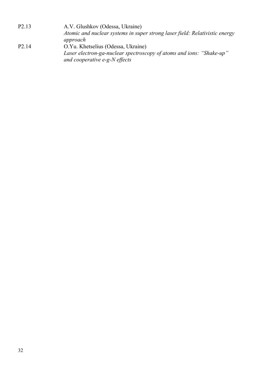| P <sub>2.13</sub>  | A.V. Glushkov (Odessa, Ukraine)                                             |
|--------------------|-----------------------------------------------------------------------------|
|                    | Atomic and nuclear systems in super strong laser field: Relativistic energy |
|                    | approach                                                                    |
| P <sub>2</sub> .14 | O.Yu. Khetselius (Odessa, Ukraine)                                          |
|                    | Laser electron-ga-nuclear spectroscopy of atoms and ions: "Shake-up"        |
|                    | and cooperative e-g-N effects                                               |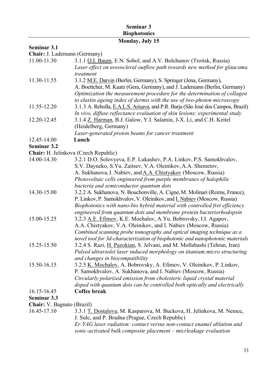#### **Seminar 3 Biophotonics**

## **Monday, July 15**

#### **Seminar 3.1**

**Chair:** J. Lademann (Germany)

| 11.00-11.30                          | 3.1.1 O.I. Baum, E.N. Sobol, and A.V. Bolchunov (Troitsk, Russia)                |
|--------------------------------------|----------------------------------------------------------------------------------|
|                                      | Laser effect on uveoscleral outflow path towards new method for glaucoma         |
|                                      | treatment                                                                        |
| 11.30-11.55                          | 3.1.2 M.E. Darvin (Berlin, Germany), S. Springer (Jena, Germany),                |
|                                      | A. Boettcher, M. Kaatz (Gera, Germany), and J. Lademann (Berlin, Germany)        |
|                                      | Optimization the measurement procedure for the determination of collagen         |
|                                      | to elastin ageing index of dermis with the use of two-photon microscopy          |
| 11.55-12.20                          | 3.1.3 A. Rebolla, E.A.L.S. Arisava, and P.R. Barja (São José dos Campos, Brazil) |
|                                      | In vivo, diffuse reflectance evaluation of skin lesions: experimental study      |
| 12.20-12.45                          | 3.1.4 Z. Harman, B.J. Galow, Y.I. Salamin, J-X. Li, and C.H. Keitel              |
|                                      | (Heidelberg, Germany)                                                            |
|                                      | Laser-generated proton beams for cancer treatment                                |
| 12.45-14.00                          | Lunch                                                                            |
| <b>Seminar 3.2</b>                   |                                                                                  |
| Chair: H. Jelinkova (Czech Republic) |                                                                                  |
| 14.00-14.30                          | 3.2.1 D.O. Solovyeva, E.P. Lukashev, P.A. Linkov, P.S. Samokhvalov,              |
|                                      | S.V. Dayneko, S.Yu. Zaitsev, V.A. Oleinikov, A.A. Shemetov,                      |
|                                      | A. Sukhanova, I. Nabiev, and A.A. Chistyakov (Moscow, Russia)                    |
|                                      | Photovoltaic cells engineered from purple membranes of halophilic                |
|                                      | bacteria and semiconductor quantum dots                                          |
| 14.30-15.00                          | 3.2.2 A. Sukhanova, N. Bouchonville, A. Cigne, M. Molinari (Reims, France),      |
|                                      | P. Linkov, P. Samokhvalov, V. Oleinikov, and <i>I. Nabiev</i> (Moscow, Russia)   |
|                                      | Biophotonics with nano-bio hybrid material with controlled fret efficiency       |
|                                      | engineered from quantum dots and membrane protein bacteriorhodopsin              |
| 15.00-15.25                          | 3.2.3 A.E. Efimov, K.E. Mochalov, A.Yu. Bobrovsky, I.I. Agapov,                  |
|                                      | A.A. Chistyakov, V.A. Oleinikov, and I. Nabiev (Moscow, Russia)                  |
|                                      | Combined scanning probe tomography and optical imaging technique as a            |
|                                      | novel tool for 3d-characterization of biophotonic and nanophotonic materials     |
| 15.25-15.50                          | 3.2.4 S. Razi, H. Pazokian, S. Jelvani, and M. Mollabashi (Tehran, Iran)         |
|                                      | Pulsed ultraviolet laser induced morphology on titanium; micro structuring       |
|                                      | and changes in biocompatibility                                                  |
| 15.50-16.15                          | 3.2.5 K. Mochalov, A. Bobrovsky, A. Efimov, V. Oleinikov, P. Linkov,             |
|                                      | P. Samokhvalov, A. Sukhanova, and I. Nabiev (Moscow, Russia)                     |
|                                      | Circularly polarized emission from cholesteric liquid crystal material           |
|                                      | doped with quantum dots can be controlled both optically and electrically        |
| 16.15-16.45                          | <b>Coffee break</b>                                                              |
| Seminar 3.3                          |                                                                                  |
| Chair: V. Bagnato (Brazil)           |                                                                                  |
| 16.45-17.10                          | 3.3.1 T. Dostalova, M. Kasparova, M. Buckova, H. Jelinkova, M. Nemec,            |

J. Sulc, and P. Bradna (Prague, Czech Republic) *Er:YAG laser radiation: contact versus non-contact enamel ablation and sonic-activated bulk composite placement – micrleakage evaluation*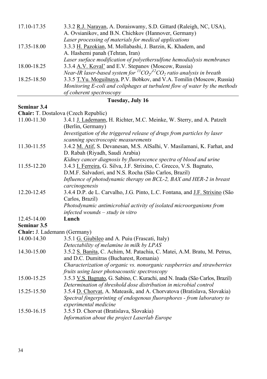| Tuesday, July 16 |                                                                                   |
|------------------|-----------------------------------------------------------------------------------|
|                  | of coherent spectroscopy                                                          |
|                  | Monitoring E-coli and coliphages at turbulent flow of water by the methods        |
| 18.25-18.50      | 3.3.5 T.Yu. Moguilnaya, P.V. Bobkov, and V.A. Tomilin (Moscow, Russia)            |
|                  | Near-IR laser-based system for ${}^{13}CO_2/{}^{12}CO_2$ ratio analysis in breath |
| 18.00-18.25      | 3.3.4 A.V. Koval' and E.V. Stepanov (Moscow, Russia)                              |
|                  | Laser surface modification of polyethersulfone hemodialysis membranes             |
|                  | A. Hashemi panah (Tehran, Iran)                                                   |
| 17.35-18.00      | 3.3.3 H. Pazokian, M. Mollabashi, J. Barzin, K. Khadem, and                       |
|                  | Laser processing of materials for medical applications                            |
|                  | A. Ovsianikov, and B.N. Chichkov (Hannover, Germany)                              |
| 17.10-17.35      | 3.3.2 R.J. Narayan, A. Doraiswamy, S.D. Gittard (Raleigh, NC, USA),               |

#### **Seminar 3.4**

**Chair:** T. Dostalova (Czech Republic)

|                              | Chall: 1. Dostatova (Czech Republic)                                               |
|------------------------------|------------------------------------------------------------------------------------|
| 11.00-11.30                  | 3.4.1 J. Lademann, H. Richter, M.C. Meinke, W. Sterry, and A. Patzelt              |
|                              | (Berlin, Germany)                                                                  |
|                              | Investigation of the triggered release of drugs from particles by laser            |
|                              | scanning spectroscopic measurements                                                |
| 11.30-11.55                  | 3.4.2 M. Atif, S. Devanesan, M.S. AlSalhi, V. Masilamani, K. Farhat, and           |
|                              | D. Rabah (Riyadh, Saudi Arabia)                                                    |
|                              | Kidney cancer diagnosis by fluorescence spectra of blood and urine                 |
| 11.55-12.20                  | 3.4.3 I. Ferreira, G. Silva, J.F. Strixino, C. Grecco, V.S. Bagnato,               |
|                              | D.M.F. Salvadori, and N.S. Rocha (São Carlos, Brazil)                              |
|                              | Influence of photodynamic therapy on BCL-2, BAX and HER-2 in breast                |
|                              | carcinogenesis                                                                     |
| 12.20-12.45                  | 3.4.4 D.P. de L. Carvalho, J.G. Pinto, L.C. Fontana, and <u>J.F. Strixino</u> (São |
|                              | Carlos, Brazil)                                                                    |
|                              | Photodynamic antimicrobial activity of isolated microorganisms from                |
|                              | infected wounds – study in vitro                                                   |
| 12.45-14.00                  | Lunch                                                                              |
| Seminar 3.5                  |                                                                                    |
| Chair: J. Lademann (Germany) |                                                                                    |
| 14.00-14.30                  | 3.5.1 G. Giubileo and A. Puiu (Frascati, Italy)                                    |
|                              | Detectability of melamine in milk by LPAS                                          |
| 14.30-15.00                  | 3.5.2 S. Banita, C. Achim, M. Patachia, C. Matei, A.M. Bratu, M. Petrus,           |
|                              | and D.C. Dumitras (Bucharest, Romania)                                             |
|                              | Characterization of organic vs. nonorganic raspberries and strawberries            |
|                              | fruits using laser photoacoustic spectroscopy                                      |
| 15.00-15.25                  | 3.5.3 V.S. Bagnato, G. Sabino, C. Kurachi, and N. Inada (São Carlos, Brazil)       |
|                              | Determination of threshold dose distribution in microbial control                  |
| 15.25-15.50                  | 3.5.4 D. Chorvat, A. Mateasik, and A. Chorvatova (Bratislava, Slovakia)            |
|                              | Spectral fingerprinting of endogenous fluorophores - from laboratory to            |
|                              | experimental medicine                                                              |
| 15.50-16.15                  | 3.5.5 D. Chorvat (Bratislava, Slovakia)                                            |
|                              | Information about the project Laserlab Europe                                      |
|                              |                                                                                    |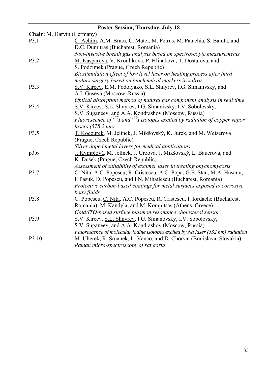|                                   | <b>Poster Session, Thursday, July 18</b>                                         |  |
|-----------------------------------|----------------------------------------------------------------------------------|--|
| <b>Chair:</b> M. Darvin (Germany) |                                                                                  |  |
| P3.1                              | C. Achim, A.M. Bratu, C. Matei, M. Petrus, M. Patachia, S. Banita, and           |  |
|                                   | D.C. Dumitras (Bucharest, Romania)                                               |  |
|                                   | Non-invasive breath gas analysis based on spectroscopic measurements             |  |
| P3.2                              | M. Kasparova, V. Kroulikova, P. Hlinakova, T. Dostalova, and                     |  |
|                                   | S. Podzimek (Prague, Czech Republic)                                             |  |
|                                   | Biostimulation effect of low level laser on healing process after third          |  |
|                                   | molars surgery based on biochemical markers in saliva                            |  |
| P3.3                              | S.V. Kireev, E.M. Podolyako, S.L. Shnyrev, I.G. Simanivsky, and                  |  |
|                                   | A.I. Guseva (Moscow, Russia)                                                     |  |
|                                   | Optical absorption method of natural gas component analysis in real time         |  |
| P <sub>3.4</sub>                  | S.V. Kireev, S.L. Shnyrev, I.G. Simanivsky, I.V. Sobolevsky,                     |  |
|                                   | S.V. Suganeev, and A.A. Kondrashov (Moscow, Russia)                              |  |
|                                   | Fluorescence of $127$ I and $129$ isotopes excited by radiation of copper vapor  |  |
|                                   | $lasers$ (578.2 nm)                                                              |  |
| P <sub>3.5</sub>                  | T. Kocourek, M. Jelinek, J. Mikšovský, K. Jurek, and M. Weiserova                |  |
|                                   | (Prague, Czech Republic)                                                         |  |
|                                   | Silver doped metal layers for medical applications                               |  |
| p3.6                              | J. Kymplová, M. Jelínek, J. Urzová, J. Mikšovský, L. Bauerová, and               |  |
|                                   | K. Dušek (Prague, Czech Republic)                                                |  |
|                                   | Assessment of suitability of excimer laser in treating onychomycosis             |  |
| P <sub>3.7</sub>                  | C. Nita, A.C. Popescu, R. Cristescu, A.C. Popa, G.E. Stan, M.A. Husanu,          |  |
|                                   | I. Pasuk, D. Popescu, and I.N. Mihailescu (Bucharest, Romania)                   |  |
|                                   | Protective carbon-based coatings for metal surfaces exposed to corrosive         |  |
|                                   | body fluids                                                                      |  |
| P3.8                              | C. Popescu, C. Nita, A.C. Popescu, R. Cristescu, I. Iordache (Bucharest,         |  |
|                                   | Romania), M. Kandyla, and M. Kompitsas (Athens, Greece)                          |  |
|                                   | Gold/ITO-based surface plasmon resonance cholesterol sensor                      |  |
| P3.9                              | S.V. Kireev, S.L. Shnyrev, I.G. Simanovsky, I.V. Sobolevsky,                     |  |
|                                   | S.V. Suganeev, and A.A. Kondrashov (Moscow, Russia)                              |  |
|                                   | Fluorescence of molecular iodine isotopes excited by Nd laser (532 nm) radiation |  |
| P3.10                             | M. Uherek, R. Srnanek, L. Vanco, and D. Chorvat (Bratislava, Slovakia)           |  |
|                                   | Raman micro-spectroscopy of rat aorta                                            |  |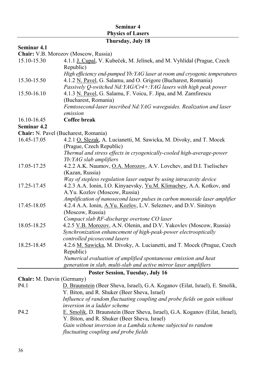## **Seminar 4 Physics of Lasers**

## **Thursday, July 18**

## **Seminar 4.1**

**Chair:** V.B. Morozov (Moscow, Russia)

| 15.10-15.30 | 4.1.1 J. Cupal, V. Kubeček, M. Jelínek, and M. Vyhlídal (Prague, Czech      |
|-------------|-----------------------------------------------------------------------------|
|             | Republic)                                                                   |
|             | High efficiency end-pumped Yb: YAG laser at room and cryogenic temperatures |
| 15.30-15.50 | 4.1.2 N. Pavel, G. Salamu, and O. Grigore (Bucharest, Romania)              |
|             | Passively Q-switched Nd: YAG/Cr4+: YAG lasers with high peak power          |
| 15.50-16.10 | 4.1.3 N. Pavel, G. Salamu, F. Voicu, F. Jipa, and M. Zamfirescu             |
|             | (Bucharest, Romania)                                                        |
|             | Femtosecond-laser inscribed Nd: YAG waveguides. Realization and laser       |
|             | emission                                                                    |
| 16.10-16.45 | Coffee break                                                                |
| Seminar 4.2 |                                                                             |
|             | Chair: N. Pavel (Bucharest, Romania)                                        |
| 16.45-17.05 | 4.2.1 O. Slezak, A. Lucianetti, M. Sawicka, M. Divoky, and T. Mocek         |
|             | (Prague, Czech Republic)                                                    |
|             | Thermal and stress effects in cryogenically-cooled high-average-power       |
|             | Yb: YAG slab amplifiers                                                     |
| 17.05-17.25 | 4.2.2 A.K. Naumov, O.A. Morozov, A.V. Lovchev, and D.I. Tselischev          |
|             | (Kazan, Russia)                                                             |
|             | Way of stepless regulation laser output by using intracavity device         |
| 17.25-17.45 | 4.2.3 A.A. Ionin, I.O. Kinyaevsky, Yu.M. Klimachev, A.A. Kotkov, and        |
|             | A.Yu. Kozlov (Moscow, Russia)                                               |
|             | Amplification of nanosecond laser pulses in carbon monoxide laser amplifier |
| 17.45-18.05 | 4.2.4 A.A. Ionin, A.Yu. Kozlov, L.V. Seleznev, and D.V. Sinitsyn            |
|             | (Moscow, Russia)                                                            |
|             | Compact slab RF-discharge overtone CO laser                                 |
| 18.05-18.25 | 4.2.5 V.B. Morozov, A.N. Olenin, and D.V. Yakovlev (Moscow, Russia)         |
|             | Synchronization enhancement of high-peak-power electrooptically             |
|             | controlled picosecond lasers                                                |
| 18.25-18.45 | 4.2.6 M. Sawicka, M. Divoky, A. Lucianetti, and T. Mocek (Prague, Czech     |
|             | Republic)                                                                   |
|             | Numerical evaluation of amplified spontaneous emission and heat             |
|             | generation in slab, multi-slab and active mirror laser amplifiers           |

#### **Poster Session, Tuesday, July 16**

## **Chair:** M. Darvin (Germany)

| P4.1 | D. Braunstein (Beer Sheva, Israel), G.A. Koganov (Eilat, Israel), E. Smolik, |
|------|------------------------------------------------------------------------------|
|      | Y. Biton, and R. Shuker (Beer Sheva, Israel)                                 |
|      | Influence of random fluctuating coupling and probe fields on gain without    |
|      | inversion in a ladder scheme                                                 |
| P4 2 | E. Smolik, D. Braunstein (Beer Sheva, Israel), G.A. Koganov (Eilat, Israel), |
|      | Y. Biton, and R. Shuker (Beer Sheva, Israel)                                 |
|      | Gain without inversion in a Lambda scheme subjected to random                |
|      | fluctuating coupling and probe fields                                        |
|      |                                                                              |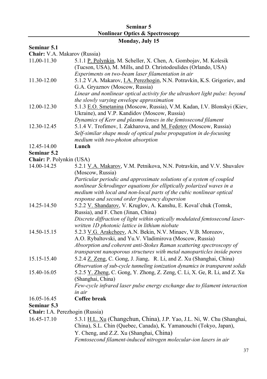#### **Seminar 5 Nonlinear Optics & Spectroscopy**

## **Monday, July 15**

#### **Seminar 5.1**

**Chair:** V.A. Makarov (Russia)

| 11.00-11.30                     | 5.1.1 P. Polynkin, M. Scheller, X. Chen, A. Gombojav, M. Kolesik                 |
|---------------------------------|----------------------------------------------------------------------------------|
|                                 | (Tucson, USA), M. Mills, and D. Christodoulides (Orlando, USA)                   |
|                                 | Experiments on two-beam laser filamentation in air                               |
| 11.30-12.00                     | 5.1.2 V.A. Makarov, <i>I.A. Perezhogin</i> , N.N. Potravkin, K.S. Grigoriev, and |
|                                 | G.A. Gryaznov (Moscow, Russia)                                                   |
|                                 | Linear and nonlinear optical activity for the ultrashort light pulse: beyond     |
|                                 | the slowly varying envelope approximation                                        |
| 12.00-12.30                     | 5.1.3 E.O. Smetanina (Moscow, Russia), V.M. Kadan, I.V. Blonskyi (Kiev,          |
|                                 | Ukraine), and V.P. Kandidov (Moscow, Russia)                                     |
|                                 | Dynamics of Kerr and plasma lenses in the femtosecond filament                   |
| 12.30-12.45                     | 5.1.4 V. Trofimov, I. Zakharova, and M. Fedotov (Moscow, Russia)                 |
|                                 | Self-similar shape mode of optical pulse propagation in de-focusing              |
|                                 | medium with two-photon absorption                                                |
| 12.45-14.00                     | Lunch                                                                            |
| Seminar 5.2                     |                                                                                  |
| Chair: P. Polynkin (USA)        |                                                                                  |
| 14.00-14.25                     | 5.2.1 V.A. Makarov, V.M. Petnikova, N.N. Potravkin, and V.V. Shuvalov            |
|                                 | (Moscow, Russia)                                                                 |
|                                 | Particular periodic and approximate solutions of a system of coupled             |
|                                 | nonlinear Schrodinger equations for elliptically polarized waves in a            |
|                                 | medium with local and non-local parts of the cubic nonlinear optical             |
|                                 | response and second order frequency dispersion                                   |
| 14.25-14.50                     | 5.2.2 V. Shandarov, V. Kruglov, A. Kanshu, E. Koval`chuk (Tomsk,                 |
|                                 | Russia), and F. Chen (Jinan, China)                                              |
|                                 | Discrete diffraction of light within optically modulated femtosecond laser-      |
|                                 | written 1D photonic lattice in lithium niobate                                   |
| 14.50-15.15                     | 5.2.3 V.G. Arakcheev, A.N. Bekin, N.V. Minaev, V.B. Morozov,                     |
|                                 | A.O. Rybaltovski, and Yu.V. Vladimirova (Moscow, Russia)                         |
|                                 | Absorption and coherent anti-Stokes Raman scattering spectroscopy of             |
|                                 | transparent nanoporous structures with metal nanoparticles inside pores          |
| 15.15-15.40                     | 5.2.4 Z. Zeng, C. Gong, J. Jiang, R. Li, and Z. Xu (Shanghai, China)             |
|                                 | Observation of sub-cycle tunneling ionization dynamics in transparent solids     |
| 15.40-16.05                     | 5.2.5 Y. Zheng, C. Gong, Y. Zhong, Z. Zeng, C. Li, X. Ge, R. Li, and Z. Xu       |
|                                 | (Shanghai, China)                                                                |
|                                 | Few-cycle infrared laser pulse energy exchange due to filament interaction       |
|                                 | in air                                                                           |
| 16.05-16.45                     | Coffee break                                                                     |
| Seminar 5.3                     |                                                                                  |
| Chair: I.A. Perezhogin (Russia) |                                                                                  |

16.45-17.10 5.3.1 H.L. Xu (Changchun, China), J.P. Yao, J.L. Ni, W. Chu (Shanghai, China), S.L. Chin (Quebec, Canada), K. Yamanouchi (Tokyo, Japan), Y. Cheng, and Z.Z. Xu (Shanghai, China) *Femtosecond filament-induced nitrogen molecular-ion lasers in air*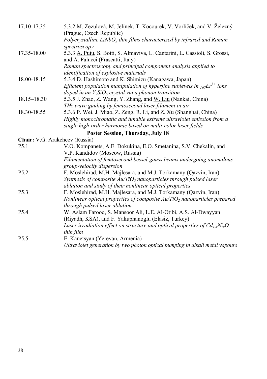| 17.10-17.35                              | 5.3.2 M. Zezulová, M. Jelínek, T. Kocourek, V. Vorlíček, and V. Železný                                                                                 |
|------------------------------------------|---------------------------------------------------------------------------------------------------------------------------------------------------------|
|                                          | (Prague, Czech Republic)                                                                                                                                |
|                                          | Polycrystalline $LiNbO3$ thin films characterized by infrared and Raman                                                                                 |
|                                          | spectroscopy                                                                                                                                            |
| 17.35-18.00                              | 5.3.3 A. Puiu, S. Botti, S. Almaviva, L. Cantarini, L. Cassioli, S. Grossi,                                                                             |
|                                          | and A. Palucci (Frascatti, Italy)                                                                                                                       |
|                                          | Raman spectroscopy and principal component analysis applied to                                                                                          |
|                                          | identification of explosive materials                                                                                                                   |
| 18.00-18.15                              | 5.3.4 D. Hashimoto and K. Shimizu (Kanagawa, Japan)                                                                                                     |
|                                          | Efficient population manipulation of hyperfine sublevels in $_{167}Er^{3+}$ ions                                                                        |
|                                          | doped in an $Y_2SiO_5$ crystal via a phonon transition                                                                                                  |
| $18.15 - 18.30$                          | 5.3.5 J. Zhao, Z. Wang, Y. Zhang, and W. Liu (Nankai, China)                                                                                            |
|                                          | THz wave guiding by femtosecond laser filament in air                                                                                                   |
| 18.30-18.55                              | 5.3.6 P. Wei, J. Miao, Z. Zeng, R. Li, and Z. Xu (Shanghai, China)                                                                                      |
|                                          | Highly monochromatic and tunable extreme ultraviolet emission from a                                                                                    |
|                                          | single high-order harmonic based on multi-color laser fields                                                                                            |
| <b>Poster Session, Thursday, July 18</b> |                                                                                                                                                         |
|                                          | <b>Chair:</b> V.G. Arakcheev (Russia)                                                                                                                   |
| $\Gamma$ 1                               | $\overline{M} \cap V$ and $\overline{M} \cap V$ and $\overline{M} \cap V$ and $\overline{M} \cap V$ and $\overline{M} \cap V$ and $\overline{M} \cap V$ |

| P <sub>5.1</sub> | V.O. Kompanets, A.E. Dokukina, E.O. Smetanina, S.V. Chekalin, and            |
|------------------|------------------------------------------------------------------------------|
|                  | V.P. Kandidov (Moscow, Russia)                                               |
|                  | Filamentation of femtosecond bessel-gauss beams undergoing anomalous         |
|                  | group-velocity dispersion                                                    |
| P <sub>5.2</sub> | F. Moslehirad, M.H. Majlesara, and M.J. Torkamany (Qazvin, Iran)             |
|                  | Synthesis of composite $Au/TiO2$ nanoparticles through pulsed laser          |
|                  | ablation and study of their nonlinear optical properties                     |
| P <sub>5.3</sub> | F. Moslehirad, M.H. Majlesara, and M.J. Torkamany (Qazvin, Iran)             |
|                  | Nonlinear optical properties of composite $Au/TiO2$ nanoparticles prepared   |
|                  | through pulsed laser ablation                                                |
| P <sub>5.4</sub> | W. Aslam Farooq, S. Mansoor Ali, L.E. Al-Otibi, A.S. Al-Dwayyan              |
|                  | (Riyadh, KSA), and F. Yakuphanoglu (Elasiz, Turkey)                          |
|                  | Laser irradiation effect on structure and optical properties of $Cd1-xNixO$  |
|                  | thin film                                                                    |
| P <sub>5.5</sub> | E. Kanetsvan (Yerevan, Armenia)                                              |
|                  | Ultraviolet generation by two photon optical pumping in alkali metal vapours |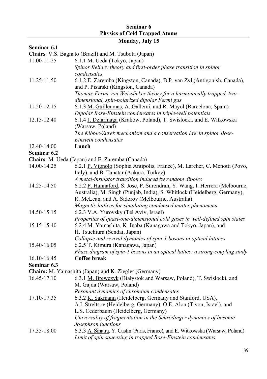#### **Seminar 6 Physics of Cold Trapped Atoms Monday, July 15**

## **Seminar 6.1**

**Chairs**: V.S. Bagnato (Brazil) and M. Tsubota (Japan)

| 11.00-11.25 | $\ldots$<br>6.1.1 M. Ueda (Tokyo, Japan)                                                              |
|-------------|-------------------------------------------------------------------------------------------------------|
|             | Spinor Beliaev theory and first-order phase transition in spinor                                      |
|             | condensates                                                                                           |
| 11.25-11.50 | 6.1.2 E. Zaremba (Kingston, Canada), B.P. van Zyl (Antigonish, Canada),                               |
|             | and P. Pisarski (Kingston, Canada)                                                                    |
|             | Thomas-Fermi von Weizsäcker theory for a harmonically trapped, two-                                   |
|             | dimensional, spin-polarized dipolar Fermi gas                                                         |
| 11.50-12.15 | 6.1.3 M. Guilleumas, A. Gallemí, and R. Mayol (Barcelona, Spain)                                      |
|             | Dipolar Bose-Einstein condensates in triple-well potentials                                           |
| 12.15-12.40 | 6.1.4 J. Dziarmaga (Kraków, Poland), T. Swislocki, and E. Witkowska                                   |
|             | (Warsaw, Poland)                                                                                      |
|             | The Kibble-Zurek mechanism and a conservation law in spinor Bose-                                     |
|             | Einstein condensates                                                                                  |
| 12.40-14.00 | Lunch                                                                                                 |
| Seminar 6.2 |                                                                                                       |
|             | Chairs: M. Ueda (Japan) and E. Zaremba (Canada)                                                       |
| 14.00-14.25 | 6.2.1 P. Vignolo (Sophia Antipolis, France), M. Larcher, C. Menotti (Povo,                            |
|             | Italy), and B. Tanatar (Ankara, Turkey)                                                               |
|             | A metal-insulator transition induced by random dipoles                                                |
| 14.25-14.50 | 6.2.2 P. Hannaford, S. Jose, P. Surendran, Y. Wang, I. Herrera (Melbourne,                            |
|             | Australia), M. Singh (Punjab, India), S. Whitlock (Heidelberg, Germany),                              |
|             | R. McLean, and A. Sidorov (Melbourne, Australia)                                                      |
|             | Magnetic lattices for simulating condensed matter phenomena                                           |
| 14.50-15.15 | 6.2.3 V.A. Yurovsky (Tel Aviv, Israel)                                                                |
|             | Properties of quasi-one-dimensional cold gases in well-defined spin states                            |
| 15.15-15.40 | 6.2.4 M. Yamashita, K. Inaba (Kanagawa and Tokyo, Japan), and                                         |
|             | H. Tsuchiura (Sendai, Japan)                                                                          |
|             | Collapse and revival dynamics of spin-1 bosons in optical lattices                                    |
| 15.40-16.05 | 6.2.5 T. Kimura (Kanagawa, Japan)                                                                     |
|             | Phase diagram of spin-1 bosons in an optical lattice: a strong-coupling study                         |
| 16.10-16.45 | Coffee break                                                                                          |
| Seminar 6.3 |                                                                                                       |
|             | Chairs: M. Yamashita (Japan) and K. Ziegler (Germany)                                                 |
| 16.45-17.10 | 6.3.1 M. Brewczyk (Białystok and Warsaw, Poland), T. Świsłocki, and                                   |
|             | M. Gajda (Warsaw, Poland)                                                                             |
|             | Resonant dynamics of chromium condensates                                                             |
| 17.10-17.35 | 6.3.2 K. Sakmann (Heidelberg, Germany and Stanford, USA),                                             |
|             | A.I. Streltsov (Heidelberg, Germany), O.E. Alon (Tivon, Israel), and                                  |
|             | L.S. Cederbaum (Heidelberg, Germany)                                                                  |
|             | Universality of fragmentation in the Schrödinger dynamics of bosonic                                  |
| 17.35-18.00 | Josephson junctions<br>6.3.3 A. Sinatra, Y. Castin (Paris, France), and E. Witkowska (Warsaw, Poland) |
|             | Limit of spin squeezing in trapped Bose-Einstein condensates                                          |
|             |                                                                                                       |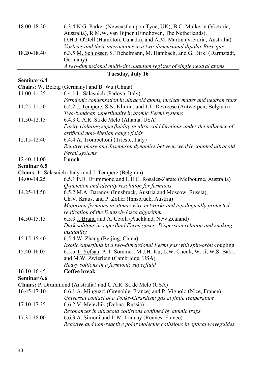| 18.00-18.20 | 6.3.4 N.G. Parker (Newcastle upon Tyne, UK), B.C. Mulkerin (Victoria,   |
|-------------|-------------------------------------------------------------------------|
|             | Australia), R.M.W. van Bijnen (Eindhoven, The Netherlands),             |
|             | D.H.J. O'Dell (Hamilton, Canada), and A.M. Martin (Victoria, Australia) |
|             | Vortices and their interactions in a two-dimensional dipolar Bose gas   |
| 18.20-18.40 | 6.3.5 M. Schlosser, S. Tichelmann, M. Hambach, and G. Birkl (Darmstadt, |
|             | Germany)                                                                |
|             | A two-dimensional multi-site quantum register of single neutral atoms   |

#### **Tuesday, July 16**

#### **Seminar 6.4**

| <b>Chairs:</b> W. Belzig (Germany) and B. Wu (China) |                                                                              |  |
|------------------------------------------------------|------------------------------------------------------------------------------|--|
| 11.00-11.25                                          | 6.4.1 L. Salasnich (Padova, Italy)                                           |  |
|                                                      | Fermionic condensation in ultracold atoms, nuclear matter and neutron stars  |  |
| 11.25-11.50                                          | 6.4.2 J. Tempere, S.N. Klimin, and J.T. Devreese (Antwerpen, Belgium)        |  |
|                                                      | Two-bandgap superfluidity in atomic Fermi systems                            |  |
| 11.50-12.15                                          | 6.4.3 C.A.R. Sa de Melo (Atlanta, USA)                                       |  |
|                                                      | Parity violating superfluidity in ultra-cold fermions under the influence of |  |
|                                                      | artificial non-Abelian gauge fields                                          |  |
| 12.15-12.40                                          | 6.4.4 A. Trombettoni (Trieste, Italy)                                        |  |
|                                                      | Relative phase and Josephson dynamics between weakly coupled ultracold       |  |
|                                                      | Fermi systems                                                                |  |

12.40-14.00 **Lunch** 

#### **Seminar 6.5**

**Chairs**: L. Salasnich (Italy) and J. Tempere (Belgium)

- 14.00-14.25 6.5.1 P.D. Drummond and L.E.C. Rosales-Zarate (Melbourne, Australia) *Q-function and identity resolution for fermions*
- 14.25-14.50 6.5.2 M.A. Baranov (Innsbruck, Austria and Moscow, Russia), Ch.V. Kraus, and P. Zoller (Innsbruck, Austria) *Majorana fermions in atomic wire networks and topologically protected realization of the Deutsch-Josza algorithm*
- 14.50-15.15 6.5.3 J. Brand and A. Cetoli (Auckland, New Zealand) *Dark solitons in superfluid Fermi gases: Dispersion relation and snaking instability*
- 15.15-15.40 6.5.4 W. Zhang (Beijing, China) *Exotic superfluid in a two-dimensional Fermi gas with spin-orbit* coupling
- 15.40-16.05 6.5.5 T. Yefsah, A.T. Sommer, M.J.H. Ku, L.W. Cheuk, W. Ji, W.S. Bakr, and M.W. Zwierlein (Cambridge, USA)

*Heavy solitons in a fermionic superfluid* 

16.10-16.45 **Coffee break** 

#### **Seminar 6.6**

**Chairs:** P. Drummond (Australia) and C.A.R. Sa de Melo (USA)

- 16.45-17.10 6.6.1 A. Minguzzi (Grenoble, France) and P. Vignolo (Nice, France) *Universal contact of a Tonks-Girardeau gas at finite temperature*
- 17.10-17.35 6.6.2 V. Melezhik (Dubna, Russia)
	- *Resonances in ultracold collisions confined by atomic traps*
- 17.35-18.00 6.6.3 A. Simoni and J.-M. Launay (Rennes, France) *Reactive and non-reactive polar molecule collisions in optical waveguides*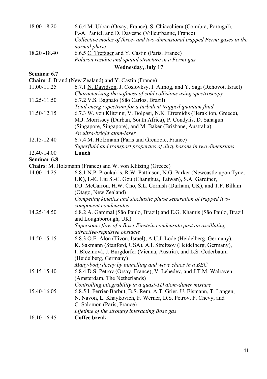| 18.00-18.20   | 6.6.4 M. Urban (Orsay, France), S. Chiacchiera (Coimbra, Portugal),       |
|---------------|---------------------------------------------------------------------------|
|               | P.-A. Pantel, and D. Davesne (Villeurbanne, France)                       |
|               | Collective modes of three- and two-dimensional trapped Fermi gases in the |
|               | normal phase                                                              |
| 18.20 - 18.40 | 6.6.5 C. Trefzger and Y. Castin (Paris, France)                           |
|               | Polaron residue and spatial structure in a Fermi gas                      |
|               | <b>Wednesday, July 17</b>                                                 |
| Seminar 6.7   |                                                                           |
|               | Chairs: J. Brand (New Zealand) and Y. Castin (France)                     |
| 11.00-11.25   | 6.7.1 N. Davidson, J. Coslovksy, I. Almog, and Y. Sagi (Rehovot, Israel)  |
|               | Characterizing the softness of cold collisions using spectroscopy         |
| 11.25-11.50   | 6.7.2 V.S. Bagnato (São Carlos, Brazil)                                   |
|               | Total energy spectrum for a turbulent trapped quantum fluid               |
| 11.50-12.15   | 6.7.3 W. von Klitzing, V. Bolpasi, N.K. Efremidis (Heraklion, Greece),    |
|               | M.J. Morrissey (Durban, South Africa), P. Condylis, D. Sahagun            |
|               | (Singapore, Singapore), and M. Baker (Brisbane, Australia)                |
|               | An ultra-bright atom-laser                                                |
| 12.15-12.40   | 6.7.4 M. Holzmann (Paris and Grenoble, France)                            |
|               | Superfluid and transport properties of dirty bosons in two dimensions     |
| 12.40-14.00   | Lunch                                                                     |
| Seminar 6.8   |                                                                           |
|               | Chairs: M. Holzmann (France) and W. von Klitzing (Greece)                 |
| 14.00-14.25   | 6.8.1 N.P. Proukakis, R.W. Pattinson, N.G. Parker (Newcastle upon Tyne,   |
|               | UK), I.-K. Liu S.-C. Gou (Changhua, Taiwan), S.A. Gardiner,               |
|               | D.J. McCarron, H.W. Cho, S.L. Cornish (Durham, UK), and T.P. Billam       |
|               | (Otago, New Zealand)                                                      |
|               | Competing kinetics and stochastic phase separation of trapped two-        |
|               | component condensates                                                     |
| 14.25-14.50   | 6.8.2 A. Gammal (São Paulo, Brazil) and E.G. Khamis (São Paulo, Brazil    |
|               | and Loughborough, UK)                                                     |
|               | Supersonic flow of a Bose-Einstein condensate past an oscillating         |
|               | attractive-repulsive obstacle                                             |
| 14.50-15.15   | 6.8.3 O.E. Alon (Tivon, Israel), A.U.J. Lode (Heidelberg, Germany),       |
|               | K. Sakmann (Stanford, USA), A.I. Streltsov (Heidelberg, Germany),         |
|               | I. Březinová, J. Burgdörfer (Vienna, Austria), and L.S. Cederbaum         |
|               | (Heidelberg, Germany)                                                     |
|               | Many-body decay by tunnelling and wave chaos in a BEC                     |
| 15.15-15.40   | 6.8.4 D.S. Petrov (Orsay, France), V. Lebedev, and J.T.M. Walraven        |
|               | (Amsterdam, The Netherlands)                                              |
|               | Controlling integrability in a quasi-1D atom-dimer mixture                |
| 15.40-16.05   | 6.8.5 I. Ferrier-Barbut, B.S. Rem, A.T. Grier, U. Eismann, T. Langen,     |
|               | N. Navon, L. Khaykovich, F. Werner, D.S. Petrov, F. Chevy, and            |
|               | C. Salomon (Paris, France)                                                |
|               | Lifetime of the strongly interacting Bose gas                             |
| 16.10-16.45   | Coffee break                                                              |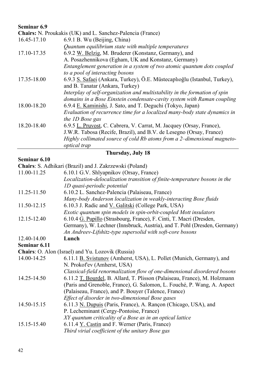#### **Seminar 6.9**

| Chairs: N. Proukakis (UK) and L. Sanchez-Palencia (France) |                                                                            |
|------------------------------------------------------------|----------------------------------------------------------------------------|
| 16.45-17.10                                                | 6.9.1 B. Wu (Beijing, China)                                               |
|                                                            | Quantum equilibrium state with multiple temperatures                       |
| 17.10-17.35                                                | 6.9.2 W. Belzig, M. Bruderer (Konstanz, Germany), and                      |
|                                                            | A. Posazhennikova (Egham, UK and Konstanz, Germany)                        |
|                                                            | Entanglement generation in a system of two atomic quantum dots coupled     |
|                                                            | to a pool of interacting bosons                                            |
| 17.35-18.00                                                | 6.9.3 S. Safaei (Ankara, Turkey), Ö.E. Müstecaplıoğlu (Istanbul, Turkey),  |
|                                                            | and B. Tanatar (Ankara, Turkey)                                            |
|                                                            | Interplay of self-organization and multistability in the formation of spin |
|                                                            | domains in a Bose Einstein condensate-cavity system with Raman coupling    |
| 18.00-18.20                                                | 6.9.4 E. Kaminishi, J. Sato, and T. Deguchi (Tokyo, Japan)                 |
|                                                            | Evaluation of recurrence time for a localized many-body state dynamics in  |
|                                                            | the 1D Bose gas                                                            |
| 18.20-18.40                                                | 6.9.5 L. Pruvost, C. Cabrera, V. Carrat, M. Jacquey (Orsay, France),       |
|                                                            | J.W.R. Tabosa (Recife, Brazil), and B.V. de Lesegno (Orsay, France)        |
|                                                            | Highly collimated source of cold Rb atoms from a 2-dimensional magneto-    |
|                                                            | optical trap                                                               |

**Thursday, July 18** 

#### **Seminar 6.10**

**Chairs**: S. Adhikari (Brazil) and J. Zakrzewski (Poland)

- 11.00-11.25 6.10.1 G.V. Shlyapnikov (Orsay, France) *Localization-delocalization transition of finite-temperature bosons in the 1D quasi-periodic potential*
- 11.25-11.50 6.10.2 L. Sanchez-Palencia (Palaiseau, France) *Many-body Anderson localization in weakly-interacting Bose fluids*  11.50-12.15 6.10.3 J. Radic and V. Galitski (College Park, USA)
- *Exotic quantum spin models in spin-orbit-coupled Mott insulators*  12.15-12.40 6.10.4 G. Pupillo (Strasbourg, France), F. Cinti, T. Macri (Dresden,
- Germany), W. Lechner (Innsbruck, Austria), and T. Pohl (Dresden, Germany) *An Andreev-Lifshitz-type supersolid with soft-core bosons*
- 12.40-14.00 **Lunch**

**Seminar 6.11** 

**Chairs**: O. Alon (Israel) and Yu. Lozovik (Russia)

| 14.00-14.25 | 6.11.1 B. Svistunov (Amherst, USA), L. Pollet (Munich, Germany), and      |
|-------------|---------------------------------------------------------------------------|
|             | N. Prokof'ev (Amherst, USA)                                               |
|             | Classical-field renormalization flow of one-dimensional disordered bosons |

- 14.25-14.50 6.11.2 T. Bourdel, B. Allard, T. Plisson (Palaiseau, France), M. Holzmann (Paris and Grenoble, France), G. Salomon, L. Fouché, P. Wang, A. Aspect (Palaiseau, France), and P. Bouyer (Talence, France) *Effect of disorder in two-dimensional Bose gases*
- 14.50-15.15 6.11.3 N. Dupuis (Paris, France), A. Rançon (Chicago, USA), and P. Lecheminant (Cergy-Pontoise, France) *XY quantum criticality of a Bose as in an optical lattice*
- 15.15-15.40 6.11.4 Y. Castin and F. Werner (Paris, France) *Third virial coefficient of the unitary Bose gas*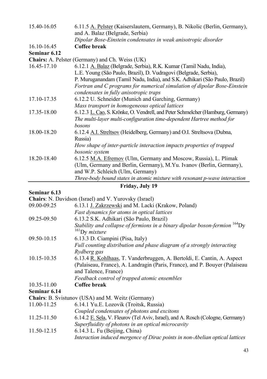| 15.40-16.05  | 6.11.5 A. Pelster (Kaiserslautern, Germany), B. Nikolic (Berlin, Germany),<br>and A. Balaz (Belgrade, Serbia) |
|--------------|---------------------------------------------------------------------------------------------------------------|
|              | Dipolar Bose-Einstein condensates in weak anisotropic disorder                                                |
| 16.10-16.45  | Coffee break                                                                                                  |
| Seminar 6.12 |                                                                                                               |
|              | <b>Chairs:</b> A. Pelster (Germany) and Ch. Weiss (UK)                                                        |
| 16.45-17.10  | 6.12.1 A. Balaz (Belgrade, Serbia), R.K. Kumar (Tamil Nadu, India),                                           |
|              | L.E. Young (São Paulo, Brazil), D. Vudragovi (Belgrade, Serbia),                                              |
|              | P. Muruganandam (Tamil Nadu, India), and S.K. Adhikari (São Paulo, Brazil)                                    |
|              | Fortran and C programs for numerical simulation of dipolar Bose-Einstein                                      |
|              | condensates in fully anisotropic traps                                                                        |
| 17.10-17.35  | 6.12.2 U. Schneider (Munich and Garching, Germany)                                                            |
|              | Mass transport in homogeneous optical lattices                                                                |
| 17.35-18.00  | 6.12.3 L. Cao, S. Krönke, O. Vendrell, and Peter Schmelcher (Hamburg, Germany)                                |
|              | The multi-layer multi-configuration time-dependent Hartree method for                                         |
|              | bosons                                                                                                        |
| 18.00-18.20  | 6.12.4 A.I. Streltsov (Heidelberg, Germany) and O.I. Streltsova (Dubna,                                       |
|              | Russia)                                                                                                       |
|              | How shape of inter-particle interaction impacts properties of trapped                                         |
|              | bosonic system                                                                                                |
| 18.20-18.40  | 6.12.5 M.A. Efremov (Ulm, Germany and Moscow, Russia), L. Plimak                                              |
|              | (Ulm, Germany and Berlin, Germany), M.Yu. Ivanov (Berlin, Germany),                                           |
|              | and W.P. Schleich (Ulm, Germany)                                                                              |
|              | Three-body bound states in atomic mixture with resonant p-wave interaction                                    |

**Friday, July 19** 

## **Seminar 6.13**

**Chairs**: N. Davidson (Israel) and V. Yurovsky (Israel)

| 09.00-09.25                                              | 6.13.1 J. Zakrzewski and M. Lacki (Krakow, Poland)                                     |
|----------------------------------------------------------|----------------------------------------------------------------------------------------|
|                                                          | Fast dynamics for atoms in optical lattices                                            |
| 09.25-09.50                                              | 6.13.2 S.K. Adhikari (São Paulo, Brazil)                                               |
|                                                          | Stability and collapse of fermions in a binary dipolar boson-fermion <sup>164</sup> Dy |
|                                                          | $^{161}$ Dy mixture                                                                    |
| 09.50-10.15                                              | 6.13.3 D. Ciampini (Pisa, Italy)                                                       |
|                                                          | Full counting distribution and phase diagram of a strongly interacting                 |
|                                                          | Rydberg gas                                                                            |
| 10.15-10.35                                              | 6.13.4 R. Kohlhaas, T. Vanderbruggen, A. Bertoldi, E. Cantin, A. Aspect                |
|                                                          | (Palaiseau, France), A. Landragin (Paris, France), and P. Bouyer (Palaiseau            |
|                                                          | and Talence, France)                                                                   |
|                                                          | Feedback control of trapped atomic ensembles                                           |
| 10.35-11.00                                              | Coffee break                                                                           |
| Seminar 6.14                                             |                                                                                        |
| <b>Chairs:</b> B. Svistunov (USA) and M. Weitz (Germany) |                                                                                        |
| 11.00-11.25                                              | 6.14.1 Yu.E. Lozovik (Troitsk, Russia)                                                 |
|                                                          | Coupled condensates of photons and excitons                                            |
| 11.25-11.50                                              | 6.14.2 E. Sela, V. Fleurov (Tel Aviv, Israel), and A. Rosch (Cologne, Germany)         |
|                                                          | Superfluidity of photons in an optical microcavity                                     |
| 11.50-12.15                                              | 6.14.3 L. Fu (Beijing, China)                                                          |
|                                                          | Interaction induced mergence of Dirac points in non-Abelian optical lattices           |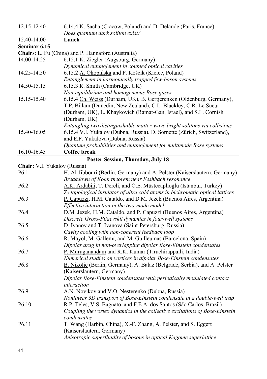| 12.15-12.40                  | 6.14.4 K. Sacha (Cracow, Poland) and D. Delande (Paris, France)                 |
|------------------------------|---------------------------------------------------------------------------------|
|                              | Does quantum dark soliton exist?                                                |
| 12.40-14.00                  | Lunch                                                                           |
| Seminar 6.15                 |                                                                                 |
|                              | Chairs: L. Fu (China) and P. Hannaford (Australia)                              |
| 14.00-14.25                  | 6.15.1 K. Ziegler (Augsburg, Germany)                                           |
|                              | Dynamical entanglement in coupled optical cavities                              |
| 14.25-14.50                  | 6.15.2 A. Okopińska and P. Kościk (Kielce, Poland)                              |
|                              | Entanglement in harmonically trapped few-boson systems                          |
| 14.50-15.15                  | 6.15.3 R. Smith (Cambridge, UK)                                                 |
|                              | Non-equilibrium and homogeneous Bose gases                                      |
| 15.15-15.40                  | 6.15.4 Ch. Weiss (Durham, UK), B. Gertjerenken (Oldenburg, Germany),            |
|                              | T.P. Billam (Dunedin, New Zealand), C.L. Blackley, C.R. Le Sueur                |
|                              | (Durham, UK), L. Khaykovich (Ramat-Gan, Israel), and S.L. Cornish               |
|                              | (Durham, UK)                                                                    |
|                              | Entangling two distinguishable matter-wave bright solitons via collisions       |
| 15.40-16.05                  | 6.15.4 V.I. Yukalov (Dubna, Russia), D. Sornette (Zürich, Switzerland),         |
|                              | and E.P. Yukalova (Dubna, Russia)                                               |
|                              | Quantum probabilities and entanglement for multimode Bose systems               |
| 16.10-16.45                  | Coffee break                                                                    |
|                              | Poster Session, Thursday, July 18                                               |
| Chair: V.I. Yukalov (Russia) |                                                                                 |
| P <sub>6.1</sub>             | H. Al-Jibbouri (Berlin, Germany) and A. Pelster (Kaiserslautern, Germany)       |
|                              | Breakdown of Kohn theorem near Feshbach resonance                               |
| P <sub>6.2</sub>             | A.K. Ardabili, T. Dereli, and Ö.E. Müstecaplıoğlu (Istanbul, Turkey)            |
|                              | $Z_2$ topological insulator of ultra cold atoms in bichromatic optical lattices |
| P <sub>6.3</sub>             | P. Capuzzi, H.M. Cataldo, and D.M. Jezek (Buenos Aires, Argentina)              |
|                              | Effective interaction in the two-mode model                                     |
| P <sub>6.4</sub>             | D.M. Jezek, H.M. Cataldo, and P. Capuzzi (Buenos Aires, Argentina)              |
|                              | Discrete Gross-Pitaevskii dynamics in four-well systems                         |
| P <sub>6.5</sub>             | D. Ivanov and T. Ivanova (Saint-Petersburg, Russia)                             |
|                              | Cavity cooling with non-coherent feedback loop                                  |
| P <sub>6.6</sub>             | R. Mayol, M. Gallemí, and M. Guilleumas (Barcelona, Spain)                      |
|                              | Dipolar drag in non-overlapping dipolar Bose-Einstein condensates               |
| P <sub>6.7</sub>             | P. Muruganandam and R.K. Kumar (Tiruchirappalli, India)                         |
|                              | Numerical studies on vortices in dipolar Bose-Einstein condensates              |
| P <sub>6.8</sub>             | B. Nikolic (Berlin, Germany), A. Balaz (Belgrade, Serbia), and A. Pelster       |
|                              | (Kaiserslautern, Germany)                                                       |
|                              | Dipolar Bose-Einstein condensates with periodically modulated contact           |
| P <sub>6.9</sub>             | interaction<br>A.N. Novikov and V.O. Nesterenko (Dubna, Russia)                 |
|                              | Nonlinear 3D transport of Bose-Einstein condensate in a double-well trap        |
| P6.10                        | R.P. Teles, V.S. Bagnato, and F.E.A. dos Santos (São Carlos, Brazil)            |
|                              | Coupling the vortex dynamics in the collective excitations of Bose-Einstein     |
|                              | condensates                                                                     |
| P <sub>6.11</sub>            | T. Wang (Harbin, China), X.-F. Zhang, A. Pelster, and S. Eggert                 |
|                              | (Kaiserslautern, Germany)                                                       |
|                              | Anisotropic superfluidity of bosons in optical Kagome superlattice              |
|                              |                                                                                 |
|                              |                                                                                 |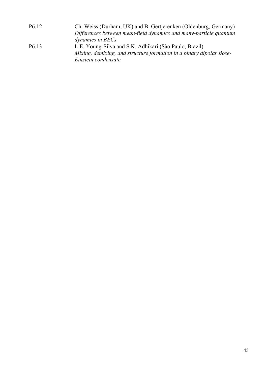| P <sub>6.12</sub> | Ch. Weiss (Durham, UK) and B. Gertjerenken (Oldenburg, Germany)     |
|-------------------|---------------------------------------------------------------------|
|                   | Differences between mean-field dynamics and many-particle quantum   |
|                   | dynamics in BECs                                                    |
| P <sub>6.13</sub> | L.E. Young-Silva and S.K. Adhikari (São Paulo, Brazil)              |
|                   | Mixing, demixing, and structure formation in a binary dipolar Bose- |
|                   | Einstein condensate                                                 |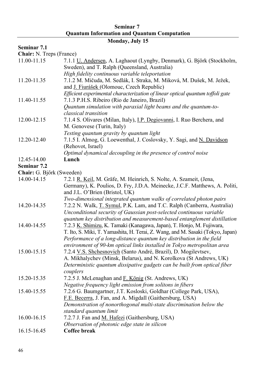#### **Seminar 7 Quantum Information and Quantum Computation**

## **Monday, July 15**

## **Seminar 7.1**

**Chair:** N. Treps (France)

| 11.00-11.15               | 7.1.1 U. Andersen, A. Laghaout (Lyngby, Denmark), G. Björk (Stockholm,<br>Sweden), and T. Ralph (Queensland, Australia) |
|---------------------------|-------------------------------------------------------------------------------------------------------------------------|
|                           | High fidelity continuous variable teleportation                                                                         |
| 11.20-11.35               | 7.1.2 M. Mičuda, M. Sedlák, I. Straka, M. Miková, M. Dušek, M. Ježek,                                                   |
|                           | and <i>J. Fiurášek</i> (Olomouc, Czech Republic)                                                                        |
|                           | Efficient experimental characterization of linear optical quantum toffoli gate                                          |
| 11.40-11.55               | 7.1.3 P.H.S. Ribeiro (Rio de Janeiro, Brazil)                                                                           |
|                           | Quantum simulation with paraxial light beams and the quantum-to-                                                        |
|                           | classical transition                                                                                                    |
| 12.00-12.15               | 7.1.4 S. Olivares (Milan, Italy), <i>I.P. Degiovanni</i> , <i>I. Ruo Berchera</i> , and                                 |
|                           | M. Genovese (Turin, Italy)                                                                                              |
|                           | Testing quantum gravity by quantum light                                                                                |
| 12.20-12.40               | 7.1.5 I. Almog, G. Loewenthal, J. Coslovsky, Y. Sagi, and N. Davidson                                                   |
|                           | (Rehovot, Israel)                                                                                                       |
|                           | Optimal dynamical decoupling in the presence of control noise                                                           |
| 12.45-14.00               | Lunch                                                                                                                   |
| Seminar 7.2               |                                                                                                                         |
| Chair: G. Bjőrk (Sweeden) |                                                                                                                         |
| 14.00-14.15               | 7.2.1 R. Keil, M. Gräfe, M. Heinrich, S. Nolte, A. Szameit, (Jena,                                                      |
|                           | Germany), K. Poulios, D. Fry, J.D.A. Meinecke, J.C.F. Matthews, A. Politi,                                              |
|                           | and J.L. O'Brien (Bristol, UK)                                                                                          |
|                           | Two-dimensional integrated quantum walks of correlated photon pairs                                                     |
| 14.20-14.35               | 7.2.2 N. Walk, T. Symul, P.K. Lam, and T.C. Ralph (Canberra, Australia)                                                 |
|                           | Unconditional security of Gaussian post-selected continuous variable                                                    |
|                           | quantum key distribution and measurement-based entanglement distillation                                                |
| 14.40-14.55               | 7.2.3 K. Shimizu, K. Tamaki (Kanagawa, Japan), T. Honjo, M. Fujiwara,                                                   |
|                           | T. Ito, S. Miki, T. Yamashita, H. Terai, Z. Wang, and M. Sasaki (Tokyo, Japan)                                          |
|                           | Performance of a long-distance quantum key distribution in the field                                                    |
|                           | environment of 90-km optical links installed in Tokyo metropolitan area                                                 |
| 15.00-15.15               | 7.2.4 V.S. Shchesnovich (Santo André, Brazil), D. Mogilevtsev,                                                          |
|                           | A. Mikhalychev (Minsk, Belarus), and N. Korolkova (St Andrews, UK)                                                      |
|                           | Deterministic quantum dissipative gadgets can be built from optical fiber                                               |
|                           | couplers                                                                                                                |
| 15.20-15.35               | 7.2.5 J. McLenaghan and F. König (St. Andrews, UK)                                                                      |
|                           | Negative frequency light emission from solitons in fibers                                                               |
| 15.40-15.55               | 7.2.6 G. Baumgartner, J.T. Kosloski, Goldhar (College Park, USA),                                                       |
|                           | F.E. Becerra, J. Fan, and A. Migdall (Gaithersburg, USA)                                                                |
|                           | Demonstration of nonorthogonal multi-state discrimination below the                                                     |
|                           | standard quantum limit                                                                                                  |
| 16.00-16.15               | 7.2.7 J. Fan and M. Hafezi (Gaithersburg, USA)                                                                          |
|                           | Observation of photonic edge state in silicon                                                                           |
| 16.15-16.45               | Coffee break                                                                                                            |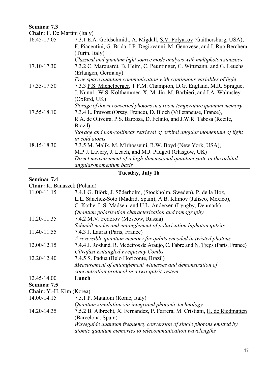## **Seminar 7.3**

**Chair:** F. De Martini (Italy)

| 7.3.1 E.A. Goldschmidt, A. Migdall, S.V. Polyakov (Gaithersburg, USA),       |
|------------------------------------------------------------------------------|
| F. Piacentini, G. Brida, I.P. Degiovanni, M. Genovese, and I. Ruo Berchera   |
| (Turin, Italy)                                                               |
| Classical and quantum light source mode analysis with multiphoton statistics |
| 7.3.2 C. Marquardt, B. Heim, C. Peuntinger, C. Wittmann, and G. Leuchs       |
| (Erlangen, Germany)                                                          |
| Free space quantum communication with continuous variables of light          |
| 7.3.3 P.S. Michelberger, T.F.M. Champion, D.G. England, M.R. Sprague,        |
| J. Nunn1, W.S. Kolthammer, X.-M. Jin, M. Barbieri, and I.A. Walmsley         |
| (Oxford, UK)                                                                 |
| Storage of down-converted photons in a room-temperature quantum memory       |
| 7.3.4 L. Pruvost (Orsay, France), D. Bloch (Villetaneuse, France),           |
| R.A. de Oliveira, P.S. Barbosa, D. Felinto, and J.W.R. Tabosa (Recife,       |
| Brazil)                                                                      |
| Storage and non-collinear retrieval of orbital angular momentum of light     |
| in cold atoms                                                                |
| 7.3.5 M. Malik, M. Mirhosseini, R.W. Boyd (New York, USA),                   |
| M.P.J. Lavery, J. Leach, and M.J. Padgett (Glasgow, UK)                      |
| Direct measurement of a high-dimensional quantum state in the orbital-       |
| angular-momentum basis                                                       |
|                                                                              |

## **Tuesday, July 16**

#### **Seminar 7.4**

**Chair:** K. Banaszek (Poland)

| 11.00-11.15              | 7.4.1 G. Björk, J. Söderholm, (Stockholm, Sweden), P. de la Hoz,               |
|--------------------------|--------------------------------------------------------------------------------|
|                          | L.L. Sánchez-Soto (Madrid, Spain), A.B. Klimov (Jalisco, Mexico),              |
|                          | C. Kothe, L.S. Madsen, and U.L. Andersen (Lyngby, Denmark)                     |
|                          | Quantum polarization characterization and tomography                           |
| 11.20-11.35              | 7.4.2 M.V. Fedorov (Moscow, Russia)                                            |
|                          | Schmidt modes and entanglement of polarization biphoton qutrits                |
| 11.40-11.55              | 7.4.3 J. Laurat (Paris, France)                                                |
|                          | A reversible quantum memory for qubits encoded in twisted photons              |
| 12.00-12.15              | 7.4.4 J. Roslund, R. Medeiros de Araújo, C. Fabre and N. Treps (Paris, France) |
|                          | <b>Ultrafast Entangled Frequency Combs</b>                                     |
| 12.20-12.40              | 7.4.5 S. Pádua (Belo Horizonte, Brazil)                                        |
|                          | Measurement of entanglement witnesses and demonstration of                     |
|                          | concentration protocol in a two-qutrit system                                  |
| 12.45-14.00              | Lunch                                                                          |
| Seminar 7.5              |                                                                                |
| Chair: Y.-H. Kim (Korea) |                                                                                |
| 14.00-14.15              | 7.5.1 P. Mataloni (Rome, Italy)                                                |
|                          | Quantum simulation via integrated photonic technology                          |
| 14.20-14.35              | 7.5.2 B. Albrecht, X. Fernandez, P. Farrera, M. Cristiani, H. de Riedmatten    |
|                          | (Barcelona, Spain)                                                             |
|                          | Waveguide quantum frequency conversion of single photons emitted by            |
|                          | atomic quantum memories to telecommunication wavelengths                       |
|                          |                                                                                |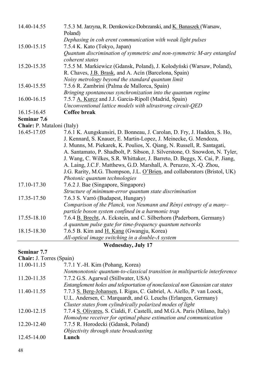| 14.40-14.55                | 7.5.3 M. Jarzyna, R. Demkowicz-Dobrzanski, and K. Banaszek (Warsaw,<br>Poland) |
|----------------------------|--------------------------------------------------------------------------------|
|                            | Dephasing in coh erent communication with weak light pulses                    |
| 15.00-15.15                | 7.5.4 K. Kato (Tokyo, Japan)                                                   |
|                            | Quantum discrimination of symmetric and non-symmetric M-ary entangled          |
|                            | coherent states                                                                |
| 15.20-15.35                | 7.5.5 M. Markiewicz (Gdansk, Poland), J. Kolodyński (Warsaw, Poland),          |
|                            | R. Chaves, J.B. Brask, and A. Acín (Barcelona, Spain)                          |
|                            | Noisy metrology beyond the standard quantum limit                              |
| 15.40-15.55                | 7.5.6 R. Zambrini (Palma de Mallorca, Spain)                                   |
|                            | Bringing spontaneous synchronization into the quantum regime                   |
| 16.00-16.15                | 7.5.7 A. Kurcz and J.J. Garcia-Ripoll (Madrid, Spain)                          |
|                            | Unconventional lattice models with ultrastrong circuit-QED                     |
| 16.15-16.45                | Coffee break                                                                   |
| Seminar 7.6                |                                                                                |
| Chair: P. Mataloni (Italy) |                                                                                |
| 16.45-17.05                | 7.6.1 K. Aungskunsiri, D. Bonneau, J. Carolan, D. Fry, J. Hadden, S. Ho,       |
|                            | J. Kennard, S. Knauer, E. Martin-Lopez, J. Meinecke, G. Mendoza,               |
|                            | J. Munns, M. Piekarek, K. Poulios, X. Qiang, N. Russell, R. Santagati,         |
|                            | A. Santamato, P. Shadbolt, P. Sibson, J. Silverstone, O. Snowdon, N. Tyler,    |
|                            | J. Wang, C. Wilkes, S.R. Whittaker, J. Barreto, D. Beggs, X. Cai, P. Jiang,    |
|                            | A. Laing, J.C.F. Matthews, G.D. Marshall, A. Peruzzo, X.-Q. Zhou,              |
|                            | J.G. Rarity, M.G. Thompson, J.L. O'Brien, and collaborators (Bristol, UK)      |
|                            | Photonic quantum technologies                                                  |
| 17.10-17.30                | 7.6.2 J. Bae (Singapore, Singapore)                                            |
|                            | Structure of minimum-error quantum state discrimination                        |
| 17.35-17.50                | 7.6.3 S. Varró (Budapest, Hungary)                                             |
|                            | Comparison of the Planck, von Neumann and Rényi entropy of a many-             |
|                            | particle boson system confined in a harmonic trap                              |
| 17.55-18.10                | 7.6.4 B. Brecht, A. Eckstein, and C. Silberhorn (Paderborn, Germany)           |
|                            | A quantum pulse gate for time-frequency quantum networks                       |
| 18.15-18.30                | 7.6.5 B. Kim and H. Kang (Gwangju, Korea)                                      |
|                            | All-optical image switching in a double-A system                               |

## **Wednesday, July 17**

## **Seminar 7.7**

**Chair:** J. Torres (Spain)

| 11.00-11.15 | 7.7.1 Y.-H. Kim (Pohang, Korea)                                              |
|-------------|------------------------------------------------------------------------------|
|             | Nonmonotonic quantum-to-classical transition in multiparticle interference   |
| 11.20-11.35 | 7.7.2 G.S. Agarwal (Stillwater, USA)                                         |
|             | Entanglement holes and teleportation of nonclassical non Gaussian cat states |
| 11.40-11.55 | 7.7.3 S. Berg-Johansen, I. Rigas, C. Gabriel, A. Aiello, P. van Loock,       |
|             | U.L. Andersen, C. Marquardt, and G. Leuchs (Erlangen, Germany)               |
|             | Cluster states from cylindrically polarized modes of light                   |
| 12.00-12.15 | 7.7.4 S. Olivares, S. Cialdi, F. Castelli, and M.G.A. Paris (Milano, Italy)  |
|             | Homodyne receiver for optimal phase estimation and communication             |
| 12.20-12.40 | 7.7.5 R. Horodecki (Gdansk, Poland)                                          |
|             | Objectivity through state broadcasting                                       |
| 12.45-14.00 | Lunch                                                                        |
|             |                                                                              |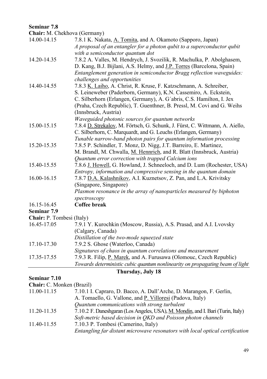#### **Seminar 7.8**

**Chair:** M. Chekhova (Germany)

| 14.00-14.15                                                        | 7.8.1 K. Nakata, A. Tomita, and A. Okamoto (Sapporo, Japan)                  |
|--------------------------------------------------------------------|------------------------------------------------------------------------------|
|                                                                    | A proposal of an entangler for a photon qubit to a superconductor qubit      |
|                                                                    | with a semiconductor quantum dot                                             |
| 14.20-14.35                                                        | 7.8.2 A. Valles, M. Hendrych, J. Svozilik, R. Machulka, P. Abolghasem,       |
|                                                                    | D. Kang, B.J. Bijlani, A.S. Helmy, and J.P. Torres (Barcelona, Spain)        |
|                                                                    | Entanglement generation in semiconductor Bragg reflection waveguides:        |
|                                                                    | challenges and opportunities                                                 |
| 14.40-14.55                                                        | 7.8.3 K. Laiho, A. Christ, R. Kruse, F. Katzschmann, A. Schreiber,           |
|                                                                    | S. Leineweber (Paderborn, Germany), K.N. Cassemiro, A. Eckstein,             |
|                                                                    | C. Silberhorn (Erlangen, Germany), A. G'abris, C.S. Hamilton, I. Jex         |
|                                                                    | (Praha, Czech Republic), T. Guenthner, B. Pressl, M. Covi and G. Weihs       |
|                                                                    | (Innsbruck, Austria)                                                         |
|                                                                    | Waveguided photonic sources for quantum networks                             |
| 15.00-15.15                                                        | 7.8.4 D. Strekalov, M. Förtsch, G. Schunk, J. Fürst, C. Wittmann, A. Aiello, |
|                                                                    | C. Silberhorn, C. Marquardt, and G. Leuchs (Erlangen, Germany)               |
|                                                                    | Tunable narrow-band photon pairs for quantum information processing          |
| 15.20-15.35                                                        | 7.8.5 P. Schindler, T. Monz, D. Nigg, J.T. Barreiro, E. Martinez,            |
|                                                                    | M. Brandl, M. Chwalla, M. Hennrich, and R. Blatt (Innsbruck, Austria)        |
|                                                                    | Quantum error correction with trapped Calcium ions                           |
| 15.40-15.55                                                        | 7.8.6 J. Howell, G. Howland, J. Schneeloch, and D. Lum (Rochester, USA)      |
|                                                                    | Entropy, information and compressive sensing in the quantum domain           |
| 16.00-16.15                                                        | 7.8.7 D.A. Kalashnikov, A.I. Kuznetsov, Z. Pan, and L.A. Krivitsky           |
|                                                                    | (Singapore, Singapore)                                                       |
|                                                                    | Plasmon resonance in the array of nanoparticles measured by biphoton         |
|                                                                    | spectroscopy                                                                 |
| 16.15-16.45                                                        | Coffee break                                                                 |
| Seminar 7.9                                                        |                                                                              |
| $\boldsymbol{\Gamma}$ hair: D $\boldsymbol{\Gamma}$ amheei (Italy) |                                                                              |

| <b>Chair:</b> P. Tombesi (Italy) |                                                                               |
|----------------------------------|-------------------------------------------------------------------------------|
| 16.45-17.05                      | 7.9.1 Y. Kurochkin (Moscow, Russia), A.S. Prasad, and A.I. Lvovsky            |
|                                  | (Calgary, Canada)                                                             |
|                                  | Distillation of the two-mode squeezed state                                   |
| 17.10-17.30                      | 7.9.2 S. Ghose (Waterloo, Canada)                                             |
|                                  | Signatures of chaos in quantum correlations and measurement                   |
| 17.35-17.55                      | 7.9.3 R. Filip, P. Marek, and A. Furusawa (Olomouc, Czech Republic)           |
|                                  | Towards deterministic cubic quantum nonlinearity on propagating beam of light |

## **Thursday, July 18**

## **Seminar 7.10**

| Chair: C. Monken (Brazil) |
|---------------------------|
|---------------------------|

| 11.00-11.15 | 7.10.1 I. Capraro, D. Bacco, A. Dall'Arche, D. Marangon, F. Gerlin,             |
|-------------|---------------------------------------------------------------------------------|
|             | A. Tomaello, G. Vallone, and P. Villoresi (Padova, Italy)                       |
|             | Ouantum communications with strong turbulent                                    |
| 11.20-11.35 | 7.10.2 F. Daneshgaran (Los Angeles, USA), M. Mondin, and I. Bari (Turin, Italy) |
|             | Soft-metric based decision in OKD and Poisson photon channels                   |
| 11.40-11.55 | 7.10.3 P. Tombesi (Camerino, Italy)                                             |
|             | Entangling far distant microwave resonators with local optical certification    |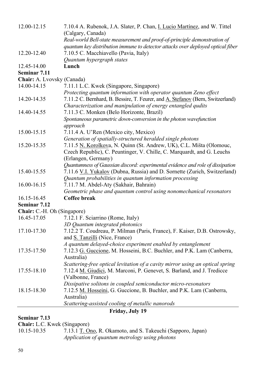| 12.00-12.15                 | 7.10.4 A. Rubenok, J.A. Slater, P. Chan, <i>I. Lucio Martinez</i> , and W. Tittel |
|-----------------------------|-----------------------------------------------------------------------------------|
|                             | (Calgary, Canada)                                                                 |
|                             | Real-world Bell-state measurement and proof-of-principle demonstration of         |
|                             | quantum key distribution immune to detector attacks over deployed optical fiber   |
| 12.20-12.40                 | 7.10.5 C. Macchiavello (Pavia, Italy)                                             |
|                             | Quantum hypergraph states                                                         |
| 12.45-14.00                 | Lunch                                                                             |
| Seminar 7.11                |                                                                                   |
| Chair: A. Lvovsky (Canada)  |                                                                                   |
| 14.00-14.15                 | 7.11.1 L.C. Kwek (Singapore, Singapore)                                           |
|                             | Protecting quantum information with operator quantum Zeno effect                  |
| 14.20-14.35                 | 7.11.2 C. Bernhard, B. Bessire, T. Feurer, and A. Stefanov (Bern, Switzerland)    |
|                             | Characterization and manipulation of energy entangled qudits                      |
| 14.40-14.55                 | 7.11.3 C. Monken (Belo Horizonte, Brazil)                                         |
|                             | Spontaneous parametric down-conversion in the photon wavefunction                 |
|                             | approach                                                                          |
| 15.00-15.15                 | 7.11.4 A. U'Ren (Mexico city, Mexico)                                             |
|                             | Generation of spatially-structured heralded single photons                        |
| 15.20-15.35                 | 7.11.5 N. Korolkova, N. Quinn (St. Andrew, UK), C.L. Mišta (Olomouc,              |
|                             | Czech Republic), C. Peuntinger, V. Chille, C. Marquardt, and G. Leuchs            |
|                             | (Erlangen, Germany)                                                               |
|                             | Quantumness of Gaussian discord: experimental evidence and role of dissipation    |
| 15.40-15.55                 | 7.11.6 V.I. Yukalov (Dubna, Russia) and D. Sornette (Zurich, Switzerland)         |
|                             | Quantum probabilities in quantum information processing                           |
| 16.00-16.15                 | 7.11.7 M. Abdel-Aty (Sakhair, Bahrain)                                            |
|                             | Geometric phase and quantum control using nonomechanical resonators               |
| 16.15-16.45                 | Coffee break                                                                      |
| Seminar 7.12                |                                                                                   |
| Chair: C.-H. Oh (Singapore) |                                                                                   |
| 16.45-17.05                 | 7.12.1 F. Sciarrino (Rome, Italy)                                                 |
|                             | 3D Quantum integrated photonics                                                   |
| 17.10-17.30                 | 7.12.2 T. Coudreau, P. Milman (Paris, France), F. Kaiser, D.B. Ostrowsky,         |
|                             | and S. Tanzilli (Nice, France)                                                    |
|                             | A quantum delayed-choice experiment enabled by entanglement                       |
| 17.35-17.50                 | 7.12.3 G. Guccione, M. Hosseini, B.C. Buchler, and P.K. Lam (Canberra,            |
|                             | Australia)                                                                        |
|                             | Scattering-free optical levitation of a cavity mirror using an optical spring     |
| 17.55-18.10                 | 7.12.4 M. Giudici, M. Marconi, P. Genevet, S. Barland, and J. Tredicce            |
|                             | (Valbonne, France)                                                                |
|                             | Dissipative solitons in coupled semiconductor micro-resonators                    |
| 18.15-18.30                 | 7.12.5 M. Hosseini, G. Guccione, B. Buchler, and P.K. Lam (Canberra,              |
|                             | Australia)                                                                        |
|                             | Scattering-assisted cooling of metallic nanorods                                  |
|                             |                                                                                   |

## **Friday, July 19**

#### **Seminar 7.13**

**Chair:** L.C. Kwek (Singapore)<br>10.15-10.35 7.13.1 T. Or

7.13.1 T. Ono, R. Okamoto, and S. Takeuchi (Sapporo, Japan) *Application of quantum metrology using photons*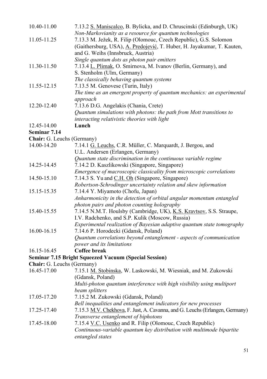| 11.05-11.25<br>11.30-11.50<br>11.55-12.15                               | Non-Markovianity as a resource for quantum technologies<br>7.13.3 M. Ježek, R. Filip (Olomouc, Czech Republic), G.S. Solomon<br>(Gaithersburg, USA), A. Predojević, T. Huber, H. Jayakumar, T. Kauten,<br>and G. Weihs (Innsbruck, Austria)<br>Single quantum dots as photon pair emitters<br>7.13.4 L. Plimak, O. Smirnova, M. Ivanov (Berlin, Germany), and<br>S. Stenholm (Ulm, Germany)<br>The classically behaving quantum systems<br>7.13.5 M. Genovese (Turin, Italy) |
|-------------------------------------------------------------------------|------------------------------------------------------------------------------------------------------------------------------------------------------------------------------------------------------------------------------------------------------------------------------------------------------------------------------------------------------------------------------------------------------------------------------------------------------------------------------|
|                                                                         |                                                                                                                                                                                                                                                                                                                                                                                                                                                                              |
|                                                                         |                                                                                                                                                                                                                                                                                                                                                                                                                                                                              |
|                                                                         |                                                                                                                                                                                                                                                                                                                                                                                                                                                                              |
|                                                                         |                                                                                                                                                                                                                                                                                                                                                                                                                                                                              |
|                                                                         |                                                                                                                                                                                                                                                                                                                                                                                                                                                                              |
|                                                                         |                                                                                                                                                                                                                                                                                                                                                                                                                                                                              |
|                                                                         |                                                                                                                                                                                                                                                                                                                                                                                                                                                                              |
|                                                                         |                                                                                                                                                                                                                                                                                                                                                                                                                                                                              |
|                                                                         |                                                                                                                                                                                                                                                                                                                                                                                                                                                                              |
|                                                                         | The time as an emergent property of quantum mechanics: an experimental<br>approach                                                                                                                                                                                                                                                                                                                                                                                           |
| 12.20-12.40                                                             | 7.13.6 D.G. Angelakis (Chania, Crete)                                                                                                                                                                                                                                                                                                                                                                                                                                        |
|                                                                         | Quantum simulations with photons: the path from Mott transitions to                                                                                                                                                                                                                                                                                                                                                                                                          |
|                                                                         |                                                                                                                                                                                                                                                                                                                                                                                                                                                                              |
|                                                                         | interacting relativistic theories with light                                                                                                                                                                                                                                                                                                                                                                                                                                 |
| 12.45-14.00                                                             | Lunch                                                                                                                                                                                                                                                                                                                                                                                                                                                                        |
| Seminar 7.14                                                            |                                                                                                                                                                                                                                                                                                                                                                                                                                                                              |
| Chair: G. Leuchs (Germany)                                              |                                                                                                                                                                                                                                                                                                                                                                                                                                                                              |
| 14.00-14.20                                                             | 7.14.1 G. Leuchs, C.R. Müller, C. Marquardt, J. Bergou, and                                                                                                                                                                                                                                                                                                                                                                                                                  |
|                                                                         | U.L. Andersen (Erlangen, Germany)                                                                                                                                                                                                                                                                                                                                                                                                                                            |
|                                                                         | Quantum state discrimination in the continuous variable regime                                                                                                                                                                                                                                                                                                                                                                                                               |
| 14.25-14.45                                                             | 7.14.2 D. Kaszlikowski (Singapore, Singapore)                                                                                                                                                                                                                                                                                                                                                                                                                                |
|                                                                         | Emergence of macroscopic classicality from microscopic correlations                                                                                                                                                                                                                                                                                                                                                                                                          |
| 14.50-15.10                                                             | 7.14.3 S. Yu and C.H. Oh (Singapore, Singapore)                                                                                                                                                                                                                                                                                                                                                                                                                              |
|                                                                         | Robertson-Schrodinger uncertainty relation and skew information                                                                                                                                                                                                                                                                                                                                                                                                              |
| 15.15-15.35                                                             | 7.14.4 Y. Miyamoto (Chofu, Japan)                                                                                                                                                                                                                                                                                                                                                                                                                                            |
|                                                                         | Anharmonicity in the detection of orbital angular momentum entangled                                                                                                                                                                                                                                                                                                                                                                                                         |
|                                                                         | photon pairs and photon counting holography                                                                                                                                                                                                                                                                                                                                                                                                                                  |
| 15.40-15.55                                                             | 7.14.5 N.M.T. Houlsby (Cambridge, UK), K.S. Kravtsov, S.S. Straupe,                                                                                                                                                                                                                                                                                                                                                                                                          |
|                                                                         | I.V. Radchenko, and S.P. Kulik (Moscow, Russia)                                                                                                                                                                                                                                                                                                                                                                                                                              |
|                                                                         | Experimental realization of Bayesian adaptive quantum state tomography                                                                                                                                                                                                                                                                                                                                                                                                       |
| 16.00-16.15                                                             | 7.14.6 P. Horodecki (Gdansk, Poland)                                                                                                                                                                                                                                                                                                                                                                                                                                         |
|                                                                         | Quantum correlations beyond entanglement - aspects of communication                                                                                                                                                                                                                                                                                                                                                                                                          |
|                                                                         | power and its limitations                                                                                                                                                                                                                                                                                                                                                                                                                                                    |
|                                                                         |                                                                                                                                                                                                                                                                                                                                                                                                                                                                              |
|                                                                         |                                                                                                                                                                                                                                                                                                                                                                                                                                                                              |
|                                                                         |                                                                                                                                                                                                                                                                                                                                                                                                                                                                              |
|                                                                         |                                                                                                                                                                                                                                                                                                                                                                                                                                                                              |
|                                                                         |                                                                                                                                                                                                                                                                                                                                                                                                                                                                              |
|                                                                         |                                                                                                                                                                                                                                                                                                                                                                                                                                                                              |
|                                                                         |                                                                                                                                                                                                                                                                                                                                                                                                                                                                              |
|                                                                         |                                                                                                                                                                                                                                                                                                                                                                                                                                                                              |
|                                                                         |                                                                                                                                                                                                                                                                                                                                                                                                                                                                              |
| 17.25-17.40                                                             | 7.15.3 M.V. Chekhova, F. Just, A. Cavanna, and G. Leuchs (Erlangen, Germany)                                                                                                                                                                                                                                                                                                                                                                                                 |
|                                                                         | Transverse entanglement of biphotons                                                                                                                                                                                                                                                                                                                                                                                                                                         |
| 17.45-18.00                                                             | 7.15.4 V.C. Usenko and R. Filip (Olomouc, Czech Republic)                                                                                                                                                                                                                                                                                                                                                                                                                    |
|                                                                         | Continuous-variable quantum key distribution with multimode bipartite                                                                                                                                                                                                                                                                                                                                                                                                        |
|                                                                         | entangled states                                                                                                                                                                                                                                                                                                                                                                                                                                                             |
| 16.15-16.45<br>Chair: G. Leuchs (Germany)<br>16.45-17.00<br>17.05-17.20 | Coffee break<br><b>Seminar 7.15 Bright Squeezed Vacuum (Special Session)</b><br>7.15.1 M. Stobinska, W. Laskowski, M. Wiesniak, and M. Zukowski<br>(Gdansk, Poland)<br>Multi-photon quantum interference with high visibility using multiport<br>beam splitters<br>7.15.2 M. Zukowski (Gdansk, Poland)<br>Bell inequalities and entanglement indicators for new processes                                                                                                    |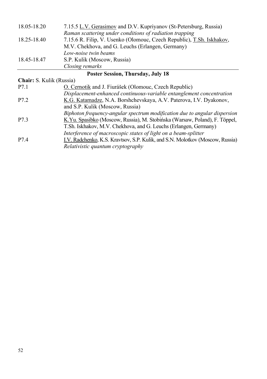| 18.05-18.20 | 7.15.5 L.V. Gerasimov and D.V. Kupriyanov (St-Petersburg, Russia)     |
|-------------|-----------------------------------------------------------------------|
|             | Raman scattering under conditions of radiation trapping               |
| 18.25-18.40 | 7.15.6 R. Filip, V. Usenko (Olomouc, Czech Republic), T.Sh. Iskhakov, |
|             | M.V. Chekhova, and G. Leuchs (Erlangen, Germany)                      |
|             | Low-noise twin beams                                                  |
| 18.45-18.47 | S.P. Kulik (Moscow, Russia)                                           |
|             | Closing remarks                                                       |

## **Poster Session, Thursday, July 18**

## **Chair:** S. Kulik (Russia)

| P7.1 | O. Cernotik and J. Fiurášek (Olomouc, Czech Republic)                         |
|------|-------------------------------------------------------------------------------|
|      | Displacement-enhanced continuous-variable entanglement concentration          |
| P7.2 | K.G. Katamadze, N.A. Borshchevskaya, A.V. Paterova, I.V. Dyakonov,            |
|      | and S.P. Kulik (Moscow, Russia)                                               |
|      | Biphoton frequency-angular spectrum modification due to angular dispersion    |
| P7.3 | K.Yu. Spasibko (Moscow, Russia), M. Stobińska (Warsaw, Poland), F. Töppel,    |
|      | T.Sh. Iskhakov, M.V. Chekhova, and G. Leuchs (Erlangen, Germany)              |
|      | Interference of macroscopic states of light on a beam-splitter                |
| P7.4 | I.V. Radchenko, K.S. Kravtsov, S.P. Kulik, and S.N. Molotkov (Moscow, Russia) |
|      | Relativistic quantum cryptography                                             |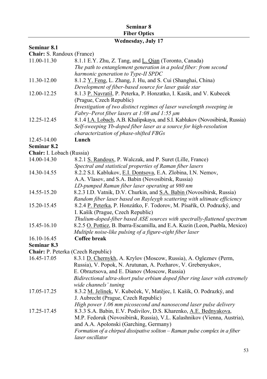## **Seminar 8 Fiber Optics**

## **Wednesday, July 17**

## **Seminar 8.1**

**Chair:** S. Randoux (France)

| 11.00-11.30               | 8.1.1 E.Y. Zhu, Z. Tang, and L. Qian (Toronto, Canada)                       |
|---------------------------|------------------------------------------------------------------------------|
|                           | The path to entanglement generation in a poled fiber: from second            |
|                           | harmonic generation to Type-II SPDC                                          |
| 11.30-12.00               | 8.1.2 Y. Feng, L. Zhang, J. Hu, and S. Cui (Shanghai, China)                 |
|                           | Development of fiber-based source for laser guide star                       |
| 12.00-12.25               | 8.1.3 P. Navratil, P. Peterka, P. Honzatko, I. Kasik, and V. Kubecek         |
|                           | (Prague, Czech Republic)                                                     |
|                           | Investigation of two distinct regimes of laser wavelength sweeping in        |
|                           | Fabry-Perot fiber lasers at 1:08 and 1:55 $\mu$ m                            |
| 12.25-12.45               | 8.1.4 I.A. Lobach, A.B. Khalipskaya, and S.I. Kablukov (Novosibirsk, Russia) |
|                           | Self-sweeping Yb-doped fiber laser as a source for high-resolution           |
|                           | characterization of phase-shifted FBGs                                       |
| 12.45-14.00               | Lunch                                                                        |
| Seminar 8.2               |                                                                              |
| Chair: I. Lobach (Russia) |                                                                              |
| 14.00-14.30               | 8.2.1 S. Randoux, P. Walczak, and P. Suret (Lille, France)                   |
|                           | Spectral and statistical properties of Raman fiber lasers                    |
| 14.30-14.55               | 8.2.2 S.I. Kablukov, E.I. Dontsova, E.A. Zlobina, I.N. Nemov,                |
|                           | A.A. Vlasov, and S.A. Babin (Novosibirsk, Russia)                            |
|                           | LD-pumped Raman fiber laser operating at 980 nm                              |
| 14.55-15.20               | 8.2.3 I.D. Vatnik, D.V. Churkin, and S.A. Babin (Novosibirsk, Russia)        |
|                           | Random fiber laser based on Rayleygh scattering with ultimate efficiency     |
| 15.20-15.45               | 8.2.4 P. Peterka, P. Honzátko, F. Todorov, M. Písařík, O. Podrazký, and      |
|                           | I. Kašík (Prague, Czech Republic)                                            |
|                           | Thulium-doped-fiber based ASE sources with spectrally-flattened spectrum     |
| 15.45-16.10               | 8.2.5 O. Pottiez, B. Ibarra-Escamilla, and E.A. Kuzin (Leon, Puebla, Mexico) |
|                           | Multiple noise-like pulsing of a figure-eight fiber laser                    |
| 16.10-16.45               | Coffee break                                                                 |
| Seminar 8.3               |                                                                              |
|                           | Chair: P. Peterka (Czech Republic)                                           |
| 16.45-17.05               | 8.3.1 D. Chernykh, A. Krylov (Moscow, Russia), A. Ogleznev (Perm,            |
|                           | Russia), V. Popok, N. Arutunan, A. Pozharov, V. Grebenyukov,                 |
|                           | E. Obraztsova, and E. Dianov (Moscow, Russia)                                |
|                           | Bidirectional ultra-short pulse erbium doped fiber ring laser with extremely |
|                           | wide channels' tuning                                                        |
| 17.05-17.25               | 8.3.2 M. Jelínek, V. Kubeček, V, Matějec, I. Kašík, O. Podrazký, and         |
|                           | J. Aubrecht (Prague, Czech Republic)                                         |
|                           | High power 1.06 mm picosecond and nanosecond laser pulse delivery            |
| 17.25-17.45               | 8.3.3 S.A. Babin, E.V. Podivilov, D.S. Kharenko, A.E. Bednyakova,            |
|                           | M.P. Fedoruk (Novosibirsk, Russia), V.L. Kalashnikov (Vienna, Austria),      |
|                           | and A.A. Apolonski (Garching, Germany)                                       |
|                           | Formation of a chirped dissipative soliton - Raman pulse complex in a fiber  |
|                           | laser oscillator                                                             |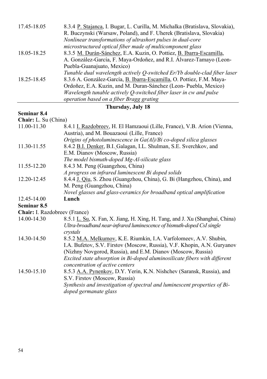| 8.3.4 P. Stajanca, I. Bugar, L. Curilla, M. Michalka (Bratislava, Slovakia), |
|------------------------------------------------------------------------------|
| R. Buczynski (Warsaw, Poland), and F. Uherek (Bratislava, Slovakia)          |
| Nonlinear transformations of ultrashort pulses in dual-core                  |
| microstructured optical fiber made of multicomponent glass                   |
| 8.3.5 M. Durán-Sánchez, E.A. Kuzin, O. Pottiez, B. Ibarra-Escamilla,         |
| A. González-García, F. Maya-Ordoñez, and R.I. Alvarez-Tamayo (Leon-          |
| Puebla-Guanajuato, Mexico)                                                   |
| Tunable dual wavelength actively Q-switched Er/Yb double-clad fiber laser    |
| 8.3.6 A. González-García, B. Ibarra-Escamilla, O. Pottiez, F.M. Maya-        |
| Ordoñez, E.A. Kuzin, and M. Duran-Sánchez (Leon-Puebla, Mexico)              |
| Wavelength tunable actively O-switched fiber laser in cw and pulse           |
| operation based on a fiber Bragg grating                                     |
|                                                                              |

#### **Thursday, July 18**

#### **Seminar 8.4**

**Chair:** L. Su (China) 11.00-11.30 8.4.1 I. Razdobreev, H. El Hamzaoui (Lille, France), V.B. Arion (Vienna, Austria), and M. Bouazaoui (Lille, France) *Origins of photoluminescence in Ga(Al)/Bi co-doped silica glasses*  11.30-11.55 8.4.2 B.I. Denker, B.I. Galagan, I.L. Shulman, S.E. Sverchkov, and E.M. Dianov (Moscow, Russia) *The model bismuth-doped Mg-Al-silicate glass*  11.55-12.20 8.4.3 M. Peng (Guangzhou, China) *A progress on infrared luminescent Bi doped solids*  12.20-12.45 8.4.4 J. Qiu, S. Zhou (Guangzhou, China), G. Bi (Hangzhou, China), and M. Peng (Guangzhou, China) *Novel glasses and glass-ceramics for broadband optical amplification*  12.45-14.00 **Lunch Seminar 8.5 Chair:** I. Razdobreev (France) 14.00-14.30 8.5.1 L. Su, X. Fan, X. Jiang, H. Xing, H. Tang, and J. Xu (Shanghai, China) *Ultra-broadband near-infrared luminescence of bismuth-doped CsI single crystals*  14.30-14.50 8.5.2 M.A. Melkumov, K.E. Riumkin, I.A. Varfolomeev, A.V. Shubin, I.A. Bufetov, S.V. Firstov (Moscow, Russia), V.F. Khopin, A.N. Guryanov (Nizhny Novgorod, Russia), and E.M. Dianov (Moscow, Russia) *Excited state absorption in Bi-doped aluminosilicate fibers with different concentration of active centers*  14.50-15.10 8.5.3 A.A. Pynenkov, D.Y. Yerin, K.N. Nishchev (Saransk, Russia), and S.V. Firstov (Moscow, Russia) *Synthesis and investigation of spectral and luminescent properties of Bidoped germanate glass*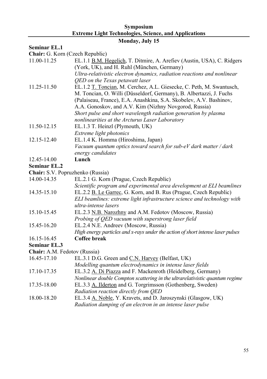## **Symposium Extreme Light Technologies, Science, and Applications**

## **Monday, July 15**

#### **Seminar EL.1**

**Chair:** G. Korn (Czech Republic)

| $\mathcal{L}$ and $\mathcal{L}$ . Rolli (executive)<br>11.00-11.25 | EL.1.1 B.M. Hegelich, T. Ditmire, A. Arefiev (Austin, USA), C. Ridgers                                                                      |
|--------------------------------------------------------------------|---------------------------------------------------------------------------------------------------------------------------------------------|
|                                                                    | (York, UK), and H. Ruhl (München, Germany)                                                                                                  |
|                                                                    | Ultra-relativistic electron dynamics, radiation reactions and nonlinear                                                                     |
|                                                                    | QED on the Texas petawatt laser                                                                                                             |
| 11.25-11.50                                                        | EL.1.2 T. Toncian, M. Cerchez, A.L. Giesecke, C. Peth, M. Swantusch,<br>M. Toncian, O. Willi (Düsseldorf, Germany), B. Albertazzi, J. Fuchs |
|                                                                    | (Palaiseau, France), E.A. Anashkina, S.A. Skobelev, A.V. Bashinov,                                                                          |
|                                                                    | A.A. Gonoskov, and A.V. Kim (Nizhny Novgorod, Russia)                                                                                       |
|                                                                    | Short pulse and short wavelength radiation generation by plasma                                                                             |
|                                                                    | nonlinearities at the Arcturus Laser Laboratory                                                                                             |
| 11.50-12.15                                                        | EL.1.3 T. Heinzl (Plymouth, UK)                                                                                                             |
|                                                                    | Extreme light photonics                                                                                                                     |
| 12.15-12.40                                                        | EL.1.4 K. Homma (Hiroshima, Japan)                                                                                                          |
|                                                                    | Vacuum quantum optics toward search for sub-eV dark matter / dark                                                                           |
|                                                                    | energy candidates                                                                                                                           |
| 12.45-14.00                                                        | Lunch                                                                                                                                       |
| <b>Seminar EL.2</b>                                                |                                                                                                                                             |
| Chair: S.V. Popruzhenko (Russia)                                   |                                                                                                                                             |
| 14.00-14.35                                                        | EL.2.1 G. Korn (Prague, Czech Republic)                                                                                                     |
|                                                                    | Scientific program and experimental area development at ELI beamlines                                                                       |
| 14.35-15.10                                                        | EL.2.2 B. Le Garrec, G. Korn, and B. Rus (Prague, Czech Republic)                                                                           |
|                                                                    | ELI beamlines: extreme light infrastructure science and technology with                                                                     |
|                                                                    | ultra-intense lasers                                                                                                                        |
| 15.10-15.45                                                        | EL.2.3 N.B. Narozhny and A.M. Fedotov (Moscow, Russia)                                                                                      |
|                                                                    | Probing of QED vacuum with superstrong laser field                                                                                          |
| 15.45-16.20                                                        | EL.2.4 N.E. Andreev (Moscow, Russia)                                                                                                        |
|                                                                    | High energy particles and x-rays under the action of short intense laser pulses                                                             |
| 16.15-16.45                                                        | <b>Coffee break</b>                                                                                                                         |
| <b>Seminar EL.3</b>                                                |                                                                                                                                             |
| Chair: A.M. Fedotov (Russia)                                       |                                                                                                                                             |
| 16.45-17.10                                                        | EL.3.1 D.G. Green and C.N. Harvey (Belfast, UK)                                                                                             |
|                                                                    | Modelling quantum electrodynamics in intense laser fields                                                                                   |
| 17.10-17.35                                                        | EL.3.2 A. Di Piazza and F. Mackenroth (Heidelberg, Germany)                                                                                 |
|                                                                    | Nonlinear double Compton scattering in the ultrarelativistic quantum regime                                                                 |
| 17.35-18.00                                                        | EL.3.3 A. Ilderton and G. Torgrimsson (Gothenberg, Sweden)                                                                                  |
|                                                                    | Radiation reaction directly from QED                                                                                                        |
| 18.00-18.20                                                        | EL.3.4 A. Noble, Y. Kravets, and D. Jaroszynski (Glasgow, UK)                                                                               |
|                                                                    | Radiation damping of an electron in an intense laser pulse                                                                                  |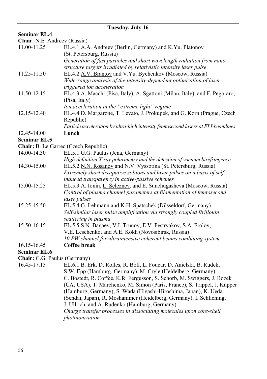| Tuesday, July 16             |                                                                                   |  |
|------------------------------|-----------------------------------------------------------------------------------|--|
| <b>Seminar EL.4</b>          |                                                                                   |  |
| Chair: N.E. Andreev (Russia) |                                                                                   |  |
| 11.00-11.25                  | EL.4.1 A.A. Andreev (Berlin, Germany) and K.Yu. Platonov                          |  |
|                              | (St. Petersburg, Russia)                                                          |  |
|                              | Generation of fast particles and short wavelength radiation from nano-            |  |
|                              | structure targets irradiated by relativistic intensity laser pulse                |  |
| 11.25-11.50                  | EL.4.2 A.V. Brantov and V.Yu. Bychenkov (Moscow, Russia)                          |  |
|                              | Wide-range analysis of the intensity-dependent optimization of laser-             |  |
|                              | triggered ion acceleration                                                        |  |
| 11.50-12.15                  | EL.4.3 A. Macchi (Pisa, Italy), A. Sgattoni (Milan, Italy), and F. Pegoraro,      |  |
|                              | (Pisa, Italy)                                                                     |  |
|                              | Ion acceleration in the "extreme light" regime                                    |  |
| 12.15-12.40                  | EL.4.4 D. Margarone, T. Levato, J. Prokupek, and G. Korn (Prague, Czech           |  |
|                              | Republic)                                                                         |  |
|                              | Particle acceleration by ultra-high intensity femtosecond lasers at ELI-beamlines |  |
| 12.45-14.00                  | Lunch                                                                             |  |
| <b>Seminar EL.5</b>          |                                                                                   |  |
|                              | <b>Chair:</b> B. Le Garrec (Czech Republic)                                       |  |
| 14.00-14.30                  | EL.5.1 G.G. Paulus (Jena, Germany)                                                |  |
|                              | High-definition X-ray polarimetry and the detection of vacuum birefringence       |  |
| 14.30-15.00                  | EL.5.2 N.N. Rosanov and N.V. Vyssotina (St. Petersburg, Russia)                   |  |
|                              | Extremely short dissipative solitons and laser pulses on a basis of self-         |  |
|                              | induced transparency in active-passive schemes                                    |  |
| 15.00-15.25                  | EL.5.3 A. Ionin, L. Seleznev, and E. Sunchugasheva (Moscow, Russia)               |  |
|                              | Control of plasma channel parameters at filamentation of femtosecond              |  |
|                              | laser pulses                                                                      |  |
| 15.25-15.50                  | EL.5.4 G. Lehmann and K.H. Spatschek (Düsseldorf, Germany)                        |  |
|                              | Self-similar laser pulse amplification via strongly coupled Brillouin             |  |
|                              | scattering in plasma                                                              |  |
| 15.50-16.15                  | EL.5.5 S.N. Bagaev, V.I. Trunov, E.V. Pestryakov, S.A. Frolov,                    |  |
|                              | V.E. Leschenko, and A.E. Kokh (Novosibirsk, Russia)                               |  |
|                              | 10 PW channel for ultraintensive coherent beams combining system                  |  |
| 16.15-16.45                  | Coffee break                                                                      |  |
| <b>Seminar EL.6</b>          |                                                                                   |  |
| Chair: G.G. Paulus (Germany) |                                                                                   |  |
| 16.45-17.15                  | EL.6.1 B. Erk, D. Rolles, R. Boll, L. Foucar, D. Anielski, B. Rudek,              |  |
|                              | S.W. Epp (Hamburg, Germany), M. Cryle (Heidelberg, Germany),                      |  |
|                              | C Bostedt R Coffee K R Fergusson S Schorb M Swiggers J Bozek                      |  |

C. Bostedt, R. Coffee, K.R. Fergusson, S. Schorb, M. Swiggers, J. Bozek (CA, USA), T. Marchenko, M. Simon (Paris, France), S. Trippel, J. Küpper (Hamburg, Germany), S. Wada (Higashi-Hiroshima, Japan), K. Ueda (Sendai, Japan), R. Moshammer (Heidelberg, Germany), I. Schliching, J. Ullrich, and A. Rudenko (Hamburg, Germany) *Charge transfer processes in dissociating molecules upon core-shell photoionization*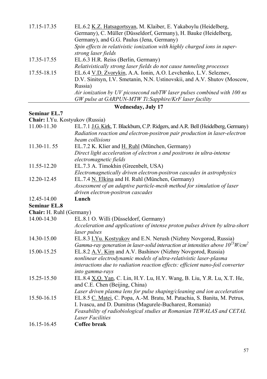| 17.15-17.35 | EL.6.2 K.Z. Hatsagortsyan, M. Klaiber, E. Yakaboylu (Heidelberg,           |
|-------------|----------------------------------------------------------------------------|
|             | Germany), C. Müller (Düsseldorf, Germany), H. Bauke (Heidelberg,           |
|             | Germany), and G.G. Paulus (Jena, Germany)                                  |
|             | Spin effects in relativistic ionization with highly charged ions in super- |
|             | strong laser fields                                                        |
| 17.35-17.55 | EL.6.3 H.R. Reiss (Berlin, Germany)                                        |
|             | Relativistically strong laser fields do not cause tunneling processes      |
| 17.55-18.15 | EL.6.4 V.D. Zvorykin, A.A. Ionin, A.O. Levchenko, L.V. Seleznev,           |
|             | D.V. Sinitsyn, I.V. Smetanin, N.N. Ustinovskii, and A.V. Shutov (Moscow,   |
|             | Russia)                                                                    |
|             | Air ionization by UV picosecond subTW laser pulses combined with 100 ns    |
|             | GW pulse at GARPUN-MTW Ti:Sapphire/KrF laser facility                      |
|             |                                                                            |

## **Wednesday, July 17**

## **Seminar EL.7**

**Chair:** I.Yu. Kostyukov (Russia)

| 11.00-11.30              | EL.7.1 J.G. Kirk, T. Blackburn, C.P. Ridgers, and A.R. Bell (Heidelberg, Germany)<br>Radiation reaction and electron-positron pair production in laser-electron |
|--------------------------|-----------------------------------------------------------------------------------------------------------------------------------------------------------------|
|                          | beam collisions                                                                                                                                                 |
| 11.30-11.55              | EL.7.2 K. Klier and H. Ruhl (München, Germany)                                                                                                                  |
|                          | Direct light acceleration of electron s and positrons in ultra-intense                                                                                          |
|                          | electromagnetic fields                                                                                                                                          |
| 11.55-12.20              | EL.7.3 A. Timokhin (Greenbelt, USA)                                                                                                                             |
|                          | Electromagnetically driven electron-positron cascades in astrophysics                                                                                           |
| 12.20-12.45              | EL.7.4 N. Elkina and H. Ruhl (München, Germany)                                                                                                                 |
|                          | Assessment of an adaptive particle-mesh method for simulation of laser                                                                                          |
|                          | driven electron-positron cascades                                                                                                                               |
| 12.45-14.00              | Lunch                                                                                                                                                           |
| <b>Seminar EL.8</b>      |                                                                                                                                                                 |
| Chair: H. Ruhl (Germany) |                                                                                                                                                                 |
| 14.00-14.30              | EL.8.1 O. Willi (Düsseldorf, Germany)                                                                                                                           |
|                          | Acceleration and applications of intense proton pulses driven by ultra-short                                                                                    |
|                          | laser pulses                                                                                                                                                    |
| 14.30-15.00              | EL.8.3 I.Yu. Kostyukov and E.N. Nerush (Nizhny Novgorod, Russia)                                                                                                |
|                          | Gamma-ray generation in laser-solid interaction at intensities above $10^{23}$ W/cm <sup>2</sup>                                                                |
| 15.00-15.25              | EL.8.2 A.V. Kim and A.V. Bashinov (Nizhny Novgorod, Russia)                                                                                                     |
|                          | nonlinear electrodynamic models of ultra-relativistic laser-plasma                                                                                              |
|                          | interactions due to radiation reaction effects: efficient nano-foil converter                                                                                   |
|                          | into gamma-rays                                                                                                                                                 |
| 15.25-15.50              | EL.8.4 X.Q. Yan, C. Lin, H.Y. Lu, H.Y. Wang, B. Liu, Y.R. Lu, X.T. He,                                                                                          |
|                          | and C.E. Chen (Beijing, China)                                                                                                                                  |
|                          | Laser driven plasma lens for pulse shaping/cleaning and ion acceleration                                                                                        |
| 15.50-16.15              | EL.8.5 C. Matei, C. Popa, A.-M. Bratu, M. Patachia, S. Banita, M. Petrus,                                                                                       |
|                          | I. Ivascu, and D. Dumitras (Magurele-Bucharest, Romania)                                                                                                        |
|                          | Feasability of radiobiological studies at Romanian TEWALAS and CETAL                                                                                            |
|                          | <b>Laser Facilities</b>                                                                                                                                         |
| 16.15-16.45              | Coffee break                                                                                                                                                    |